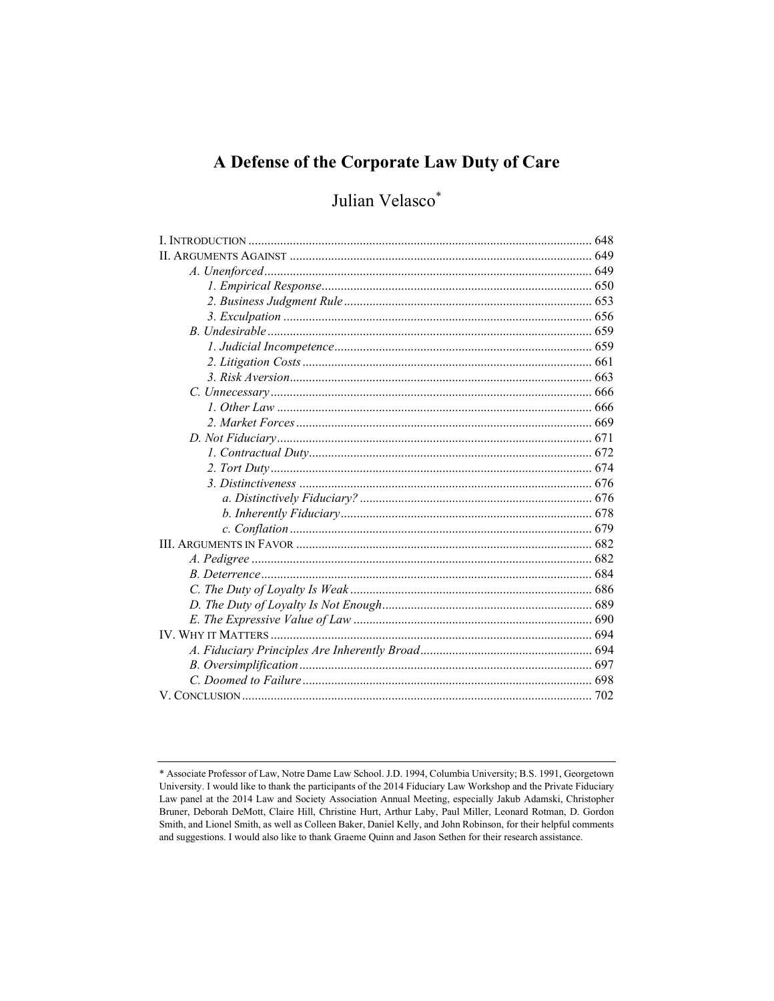# A Defense of the Corporate Law Duty of Care

# Julian Velasco\*

<sup>\*</sup> Associate Professor of Law, Notre Dame Law School. J.D. 1994, Columbia University; B.S. 1991, Georgetown University. I would like to thank the participants of the 2014 Fiduciary Law Workshop and the Private Fiduciary Law panel at the 2014 Law and Society Association Annual Meeting, especially Jakub Adamski, Christopher Bruner, Deborah DeMott, Claire Hill, Christine Hurt, Arthur Laby, Paul Miller, Leonard Rotman, D. Gordon Smith, and Lionel Smith, as well as Colleen Baker, Daniel Kelly, and John Robinson, for their helpful comments and suggestions. I would also like to thank Graeme Quinn and Jason Sethen for their research assistance.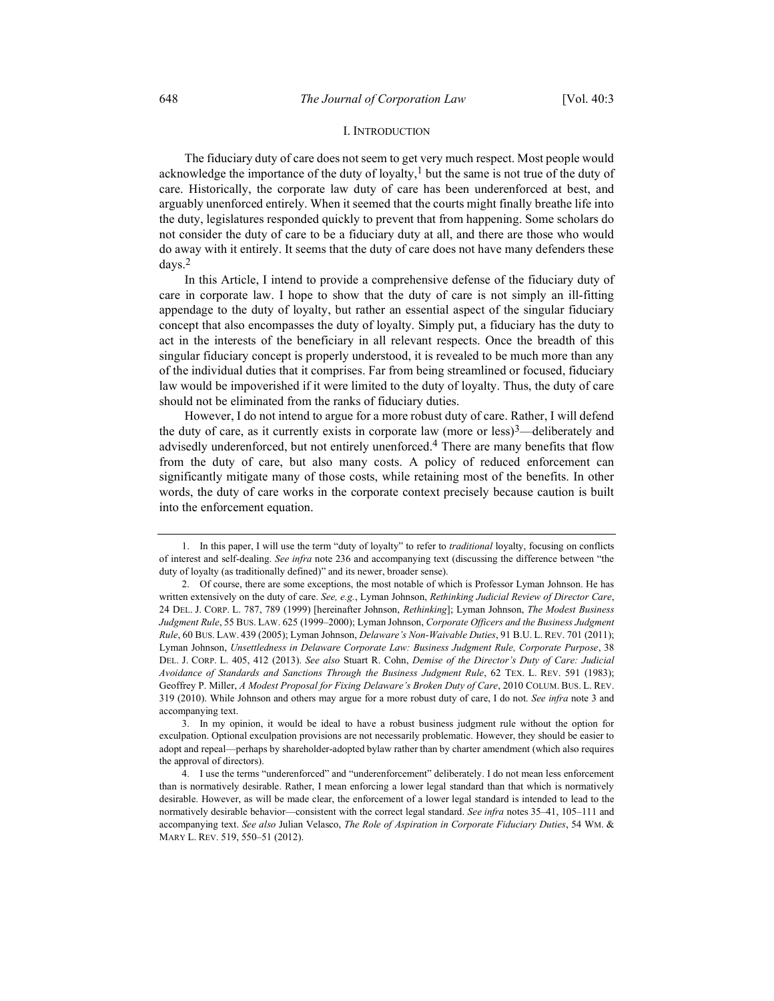## I. INTRODUCTION

The fiduciary duty of care does not seem to get very much respect. Most people would acknowledge the importance of the duty of loyalty,<sup>1</sup> but the same is not true of the duty of care. Historically, the corporate law duty of care has been underenforced at best, and arguably unenforced entirely. When it seemed that the courts might finally breathe life into the duty, legislatures responded quickly to prevent that from happening. Some scholars do not consider the duty of care to be a fiduciary duty at all, and there are those who would do away with it entirely. It seems that the duty of care does not have many defenders these days.2

In this Article, I intend to provide a comprehensive defense of the fiduciary duty of care in corporate law. I hope to show that the duty of care is not simply an ill-fitting appendage to the duty of loyalty, but rather an essential aspect of the singular fiduciary concept that also encompasses the duty of loyalty. Simply put, a fiduciary has the duty to act in the interests of the beneficiary in all relevant respects. Once the breadth of this singular fiduciary concept is properly understood, it is revealed to be much more than any of the individual duties that it comprises. Far from being streamlined or focused, fiduciary law would be impoverished if it were limited to the duty of loyalty. Thus, the duty of care should not be eliminated from the ranks of fiduciary duties.

However, I do not intend to argue for a more robust duty of care. Rather, I will defend the duty of care, as it currently exists in corporate law (more or less) $3$ —deliberately and advisedly underenforced, but not entirely unenforced.4 There are many benefits that flow from the duty of care, but also many costs. A policy of reduced enforcement can significantly mitigate many of those costs, while retaining most of the benefits. In other words, the duty of care works in the corporate context precisely because caution is built into the enforcement equation.

 <sup>1.</sup> In this paper, I will use the term "duty of loyalty" to refer to traditional loyalty, focusing on conflicts of interest and self-dealing. See infra note 236 and accompanying text (discussing the difference between "the duty of loyalty (as traditionally defined)" and its newer, broader sense).

 <sup>2.</sup> Of course, there are some exceptions, the most notable of which is Professor Lyman Johnson. He has written extensively on the duty of care. See, e.g., Lyman Johnson, Rethinking Judicial Review of Director Care, 24 DEL. J. CORP. L. 787, 789 (1999) [hereinafter Johnson, Rethinking]; Lyman Johnson, The Modest Business Judgment Rule, 55 BUS. LAW. 625 (1999–2000); Lyman Johnson, Corporate Officers and the Business Judgment Rule, 60 BUS. LAW. 439 (2005); Lyman Johnson, Delaware's Non-Waivable Duties, 91 B.U. L. REV. 701 (2011); Lyman Johnson, Unsettledness in Delaware Corporate Law: Business Judgment Rule, Corporate Purpose, 38 DEL. J. CORP. L. 405, 412 (2013). See also Stuart R. Cohn, Demise of the Director's Duty of Care: Judicial Avoidance of Standards and Sanctions Through the Business Judgment Rule, 62 TEX. L. REV. 591 (1983); Geoffrey P. Miller, A Modest Proposal for Fixing Delaware's Broken Duty of Care, 2010 COLUM. BUS. L. REV. 319 (2010). While Johnson and others may argue for a more robust duty of care, I do not. See infra note 3 and accompanying text.

 <sup>3.</sup> In my opinion, it would be ideal to have a robust business judgment rule without the option for exculpation. Optional exculpation provisions are not necessarily problematic. However, they should be easier to adopt and repeal—perhaps by shareholder-adopted bylaw rather than by charter amendment (which also requires the approval of directors).

 <sup>4.</sup> I use the terms "underenforced" and "underenforcement" deliberately. I do not mean less enforcement than is normatively desirable. Rather, I mean enforcing a lower legal standard than that which is normatively desirable. However, as will be made clear, the enforcement of a lower legal standard is intended to lead to the normatively desirable behavior—consistent with the correct legal standard. See infra notes 35-41, 105-111 and accompanying text. See also Julian Velasco, The Role of Aspiration in Corporate Fiduciary Duties, 54 WM. & MARY L. REV. 519, 550–51 (2012).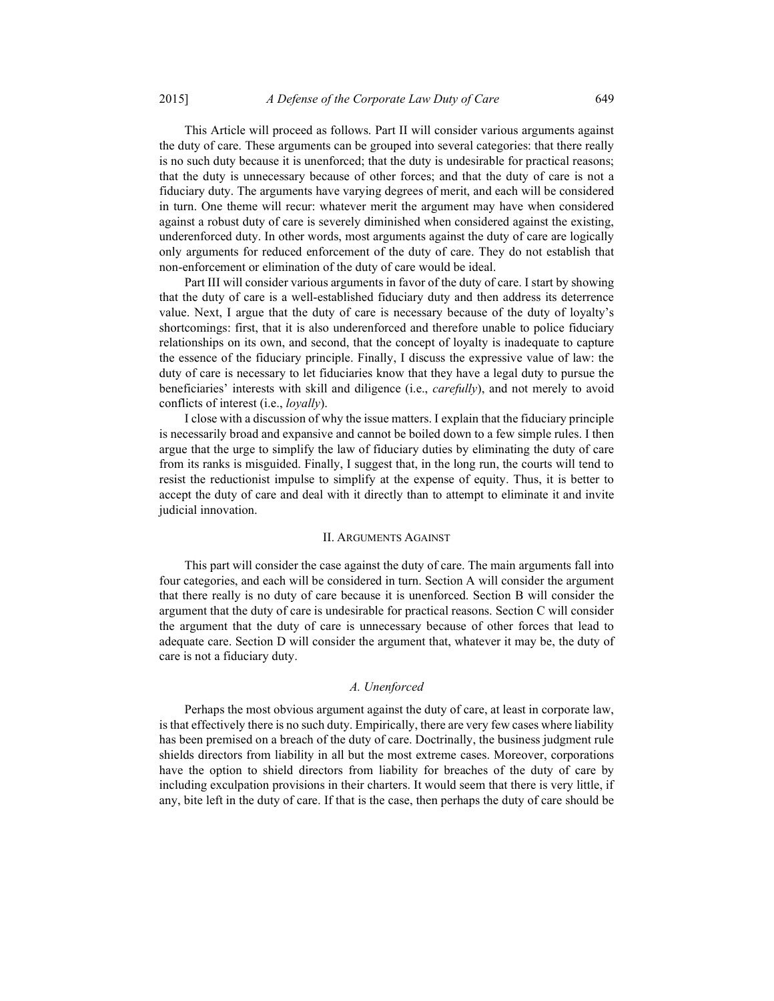This Article will proceed as follows. Part II will consider various arguments against the duty of care. These arguments can be grouped into several categories: that there really is no such duty because it is unenforced; that the duty is undesirable for practical reasons; that the duty is unnecessary because of other forces; and that the duty of care is not a fiduciary duty. The arguments have varying degrees of merit, and each will be considered in turn. One theme will recur: whatever merit the argument may have when considered against a robust duty of care is severely diminished when considered against the existing, underenforced duty. In other words, most arguments against the duty of care are logically only arguments for reduced enforcement of the duty of care. They do not establish that non-enforcement or elimination of the duty of care would be ideal.

Part III will consider various arguments in favor of the duty of care. I start by showing that the duty of care is a well-established fiduciary duty and then address its deterrence value. Next, I argue that the duty of care is necessary because of the duty of loyalty's shortcomings: first, that it is also underenforced and therefore unable to police fiduciary relationships on its own, and second, that the concept of loyalty is inadequate to capture the essence of the fiduciary principle. Finally, I discuss the expressive value of law: the duty of care is necessary to let fiduciaries know that they have a legal duty to pursue the beneficiaries' interests with skill and diligence (i.e., *carefully*), and not merely to avoid conflicts of interest (i.e., loyally).

I close with a discussion of why the issue matters. I explain that the fiduciary principle is necessarily broad and expansive and cannot be boiled down to a few simple rules. I then argue that the urge to simplify the law of fiduciary duties by eliminating the duty of care from its ranks is misguided. Finally, I suggest that, in the long run, the courts will tend to resist the reductionist impulse to simplify at the expense of equity. Thus, it is better to accept the duty of care and deal with it directly than to attempt to eliminate it and invite judicial innovation.

#### II. ARGUMENTS AGAINST

This part will consider the case against the duty of care. The main arguments fall into four categories, and each will be considered in turn. Section A will consider the argument that there really is no duty of care because it is unenforced. Section B will consider the argument that the duty of care is undesirable for practical reasons. Section C will consider the argument that the duty of care is unnecessary because of other forces that lead to adequate care. Section D will consider the argument that, whatever it may be, the duty of care is not a fiduciary duty.

#### A. Unenforced

Perhaps the most obvious argument against the duty of care, at least in corporate law, is that effectively there is no such duty. Empirically, there are very few cases where liability has been premised on a breach of the duty of care. Doctrinally, the business judgment rule shields directors from liability in all but the most extreme cases. Moreover, corporations have the option to shield directors from liability for breaches of the duty of care by including exculpation provisions in their charters. It would seem that there is very little, if any, bite left in the duty of care. If that is the case, then perhaps the duty of care should be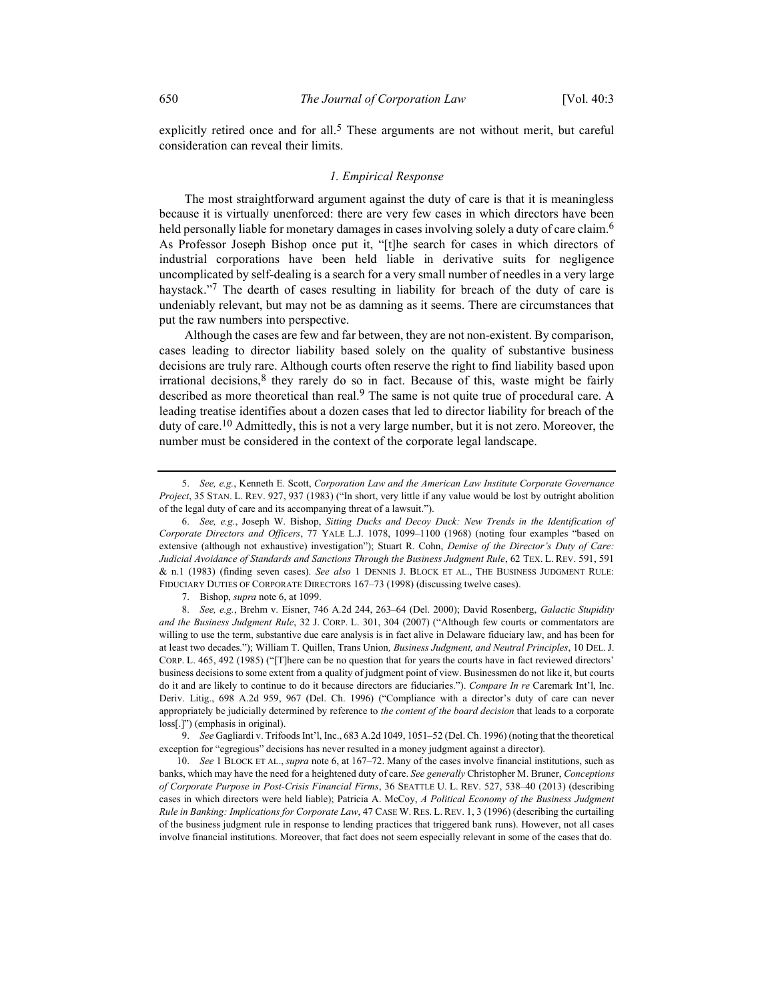explicitly retired once and for all.<sup>5</sup> These arguments are not without merit, but careful consideration can reveal their limits.

#### 1. Empirical Response

The most straightforward argument against the duty of care is that it is meaningless because it is virtually unenforced: there are very few cases in which directors have been held personally liable for monetary damages in cases involving solely a duty of care claim.<sup>6</sup> As Professor Joseph Bishop once put it, "[t]he search for cases in which directors of industrial corporations have been held liable in derivative suits for negligence uncomplicated by self-dealing is a search for a very small number of needles in a very large haystack."<sup>7</sup> The dearth of cases resulting in liability for breach of the duty of care is undeniably relevant, but may not be as damning as it seems. There are circumstances that put the raw numbers into perspective.

Although the cases are few and far between, they are not non-existent. By comparison, cases leading to director liability based solely on the quality of substantive business decisions are truly rare. Although courts often reserve the right to find liability based upon irrational decisions, $8$  they rarely do so in fact. Because of this, waste might be fairly described as more theoretical than real.<sup>9</sup> The same is not quite true of procedural care. A leading treatise identifies about a dozen cases that led to director liability for breach of the duty of care.<sup>10</sup> Admittedly, this is not a very large number, but it is not zero. Moreover, the number must be considered in the context of the corporate legal landscape.

 <sup>5.</sup> See, e.g., Kenneth E. Scott, Corporation Law and the American Law Institute Corporate Governance Project, 35 STAN. L. REV. 927, 937 (1983) ("In short, very little if any value would be lost by outright abolition of the legal duty of care and its accompanying threat of a lawsuit.").

 <sup>6.</sup> See, e.g., Joseph W. Bishop, Sitting Ducks and Decoy Duck: New Trends in the Identification of Corporate Directors and Officers, 77 YALE L.J. 1078, 1099–1100 (1968) (noting four examples "based on extensive (although not exhaustive) investigation"); Stuart R. Cohn, Demise of the Director's Duty of Care: Judicial Avoidance of Standards and Sanctions Through the Business Judgment Rule, 62 TEX. L. REV. 591, 591 & n.1 (1983) (finding seven cases). See also 1 DENNIS J. BLOCK ET AL., THE BUSINESS JUDGMENT RULE: FIDUCIARY DUTIES OF CORPORATE DIRECTORS 167–73 (1998) (discussing twelve cases).

 <sup>7.</sup> Bishop, supra note 6, at 1099.

 <sup>8.</sup> See, e.g., Brehm v. Eisner, 746 A.2d 244, 263–64 (Del. 2000); David Rosenberg, Galactic Stupidity and the Business Judgment Rule, 32 J. CORP. L. 301, 304 (2007) ("Although few courts or commentators are willing to use the term, substantive due care analysis is in fact alive in Delaware fiduciary law, and has been for at least two decades."); William T. Quillen, Trans Union, Business Judgment, and Neutral Principles, 10 DEL. J. CORP. L. 465, 492 (1985) ("[T]here can be no question that for years the courts have in fact reviewed directors' business decisions to some extent from a quality of judgment point of view. Businessmen do not like it, but courts do it and are likely to continue to do it because directors are fiduciaries."). Compare In re Caremark Int'l, Inc. Deriv. Litig., 698 A.2d 959, 967 (Del. Ch. 1996) ("Compliance with a director's duty of care can never appropriately be judicially determined by reference to the content of the board decision that leads to a corporate loss[.]") (emphasis in original).

 <sup>9.</sup> See Gagliardi v. Trifoods Int'l, Inc., 683 A.2d 1049, 1051–52 (Del. Ch. 1996) (noting that the theoretical exception for "egregious" decisions has never resulted in a money judgment against a director).

<sup>10.</sup> See 1 BLOCK ET AL., supra note 6, at 167–72. Many of the cases involve financial institutions, such as banks, which may have the need for a heightened duty of care. See generally Christopher M. Bruner, Conceptions of Corporate Purpose in Post-Crisis Financial Firms, 36 SEATTLE U. L. REV. 527, 538–40 (2013) (describing cases in which directors were held liable); Patricia A. McCoy, A Political Economy of the Business Judgment Rule in Banking: Implications for Corporate Law, 47 CASE W. RES. L. REV. 1, 3 (1996) (describing the curtailing of the business judgment rule in response to lending practices that triggered bank runs). However, not all cases involve financial institutions. Moreover, that fact does not seem especially relevant in some of the cases that do.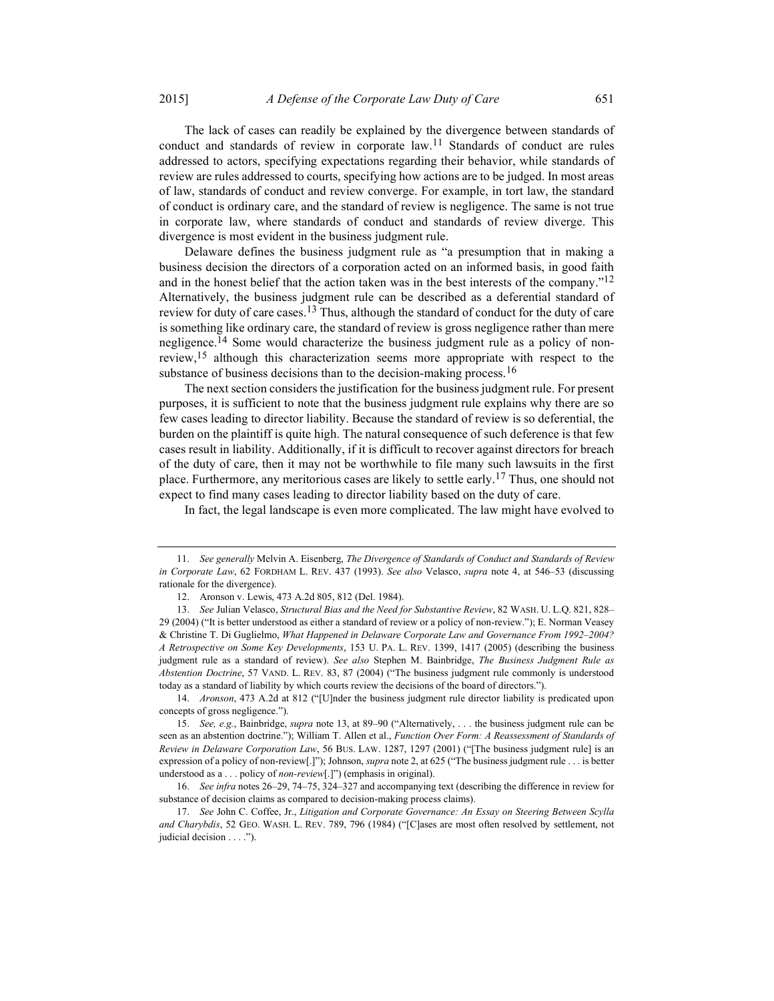The lack of cases can readily be explained by the divergence between standards of conduct and standards of review in corporate law.<sup>11</sup> Standards of conduct are rules addressed to actors, specifying expectations regarding their behavior, while standards of review are rules addressed to courts, specifying how actions are to be judged. In most areas of law, standards of conduct and review converge. For example, in tort law, the standard of conduct is ordinary care, and the standard of review is negligence. The same is not true in corporate law, where standards of conduct and standards of review diverge. This divergence is most evident in the business judgment rule.

Delaware defines the business judgment rule as "a presumption that in making a business decision the directors of a corporation acted on an informed basis, in good faith and in the honest belief that the action taken was in the best interests of the company." $^{12}$ Alternatively, the business judgment rule can be described as a deferential standard of review for duty of care cases.<sup>13</sup> Thus, although the standard of conduct for the duty of care is something like ordinary care, the standard of review is gross negligence rather than mere negligence.<sup>14</sup> Some would characterize the business judgment rule as a policy of nonreview,15 although this characterization seems more appropriate with respect to the substance of business decisions than to the decision-making process.<sup>16</sup>

The next section considers the justification for the business judgment rule. For present purposes, it is sufficient to note that the business judgment rule explains why there are so few cases leading to director liability. Because the standard of review is so deferential, the burden on the plaintiff is quite high. The natural consequence of such deference is that few cases result in liability. Additionally, if it is difficult to recover against directors for breach of the duty of care, then it may not be worthwhile to file many such lawsuits in the first place. Furthermore, any meritorious cases are likely to settle early.<sup>17</sup> Thus, one should not expect to find many cases leading to director liability based on the duty of care.

In fact, the legal landscape is even more complicated. The law might have evolved to

 <sup>11.</sup> See generally Melvin A. Eisenberg, The Divergence of Standards of Conduct and Standards of Review in Corporate Law, 62 FORDHAM L. REV. 437 (1993). See also Velasco, supra note 4, at 546–53 (discussing rationale for the divergence).

 <sup>12.</sup> Aronson v. Lewis, 473 A.2d 805, 812 (Del. 1984).

 <sup>13.</sup> See Julian Velasco, Structural Bias and the Need for Substantive Review, 82 WASH. U. L.Q. 821, 828– 29 (2004) ("It is better understood as either a standard of review or a policy of non-review."); E. Norman Veasey & Christine T. Di Guglielmo, What Happened in Delaware Corporate Law and Governance From 1992–2004? A Retrospective on Some Key Developments, 153 U. PA. L. REV. 1399, 1417 (2005) (describing the business judgment rule as a standard of review). See also Stephen M. Bainbridge, The Business Judgment Rule as Abstention Doctrine, 57 VAND. L. REV. 83, 87 (2004) ("The business judgment rule commonly is understood today as a standard of liability by which courts review the decisions of the board of directors.").

 <sup>14.</sup> Aronson, 473 A.2d at 812 ("[U]nder the business judgment rule director liability is predicated upon concepts of gross negligence.").

 <sup>15.</sup> See, e.g., Bainbridge, supra note 13, at 89–90 ("Alternatively, . . . the business judgment rule can be seen as an abstention doctrine."); William T. Allen et al., Function Over Form: A Reassessment of Standards of Review in Delaware Corporation Law, 56 BUS. LAW. 1287, 1297 (2001) ("[The business judgment rule] is an expression of a policy of non-review[.]"); Johnson, supra note 2, at 625 ("The business judgment rule . . . is better understood as a . . . policy of *non-review*[.]") (emphasis in original).

 <sup>16.</sup> See infra notes 26–29, 74–75, 324–327 and accompanying text (describing the difference in review for substance of decision claims as compared to decision-making process claims).

<sup>17.</sup> See John C. Coffee, Jr., Litigation and Corporate Governance: An Essay on Steering Between Scylla and Charybdis, 52 GEO. WASH. L. REV. 789, 796 (1984) ("[C]ases are most often resolved by settlement, not judicial decision . . . .").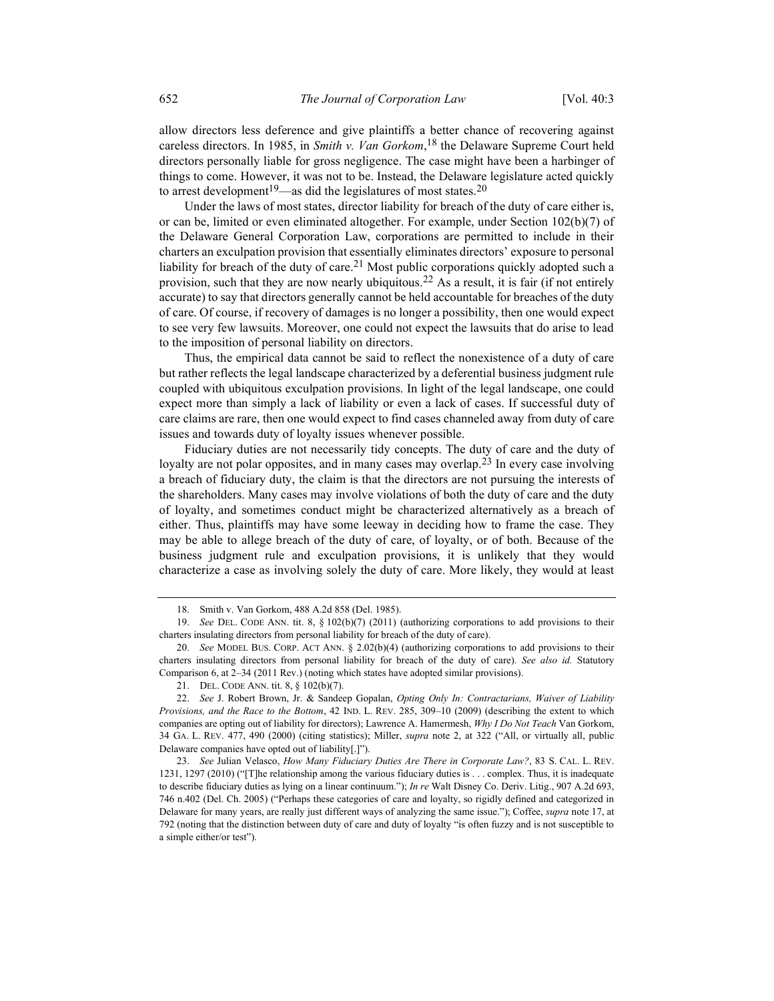allow directors less deference and give plaintiffs a better chance of recovering against careless directors. In 1985, in Smith v. Van Gorkom, <sup>18</sup> the Delaware Supreme Court held directors personally liable for gross negligence. The case might have been a harbinger of things to come. However, it was not to be. Instead, the Delaware legislature acted quickly to arrest development<sup>19</sup>—as did the legislatures of most states.<sup>20</sup>

Under the laws of most states, director liability for breach of the duty of care either is, or can be, limited or even eliminated altogether. For example, under Section 102(b)(7) of the Delaware General Corporation Law, corporations are permitted to include in their charters an exculpation provision that essentially eliminates directors' exposure to personal liability for breach of the duty of care.<sup>21</sup> Most public corporations quickly adopted such a provision, such that they are now nearly ubiquitous.<sup>22</sup> As a result, it is fair (if not entirely accurate) to say that directors generally cannot be held accountable for breaches of the duty of care. Of course, if recovery of damages is no longer a possibility, then one would expect to see very few lawsuits. Moreover, one could not expect the lawsuits that do arise to lead to the imposition of personal liability on directors.

Thus, the empirical data cannot be said to reflect the nonexistence of a duty of care but rather reflects the legal landscape characterized by a deferential business judgment rule coupled with ubiquitous exculpation provisions. In light of the legal landscape, one could expect more than simply a lack of liability or even a lack of cases. If successful duty of care claims are rare, then one would expect to find cases channeled away from duty of care issues and towards duty of loyalty issues whenever possible.

Fiduciary duties are not necessarily tidy concepts. The duty of care and the duty of loyalty are not polar opposites, and in many cases may overlap.<sup>23</sup> In every case involving a breach of fiduciary duty, the claim is that the directors are not pursuing the interests of the shareholders. Many cases may involve violations of both the duty of care and the duty of loyalty, and sometimes conduct might be characterized alternatively as a breach of either. Thus, plaintiffs may have some leeway in deciding how to frame the case. They may be able to allege breach of the duty of care, of loyalty, or of both. Because of the business judgment rule and exculpation provisions, it is unlikely that they would characterize a case as involving solely the duty of care. More likely, they would at least

 <sup>18.</sup> Smith v. Van Gorkom, 488 A.2d 858 (Del. 1985).

 <sup>19.</sup> See DEL. CODE ANN. tit. 8, § 102(b)(7) (2011) (authorizing corporations to add provisions to their charters insulating directors from personal liability for breach of the duty of care).

 <sup>20.</sup> See MODEL BUS. CORP. ACT ANN. § 2.02(b)(4) (authorizing corporations to add provisions to their charters insulating directors from personal liability for breach of the duty of care). See also id. Statutory Comparison 6, at 2–34 (2011 Rev.) (noting which states have adopted similar provisions).

 <sup>21.</sup> DEL. CODE ANN. tit. 8, § 102(b)(7).

<sup>22.</sup> See J. Robert Brown, Jr. & Sandeep Gopalan, Opting Only In: Contractarians, Waiver of Liability Provisions, and the Race to the Bottom, 42 IND. L. REV. 285, 309–10 (2009) (describing the extent to which companies are opting out of liability for directors); Lawrence A. Hamermesh, Why I Do Not Teach Van Gorkom, 34 GA. L. REV. 477, 490 (2000) (citing statistics); Miller, *supra* note 2, at 322 ("All, or virtually all, public Delaware companies have opted out of liability[.]").

 <sup>23.</sup> See Julian Velasco, How Many Fiduciary Duties Are There in Corporate Law?, 83 S. CAL. L. REV. 1231, 1297 (2010) ("[T]he relationship among the various fiduciary duties is . . . complex. Thus, it is inadequate to describe fiduciary duties as lying on a linear continuum."); In re Walt Disney Co. Deriv. Litig., 907 A.2d 693, 746 n.402 (Del. Ch. 2005) ("Perhaps these categories of care and loyalty, so rigidly defined and categorized in Delaware for many years, are really just different ways of analyzing the same issue."); Coffee, supra note 17, at 792 (noting that the distinction between duty of care and duty of loyalty "is often fuzzy and is not susceptible to a simple either/or test").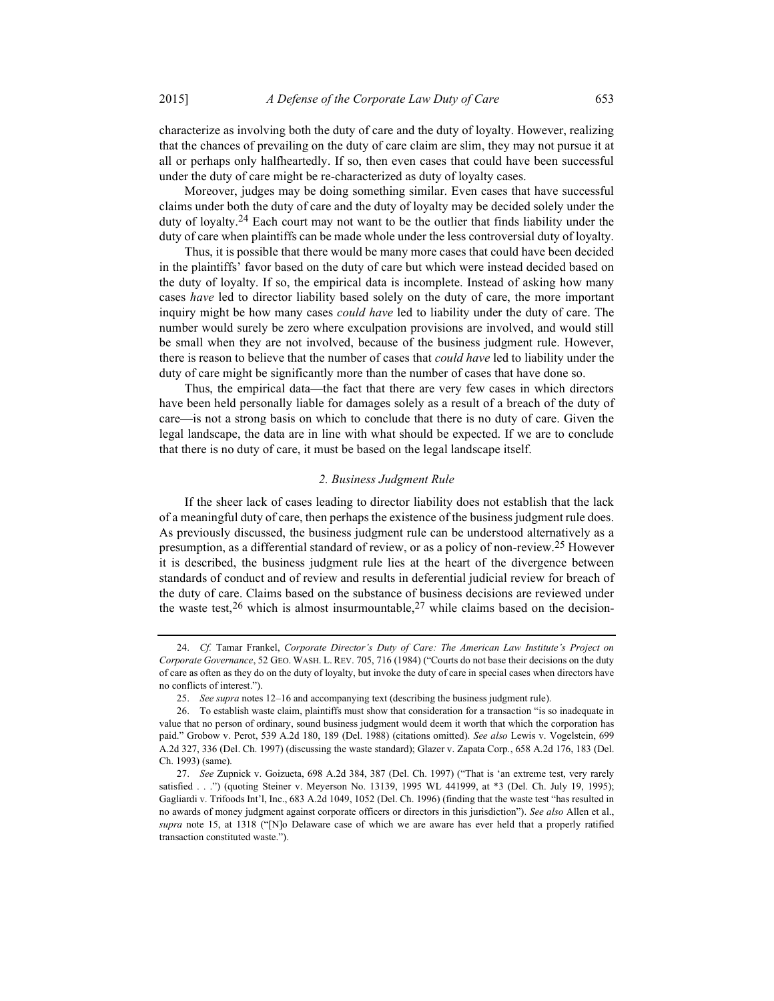characterize as involving both the duty of care and the duty of loyalty. However, realizing that the chances of prevailing on the duty of care claim are slim, they may not pursue it at all or perhaps only halfheartedly. If so, then even cases that could have been successful under the duty of care might be re-characterized as duty of loyalty cases.

Moreover, judges may be doing something similar. Even cases that have successful claims under both the duty of care and the duty of loyalty may be decided solely under the duty of loyalty.<sup>24</sup> Each court may not want to be the outlier that finds liability under the duty of care when plaintiffs can be made whole under the less controversial duty of loyalty.

Thus, it is possible that there would be many more cases that could have been decided in the plaintiffs' favor based on the duty of care but which were instead decided based on the duty of loyalty. If so, the empirical data is incomplete. Instead of asking how many cases have led to director liability based solely on the duty of care, the more important inquiry might be how many cases *could have* led to liability under the duty of care. The number would surely be zero where exculpation provisions are involved, and would still be small when they are not involved, because of the business judgment rule. However, there is reason to believe that the number of cases that *could have* led to liability under the duty of care might be significantly more than the number of cases that have done so.

Thus, the empirical data—the fact that there are very few cases in which directors have been held personally liable for damages solely as a result of a breach of the duty of care—is not a strong basis on which to conclude that there is no duty of care. Given the legal landscape, the data are in line with what should be expected. If we are to conclude that there is no duty of care, it must be based on the legal landscape itself.

#### 2. Business Judgment Rule

If the sheer lack of cases leading to director liability does not establish that the lack of a meaningful duty of care, then perhaps the existence of the business judgment rule does. As previously discussed, the business judgment rule can be understood alternatively as a presumption, as a differential standard of review, or as a policy of non-review.25 However it is described, the business judgment rule lies at the heart of the divergence between standards of conduct and of review and results in deferential judicial review for breach of the duty of care. Claims based on the substance of business decisions are reviewed under the waste test,  $26$  which is almost insurmountable,  $27$  while claims based on the decision-

 <sup>24.</sup> Cf. Tamar Frankel, Corporate Director's Duty of Care: The American Law Institute's Project on Corporate Governance, 52 GEO. WASH. L. REV. 705, 716 (1984) ("Courts do not base their decisions on the duty of care as often as they do on the duty of loyalty, but invoke the duty of care in special cases when directors have no conflicts of interest.").

 <sup>25.</sup> See supra notes 12–16 and accompanying text (describing the business judgment rule).

 <sup>26.</sup> To establish waste claim, plaintiffs must show that consideration for a transaction "is so inadequate in value that no person of ordinary, sound business judgment would deem it worth that which the corporation has paid." Grobow v. Perot, 539 A.2d 180, 189 (Del. 1988) (citations omitted). See also Lewis v. Vogelstein, 699 A.2d 327, 336 (Del. Ch. 1997) (discussing the waste standard); Glazer v. Zapata Corp., 658 A.2d 176, 183 (Del. Ch. 1993) (same).

 <sup>27.</sup> See Zupnick v. Goizueta, 698 A.2d 384, 387 (Del. Ch. 1997) ("That is 'an extreme test, very rarely satisfied . . .") (quoting Steiner v. Meyerson No. 13139, 1995 WL 441999, at \*3 (Del. Ch. July 19, 1995); Gagliardi v. Trifoods Int'l, Inc., 683 A.2d 1049, 1052 (Del. Ch. 1996) (finding that the waste test "has resulted in no awards of money judgment against corporate officers or directors in this jurisdiction"). See also Allen et al., supra note 15, at 1318 ("[N]o Delaware case of which we are aware has ever held that a properly ratified transaction constituted waste.").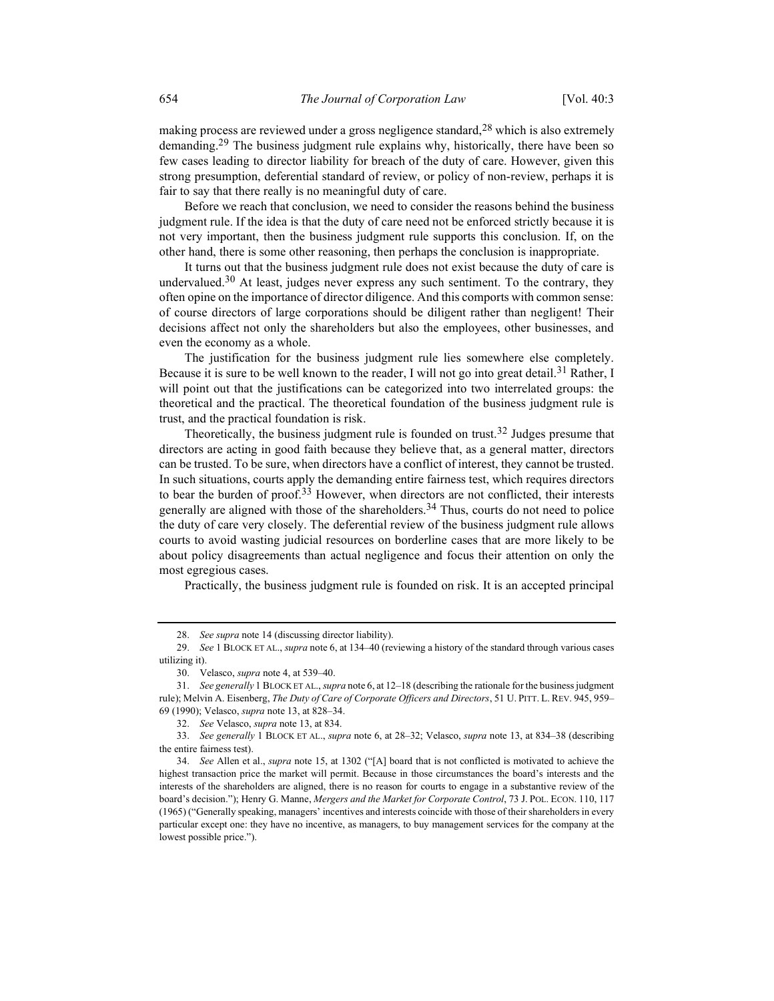making process are reviewed under a gross negligence standard,<sup>28</sup> which is also extremely demanding.<sup>29</sup> The business judgment rule explains why, historically, there have been so few cases leading to director liability for breach of the duty of care. However, given this strong presumption, deferential standard of review, or policy of non-review, perhaps it is fair to say that there really is no meaningful duty of care.

Before we reach that conclusion, we need to consider the reasons behind the business judgment rule. If the idea is that the duty of care need not be enforced strictly because it is not very important, then the business judgment rule supports this conclusion. If, on the other hand, there is some other reasoning, then perhaps the conclusion is inappropriate.

It turns out that the business judgment rule does not exist because the duty of care is undervalued. $30$  At least, judges never express any such sentiment. To the contrary, they often opine on the importance of director diligence. And this comports with common sense: of course directors of large corporations should be diligent rather than negligent! Their decisions affect not only the shareholders but also the employees, other businesses, and even the economy as a whole.

The justification for the business judgment rule lies somewhere else completely. Because it is sure to be well known to the reader, I will not go into great detail.<sup>31</sup> Rather, I will point out that the justifications can be categorized into two interrelated groups: the theoretical and the practical. The theoretical foundation of the business judgment rule is trust, and the practical foundation is risk.

Theoretically, the business judgment rule is founded on trust.<sup>32</sup> Judges presume that directors are acting in good faith because they believe that, as a general matter, directors can be trusted. To be sure, when directors have a conflict of interest, they cannot be trusted. In such situations, courts apply the demanding entire fairness test, which requires directors to bear the burden of proof.<sup>33</sup> However, when directors are not conflicted, their interests generally are aligned with those of the shareholders.<sup>34</sup> Thus, courts do not need to police the duty of care very closely. The deferential review of the business judgment rule allows courts to avoid wasting judicial resources on borderline cases that are more likely to be about policy disagreements than actual negligence and focus their attention on only the most egregious cases.

Practically, the business judgment rule is founded on risk. It is an accepted principal

 <sup>28.</sup> See supra note 14 (discussing director liability).

<sup>29.</sup> See 1 BLOCK ET AL., supra note 6, at 134-40 (reviewing a history of the standard through various cases utilizing it).

 <sup>30.</sup> Velasco, supra note 4, at 539–40.

 <sup>31.</sup> See generally 1 BLOCK ET AL., supra note 6, at 12–18 (describing the rationale for the business judgment rule); Melvin A. Eisenberg, The Duty of Care of Corporate Officers and Directors, 51 U. PITT. L. REV. 945, 959-69 (1990); Velasco, supra note 13, at 828–34.

 <sup>32.</sup> See Velasco, supra note 13, at 834.

 <sup>33.</sup> See generally 1 BLOCK ET AL., supra note 6, at 28–32; Velasco, supra note 13, at 834–38 (describing the entire fairness test).

 <sup>34.</sup> See Allen et al., supra note 15, at 1302 ("[A] board that is not conflicted is motivated to achieve the highest transaction price the market will permit. Because in those circumstances the board's interests and the interests of the shareholders are aligned, there is no reason for courts to engage in a substantive review of the board's decision."); Henry G. Manne, Mergers and the Market for Corporate Control, 73 J. POL. ECON. 110, 117 (1965) ("Generally speaking, managers' incentives and interests coincide with those of their shareholders in every particular except one: they have no incentive, as managers, to buy management services for the company at the lowest possible price.").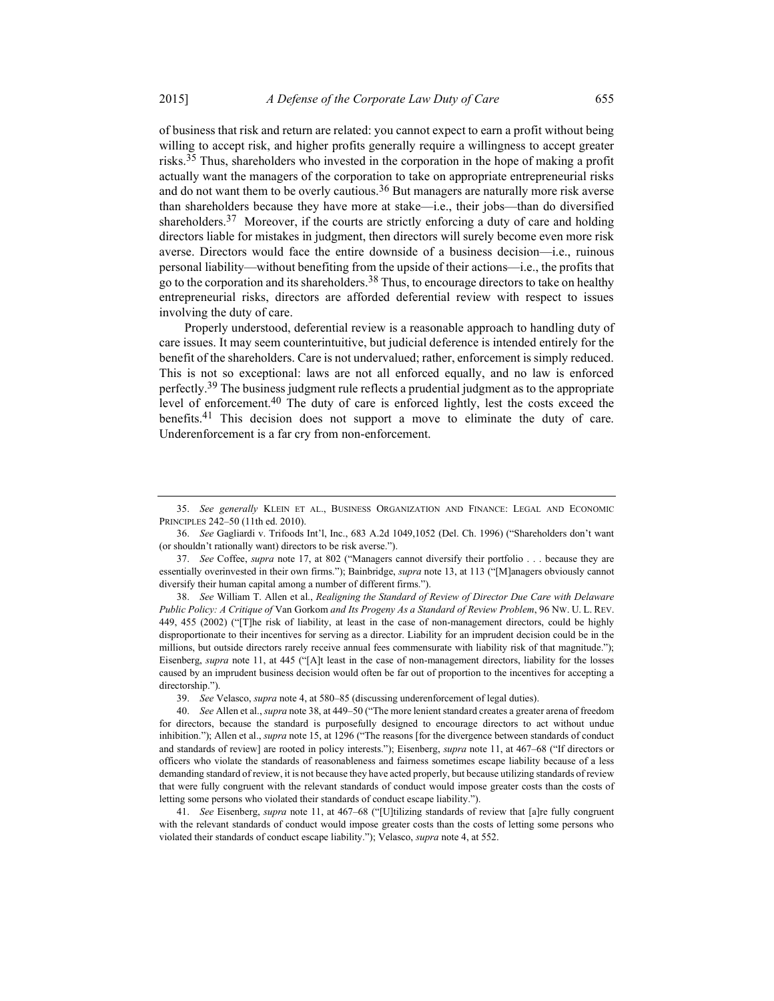of business that risk and return are related: you cannot expect to earn a profit without being willing to accept risk, and higher profits generally require a willingness to accept greater risks.<sup>35</sup> Thus, shareholders who invested in the corporation in the hope of making a profit actually want the managers of the corporation to take on appropriate entrepreneurial risks and do not want them to be overly cautious.<sup>36</sup> But managers are naturally more risk averse than shareholders because they have more at stake—i.e., their jobs—than do diversified shareholders.<sup>37</sup> Moreover, if the courts are strictly enforcing a duty of care and holding directors liable for mistakes in judgment, then directors will surely become even more risk averse. Directors would face the entire downside of a business decision—i.e., ruinous personal liability—without benefiting from the upside of their actions—i.e., the profits that go to the corporation and its shareholders.<sup>38</sup> Thus, to encourage directors to take on healthy entrepreneurial risks, directors are afforded deferential review with respect to issues involving the duty of care.

Properly understood, deferential review is a reasonable approach to handling duty of care issues. It may seem counterintuitive, but judicial deference is intended entirely for the benefit of the shareholders. Care is not undervalued; rather, enforcement is simply reduced. This is not so exceptional: laws are not all enforced equally, and no law is enforced perfectly.<sup>39</sup> The business judgment rule reflects a prudential judgment as to the appropriate level of enforcement.40 The duty of care is enforced lightly, lest the costs exceed the benefits.<sup>41</sup> This decision does not support a move to eliminate the duty of care. Underenforcement is a far cry from non-enforcement.

 38. See William T. Allen et al., Realigning the Standard of Review of Director Due Care with Delaware Public Policy: A Critique of Van Gorkom and Its Progeny As a Standard of Review Problem, 96 Nw. U. L. REV. 449, 455 (2002) ("[T]he risk of liability, at least in the case of non-management directors, could be highly disproportionate to their incentives for serving as a director. Liability for an imprudent decision could be in the millions, but outside directors rarely receive annual fees commensurate with liability risk of that magnitude."); Eisenberg, supra note 11, at 445 ("[A]t least in the case of non-management directors, liability for the losses caused by an imprudent business decision would often be far out of proportion to the incentives for accepting a directorship.").

39. See Velasco, supra note 4, at 580–85 (discussing underenforcement of legal duties).

 41. See Eisenberg, supra note 11, at 467–68 ("[U]tilizing standards of review that [a]re fully congruent with the relevant standards of conduct would impose greater costs than the costs of letting some persons who violated their standards of conduct escape liability."); Velasco, supra note 4, at 552.

 <sup>35.</sup> See generally KLEIN ET AL., BUSINESS ORGANIZATION AND FINANCE: LEGAL AND ECONOMIC PRINCIPLES 242–50 (11th ed. 2010).

 <sup>36.</sup> See Gagliardi v. Trifoods Int'l, Inc., 683 A.2d 1049,1052 (Del. Ch. 1996) ("Shareholders don't want (or shouldn't rationally want) directors to be risk averse.").

 <sup>37.</sup> See Coffee, supra note 17, at 802 ("Managers cannot diversify their portfolio . . . because they are essentially overinvested in their own firms."); Bainbridge, supra note 13, at 113 ("[M]anagers obviously cannot diversify their human capital among a number of different firms.").

 <sup>40.</sup> See Allen et al., supra note 38, at 449–50 ("The more lenient standard creates a greater arena of freedom for directors, because the standard is purposefully designed to encourage directors to act without undue inhibition."); Allen et al., *supra* note 15, at 1296 ("The reasons [for the divergence between standards of conduct and standards of review] are rooted in policy interests."); Eisenberg, supra note 11, at 467-68 ("If directors or officers who violate the standards of reasonableness and fairness sometimes escape liability because of a less demanding standard of review, it is not because they have acted properly, but because utilizing standards of review that were fully congruent with the relevant standards of conduct would impose greater costs than the costs of letting some persons who violated their standards of conduct escape liability.").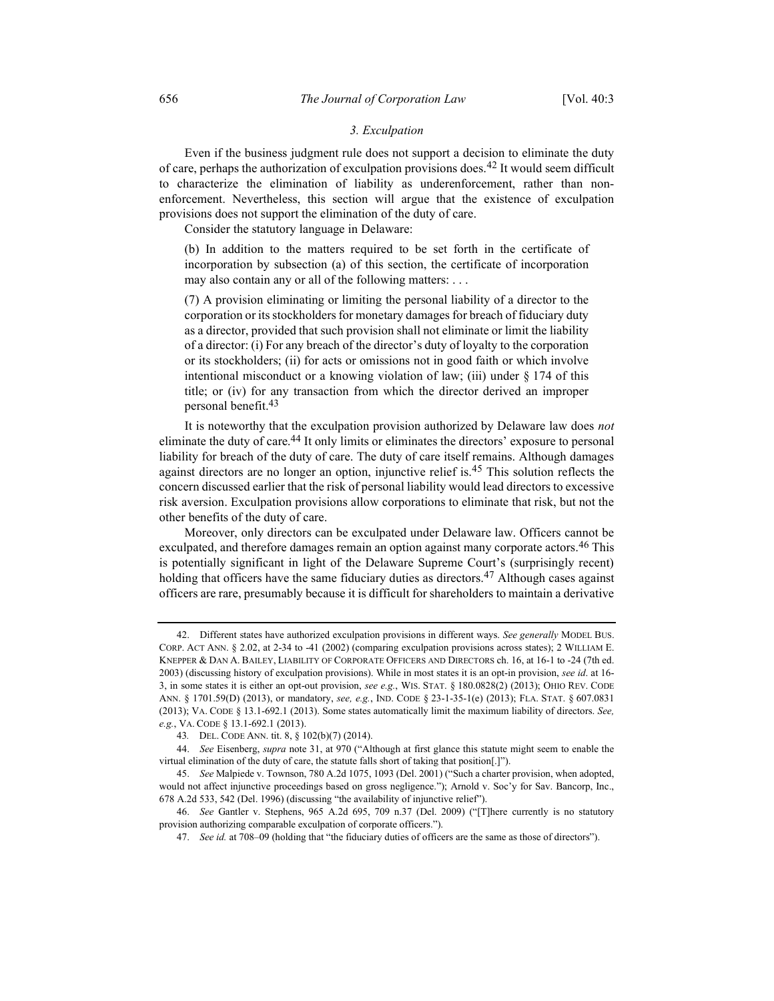## 3. Exculpation

Even if the business judgment rule does not support a decision to eliminate the duty of care, perhaps the authorization of exculpation provisions does.<sup>42</sup> It would seem difficult to characterize the elimination of liability as underenforcement, rather than nonenforcement. Nevertheless, this section will argue that the existence of exculpation provisions does not support the elimination of the duty of care.

Consider the statutory language in Delaware:

(b) In addition to the matters required to be set forth in the certificate of incorporation by subsection (a) of this section, the certificate of incorporation may also contain any or all of the following matters: . . .

(7) A provision eliminating or limiting the personal liability of a director to the corporation or its stockholders for monetary damages for breach of fiduciary duty as a director, provided that such provision shall not eliminate or limit the liability of a director: (i) For any breach of the director's duty of loyalty to the corporation or its stockholders; (ii) for acts or omissions not in good faith or which involve intentional misconduct or a knowing violation of law; (iii) under § 174 of this title; or (iv) for any transaction from which the director derived an improper personal benefit.43

It is noteworthy that the exculpation provision authorized by Delaware law does not eliminate the duty of care.<sup>44</sup> It only limits or eliminates the directors' exposure to personal liability for breach of the duty of care. The duty of care itself remains. Although damages against directors are no longer an option, injunctive relief is.<sup>45</sup> This solution reflects the concern discussed earlier that the risk of personal liability would lead directors to excessive risk aversion. Exculpation provisions allow corporations to eliminate that risk, but not the other benefits of the duty of care.

Moreover, only directors can be exculpated under Delaware law. Officers cannot be exculpated, and therefore damages remain an option against many corporate actors.<sup>46</sup> This is potentially significant in light of the Delaware Supreme Court's (surprisingly recent) holding that officers have the same fiduciary duties as directors.<sup>47</sup> Although cases against officers are rare, presumably because it is difficult for shareholders to maintain a derivative

<sup>42.</sup> Different states have authorized exculpation provisions in different ways. See generally MODEL BUS. CORP. ACT ANN. § 2.02, at 2-34 to -41 (2002) (comparing exculpation provisions across states); 2 WILLIAM E. KNEPPER & DAN A. BAILEY, LIABILITY OF CORPORATE OFFICERS AND DIRECTORS ch. 16, at 16-1 to -24 (7th ed. 2003) (discussing history of exculpation provisions). While in most states it is an opt-in provision, see id. at 16-3, in some states it is either an opt-out provision, see e.g., WIS. STAT. § 180.0828(2) (2013); OHIO REV. CODE ANN. § 1701.59(D) (2013), or mandatory, see, e.g., IND. CODE § 23-1-35-1(e) (2013); FLA. STAT. § 607.0831 (2013); VA. CODE § 13.1-692.1 (2013). Some states automatically limit the maximum liability of directors. See, e.g., VA. CODE § 13.1-692.1 (2013).

<sup>43</sup>. DEL. CODE ANN. tit. 8, § 102(b)(7) (2014).

<sup>44.</sup> See Eisenberg, supra note 31, at 970 ("Although at first glance this statute might seem to enable the virtual elimination of the duty of care, the statute falls short of taking that position[.]").

 <sup>45.</sup> See Malpiede v. Townson, 780 A.2d 1075, 1093 (Del. 2001) ("Such a charter provision, when adopted, would not affect injunctive proceedings based on gross negligence."); Arnold v. Soc'y for Sav. Bancorp, Inc., 678 A.2d 533, 542 (Del. 1996) (discussing "the availability of injunctive relief").

 <sup>46.</sup> See Gantler v. Stephens, 965 A.2d 695, 709 n.37 (Del. 2009) ("[T]here currently is no statutory provision authorizing comparable exculpation of corporate officers.").

 <sup>47.</sup> See id. at 708–09 (holding that "the fiduciary duties of officers are the same as those of directors").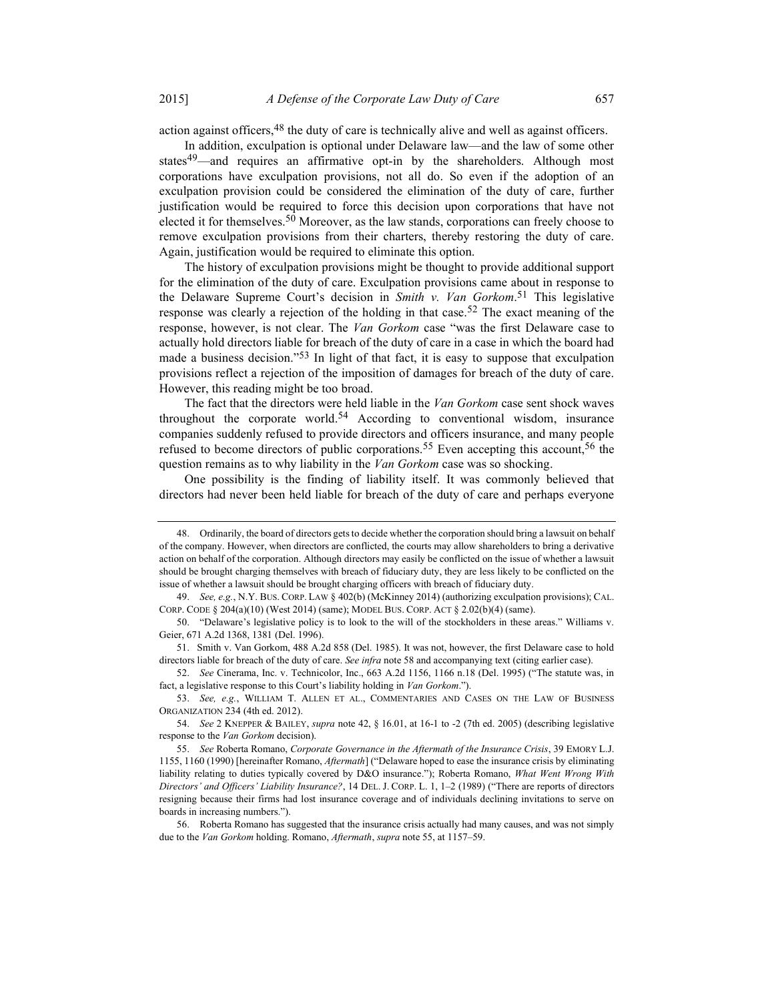action against officers,  $48$  the duty of care is technically alive and well as against officers.

In addition, exculpation is optional under Delaware law—and the law of some other states<sup>49</sup>—and requires an affirmative opt-in by the shareholders. Although most corporations have exculpation provisions, not all do. So even if the adoption of an exculpation provision could be considered the elimination of the duty of care, further justification would be required to force this decision upon corporations that have not elected it for themselves.<sup>50</sup> Moreover, as the law stands, corporations can freely choose to remove exculpation provisions from their charters, thereby restoring the duty of care. Again, justification would be required to eliminate this option.

The history of exculpation provisions might be thought to provide additional support for the elimination of the duty of care. Exculpation provisions came about in response to the Delaware Supreme Court's decision in Smith v. Van Gorkom.<sup>51</sup> This legislative response was clearly a rejection of the holding in that case.<sup>52</sup> The exact meaning of the response, however, is not clear. The Van Gorkom case "was the first Delaware case to actually hold directors liable for breach of the duty of care in a case in which the board had made a business decision."<sup>53</sup> In light of that fact, it is easy to suppose that exculpation provisions reflect a rejection of the imposition of damages for breach of the duty of care. However, this reading might be too broad.

The fact that the directors were held liable in the Van Gorkom case sent shock waves throughout the corporate world.<sup>54</sup> According to conventional wisdom, insurance companies suddenly refused to provide directors and officers insurance, and many people refused to become directors of public corporations.<sup>55</sup> Even accepting this account,<sup>56</sup> the question remains as to why liability in the Van Gorkom case was so shocking.

One possibility is the finding of liability itself. It was commonly believed that directors had never been held liable for breach of the duty of care and perhaps everyone

 <sup>48.</sup> Ordinarily, the board of directors gets to decide whether the corporation should bring a lawsuit on behalf of the company. However, when directors are conflicted, the courts may allow shareholders to bring a derivative action on behalf of the corporation. Although directors may easily be conflicted on the issue of whether a lawsuit should be brought charging themselves with breach of fiduciary duty, they are less likely to be conflicted on the issue of whether a lawsuit should be brought charging officers with breach of fiduciary duty.

 <sup>49.</sup> See, e.g., N.Y. BUS. CORP. LAW § 402(b) (McKinney 2014) (authorizing exculpation provisions); CAL. CORP. CODE § 204(a)(10) (West 2014) (same); MODEL BUS. CORP. ACT § 2.02(b)(4) (same).

 <sup>50. &</sup>quot;Delaware's legislative policy is to look to the will of the stockholders in these areas." Williams v. Geier, 671 A.2d 1368, 1381 (Del. 1996).

 <sup>51.</sup> Smith v. Van Gorkom, 488 A.2d 858 (Del. 1985). It was not, however, the first Delaware case to hold directors liable for breach of the duty of care. See infra note 58 and accompanying text (citing earlier case).

 <sup>52.</sup> See Cinerama, Inc. v. Technicolor, Inc., 663 A.2d 1156, 1166 n.18 (Del. 1995) ("The statute was, in fact, a legislative response to this Court's liability holding in Van Gorkom.").

 <sup>53.</sup> See, e.g., WILLIAM T. ALLEN ET AL., COMMENTARIES AND CASES ON THE LAW OF BUSINESS ORGANIZATION 234 (4th ed. 2012).

 <sup>54.</sup> See 2 KNEPPER & BAILEY, supra note 42, § 16.01, at 16-1 to -2 (7th ed. 2005) (describing legislative response to the Van Gorkom decision).

<sup>55.</sup> See Roberta Romano, Corporate Governance in the Aftermath of the Insurance Crisis, 39 EMORY L.J. 1155, 1160 (1990) [hereinafter Romano, Aftermath] ("Delaware hoped to ease the insurance crisis by eliminating liability relating to duties typically covered by D&O insurance."); Roberta Romano, What Went Wrong With Directors' and Officers' Liability Insurance?, 14 DEL. J. CORP. L. 1, 1-2 (1989) ("There are reports of directors resigning because their firms had lost insurance coverage and of individuals declining invitations to serve on boards in increasing numbers.").

 <sup>56.</sup> Roberta Romano has suggested that the insurance crisis actually had many causes, and was not simply due to the *Van Gorkom* holding. Romano, *Aftermath*, *supra* note 55, at 1157–59.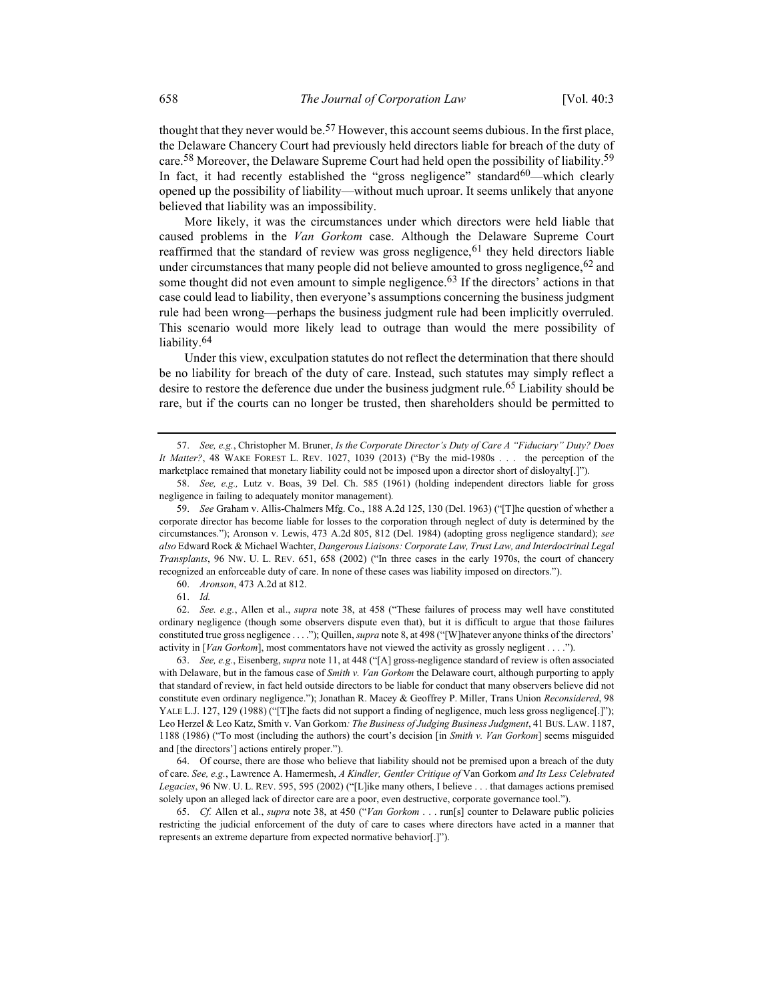thought that they never would be.<sup>57</sup> However, this account seems dubious. In the first place, the Delaware Chancery Court had previously held directors liable for breach of the duty of care.<sup>58</sup> Moreover, the Delaware Supreme Court had held open the possibility of liability.<sup>59</sup> In fact, it had recently established the "gross negligence" standard<sup>60</sup>—which clearly opened up the possibility of liability—without much uproar. It seems unlikely that anyone believed that liability was an impossibility.

More likely, it was the circumstances under which directors were held liable that caused problems in the Van Gorkom case. Although the Delaware Supreme Court reaffirmed that the standard of review was gross negligence,  $61$  they held directors liable under circumstances that many people did not believe amounted to gross negligence,  $62$  and some thought did not even amount to simple negligence.<sup>63</sup> If the directors' actions in that case could lead to liability, then everyone's assumptions concerning the business judgment rule had been wrong—perhaps the business judgment rule had been implicitly overruled. This scenario would more likely lead to outrage than would the mere possibility of liability.<sup>64</sup>

Under this view, exculpation statutes do not reflect the determination that there should be no liability for breach of the duty of care. Instead, such statutes may simply reflect a desire to restore the deference due under the business judgment rule.<sup>65</sup> Liability should be rare, but if the courts can no longer be trusted, then shareholders should be permitted to

60. Aronson, 473 A.2d at 812.

 62. See. e.g., Allen et al., supra note 38, at 458 ("These failures of process may well have constituted ordinary negligence (though some observers dispute even that), but it is difficult to argue that those failures constituted true gross negligence . . . ."); Quillen, *supra* note 8, at 498 ("[W] hatever anyone thinks of the directors' activity in [Van Gorkom], most commentators have not viewed the activity as grossly negligent . . . .").

 63. See, e.g., Eisenberg, supra note 11, at 448 ("[A] gross-negligence standard of review is often associated with Delaware, but in the famous case of Smith v. Van Gorkom the Delaware court, although purporting to apply that standard of review, in fact held outside directors to be liable for conduct that many observers believe did not constitute even ordinary negligence."); Jonathan R. Macey & Geoffrey P. Miller, Trans Union Reconsidered, 98 YALE L.J. 127, 129 (1988) ("[T]he facts did not support a finding of negligence, much less gross negligence[.]"); Leo Herzel & Leo Katz, Smith v. Van Gorkom: The Business of Judging Business Judgment, 41 BUS. LAW. 1187, 1188 (1986) ("To most (including the authors) the court's decision [in Smith v. Van Gorkom] seems misguided and [the directors'] actions entirely proper.").

 64. Of course, there are those who believe that liability should not be premised upon a breach of the duty of care. See, e.g., Lawrence A. Hamermesh, A Kindler, Gentler Critique of Van Gorkom and Its Less Celebrated Legacies, 96 NW. U. L. REV. 595, 595 (2002) ("[L]ike many others, I believe . . . that damages actions premised solely upon an alleged lack of director care are a poor, even destructive, corporate governance tool.").

 65. Cf. Allen et al., supra note 38, at 450 ("Van Gorkom . . . run[s] counter to Delaware public policies restricting the judicial enforcement of the duty of care to cases where directors have acted in a manner that represents an extreme departure from expected normative behavior[.]").

<sup>57.</sup> See, e.g., Christopher M. Bruner, Is the Corporate Director's Duty of Care A "Fiduciary" Duty? Does It Matter?, 48 WAKE FOREST L. REV. 1027, 1039 (2013) ("By the mid-1980s . . . the perception of the marketplace remained that monetary liability could not be imposed upon a director short of disloyalty[.]").

 <sup>58.</sup> See, e.g., Lutz v. Boas, 39 Del. Ch. 585 (1961) (holding independent directors liable for gross negligence in failing to adequately monitor management).

 <sup>59.</sup> See Graham v. Allis-Chalmers Mfg. Co., 188 A.2d 125, 130 (Del. 1963) ("[T]he question of whether a corporate director has become liable for losses to the corporation through neglect of duty is determined by the circumstances."); Aronson v. Lewis, 473 A.2d 805, 812 (Del. 1984) (adopting gross negligence standard); see also Edward Rock & Michael Wachter, Dangerous Liaisons: Corporate Law, Trust Law, and Interdoctrinal Legal Transplants, 96 NW. U. L. REV. 651, 658 (2002) ("In three cases in the early 1970s, the court of chancery recognized an enforceable duty of care. In none of these cases was liability imposed on directors.").

 <sup>61.</sup> Id.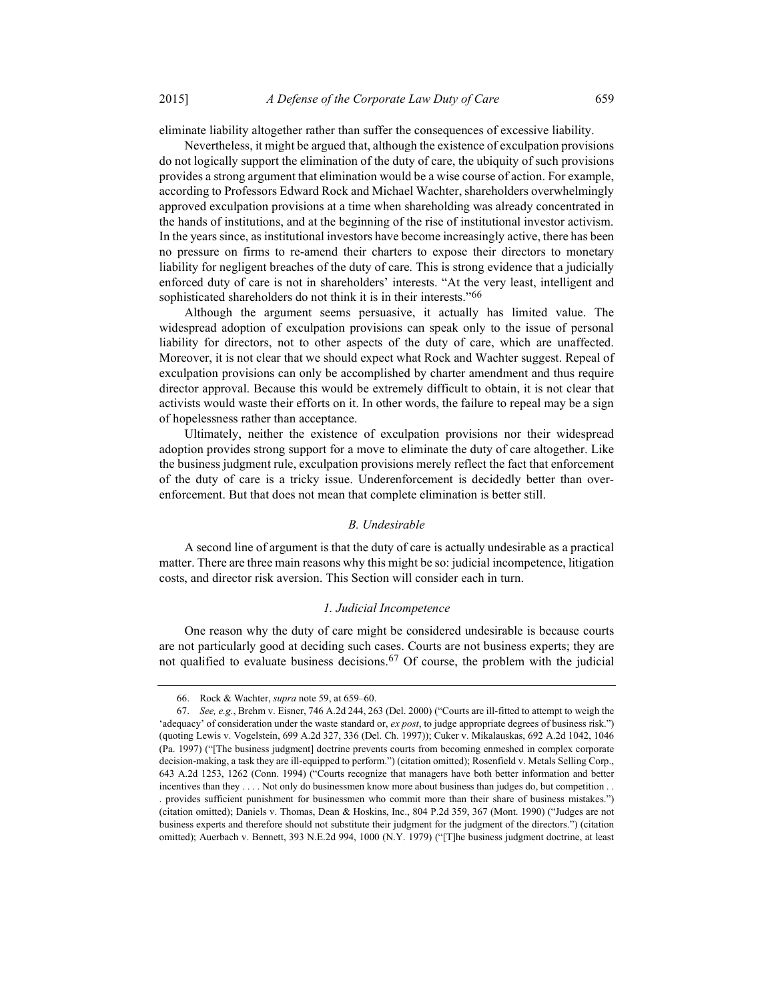eliminate liability altogether rather than suffer the consequences of excessive liability.

Nevertheless, it might be argued that, although the existence of exculpation provisions do not logically support the elimination of the duty of care, the ubiquity of such provisions provides a strong argument that elimination would be a wise course of action. For example, according to Professors Edward Rock and Michael Wachter, shareholders overwhelmingly approved exculpation provisions at a time when shareholding was already concentrated in the hands of institutions, and at the beginning of the rise of institutional investor activism. In the years since, as institutional investors have become increasingly active, there has been no pressure on firms to re-amend their charters to expose their directors to monetary liability for negligent breaches of the duty of care. This is strong evidence that a judicially enforced duty of care is not in shareholders' interests. "At the very least, intelligent and sophisticated shareholders do not think it is in their interests."66

Although the argument seems persuasive, it actually has limited value. The widespread adoption of exculpation provisions can speak only to the issue of personal liability for directors, not to other aspects of the duty of care, which are unaffected. Moreover, it is not clear that we should expect what Rock and Wachter suggest. Repeal of exculpation provisions can only be accomplished by charter amendment and thus require director approval. Because this would be extremely difficult to obtain, it is not clear that activists would waste their efforts on it. In other words, the failure to repeal may be a sign of hopelessness rather than acceptance.

Ultimately, neither the existence of exculpation provisions nor their widespread adoption provides strong support for a move to eliminate the duty of care altogether. Like the business judgment rule, exculpation provisions merely reflect the fact that enforcement of the duty of care is a tricky issue. Underenforcement is decidedly better than overenforcement. But that does not mean that complete elimination is better still.

### B. Undesirable

A second line of argument is that the duty of care is actually undesirable as a practical matter. There are three main reasons why this might be so: judicial incompetence, litigation costs, and director risk aversion. This Section will consider each in turn.

#### 1. Judicial Incompetence

One reason why the duty of care might be considered undesirable is because courts are not particularly good at deciding such cases. Courts are not business experts; they are not qualified to evaluate business decisions.<sup>67</sup> Of course, the problem with the judicial

 <sup>66.</sup> Rock & Wachter, supra note 59, at 659–60.

 <sup>67.</sup> See, e.g., Brehm v. Eisner, 746 A.2d 244, 263 (Del. 2000) ("Courts are ill-fitted to attempt to weigh the 'adequacy' of consideration under the waste standard or, ex post, to judge appropriate degrees of business risk.") (quoting Lewis v. Vogelstein, 699 A.2d 327, 336 (Del. Ch. 1997)); Cuker v. Mikalauskas, 692 A.2d 1042, 1046 (Pa. 1997) ("[The business judgment] doctrine prevents courts from becoming enmeshed in complex corporate decision-making, a task they are ill-equipped to perform.") (citation omitted); Rosenfield v. Metals Selling Corp., 643 A.2d 1253, 1262 (Conn. 1994) ("Courts recognize that managers have both better information and better incentives than they . . . . Not only do businessmen know more about business than judges do, but competition . . . provides sufficient punishment for businessmen who commit more than their share of business mistakes.") (citation omitted); Daniels v. Thomas, Dean & Hoskins, Inc., 804 P.2d 359, 367 (Mont. 1990) ("Judges are not business experts and therefore should not substitute their judgment for the judgment of the directors.") (citation omitted); Auerbach v. Bennett, 393 N.E.2d 994, 1000 (N.Y. 1979) ("[T]he business judgment doctrine, at least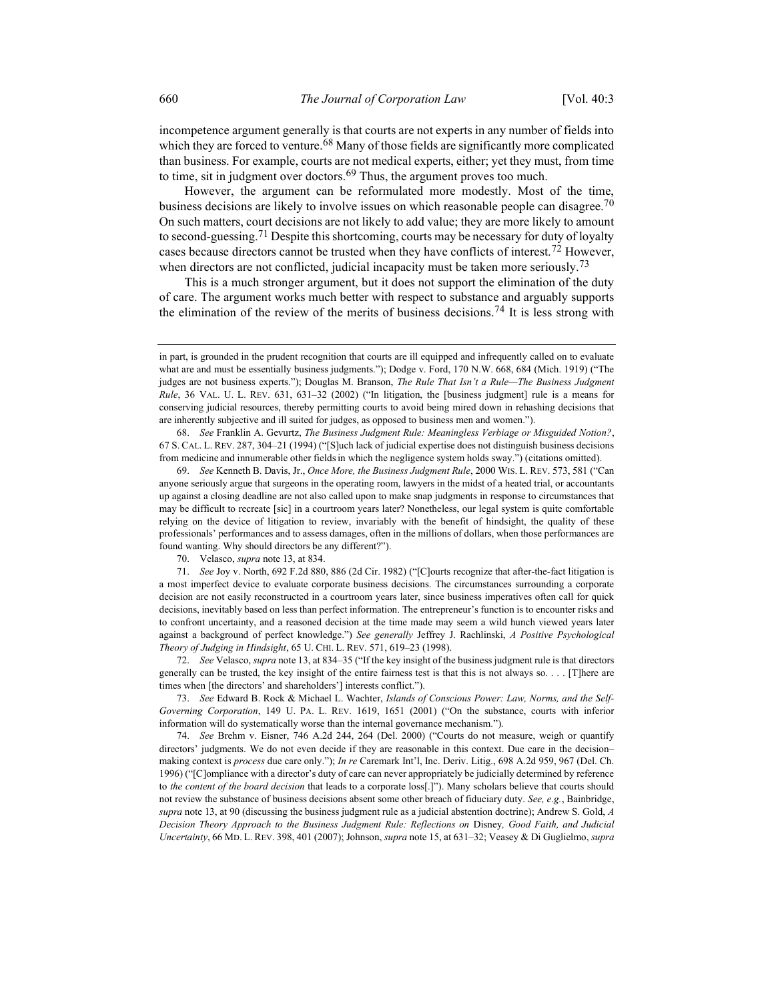incompetence argument generally is that courts are not experts in any number of fields into which they are forced to venture.<sup>68</sup> Many of those fields are significantly more complicated than business. For example, courts are not medical experts, either; yet they must, from time to time, sit in judgment over doctors.<sup>69</sup> Thus, the argument proves too much.

However, the argument can be reformulated more modestly. Most of the time, business decisions are likely to involve issues on which reasonable people can disagree.<sup>70</sup> On such matters, court decisions are not likely to add value; they are more likely to amount to second-guessing.<sup>71</sup> Despite this shortcoming, courts may be necessary for duty of loyalty cases because directors cannot be trusted when they have conflicts of interest.<sup>72</sup> However, when directors are not conflicted, judicial incapacity must be taken more seriously.<sup>73</sup>

This is a much stronger argument, but it does not support the elimination of the duty of care. The argument works much better with respect to substance and arguably supports the elimination of the review of the merits of business decisions.<sup>74</sup> It is less strong with

 68. See Franklin A. Gevurtz, The Business Judgment Rule: Meaningless Verbiage or Misguided Notion?, 67 S. CAL. L. REV. 287, 304–21 (1994) ("[S]uch lack of judicial expertise does not distinguish business decisions from medicine and innumerable other fieldsin which the negligence system holds sway.") (citations omitted).

 69. See Kenneth B. Davis, Jr., Once More, the Business Judgment Rule, 2000 WIS. L. REV. 573, 581 ("Can anyone seriously argue that surgeons in the operating room, lawyers in the midst of a heated trial, or accountants up against a closing deadline are not also called upon to make snap judgments in response to circumstances that may be difficult to recreate [sic] in a courtroom years later? Nonetheless, our legal system is quite comfortable relying on the device of litigation to review, invariably with the benefit of hindsight, the quality of these professionals' performances and to assess damages, often in the millions of dollars, when those performances are found wanting. Why should directors be any different?").

70. Velasco, supra note 13, at 834.

 71. See Joy v. North, 692 F.2d 880, 886 (2d Cir. 1982) ("[C]ourts recognize that after-the-fact litigation is a most imperfect device to evaluate corporate business decisions. The circumstances surrounding a corporate decision are not easily reconstructed in a courtroom years later, since business imperatives often call for quick decisions, inevitably based on less than perfect information. The entrepreneur's function is to encounter risks and to confront uncertainty, and a reasoned decision at the time made may seem a wild hunch viewed years later against a background of perfect knowledge.") See generally Jeffrey J. Rachlinski, A Positive Psychological Theory of Judging in Hindsight, 65 U. CHI. L. REV. 571, 619–23 (1998).

72. See Velasco, supra note 13, at 834–35 ("If the key insight of the business judgment rule is that directors generally can be trusted, the key insight of the entire fairness test is that this is not always so.  $\ldots$ . [T]here are times when [the directors' and shareholders'] interests conflict.").

 73. See Edward B. Rock & Michael L. Wachter, Islands of Conscious Power: Law, Norms, and the Self-Governing Corporation, 149 U. PA. L. REV. 1619, 1651 (2001) ("On the substance, courts with inferior information will do systematically worse than the internal governance mechanism.").

 74. See Brehm v. Eisner, 746 A.2d 244, 264 (Del. 2000) ("Courts do not measure, weigh or quantify directors' judgments. We do not even decide if they are reasonable in this context. Due care in the decision– making context is *process* due care only."); In re Caremark Int'l, Inc. Deriv. Litig., 698 A.2d 959, 967 (Del. Ch. 1996) ("[C]ompliance with a director's duty of care can never appropriately be judicially determined by reference to the content of the board decision that leads to a corporate loss[.]"). Many scholars believe that courts should not review the substance of business decisions absent some other breach of fiduciary duty. See, e.g., Bainbridge, supra note 13, at 90 (discussing the business judgment rule as a judicial abstention doctrine); Andrew S. Gold,  $A$ Decision Theory Approach to the Business Judgment Rule: Reflections on Disney, Good Faith, and Judicial Uncertainty, 66 MD. L. REV. 398, 401 (2007); Johnson, *supra* note 15, at 631–32; Veasey & Di Guglielmo, *supra* 

in part, is grounded in the prudent recognition that courts are ill equipped and infrequently called on to evaluate what are and must be essentially business judgments."); Dodge v. Ford, 170 N.W. 668, 684 (Mich. 1919) ("The judges are not business experts."); Douglas M. Branson, The Rule That Isn't a Rule—The Business Judgment Rule, 36 VAL. U. L. REV. 631, 631–32 (2002) ("In litigation, the [business judgment] rule is a means for conserving judicial resources, thereby permitting courts to avoid being mired down in rehashing decisions that are inherently subjective and ill suited for judges, as opposed to business men and women.").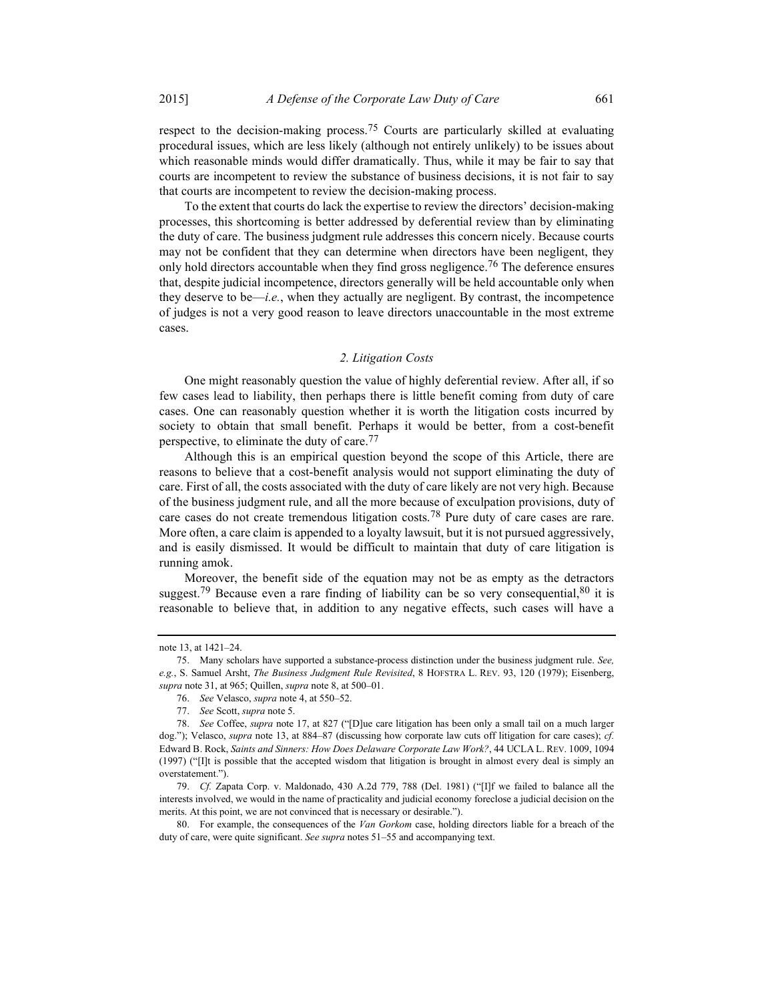respect to the decision-making process.<sup>75</sup> Courts are particularly skilled at evaluating procedural issues, which are less likely (although not entirely unlikely) to be issues about which reasonable minds would differ dramatically. Thus, while it may be fair to say that courts are incompetent to review the substance of business decisions, it is not fair to say that courts are incompetent to review the decision-making process.

To the extent that courts do lack the expertise to review the directors' decision-making processes, this shortcoming is better addressed by deferential review than by eliminating the duty of care. The business judgment rule addresses this concern nicely. Because courts may not be confident that they can determine when directors have been negligent, they only hold directors accountable when they find gross negligence.<sup>76</sup> The deference ensures that, despite judicial incompetence, directors generally will be held accountable only when they deserve to be—*i.e.*, when they actually are negligent. By contrast, the incompetence of judges is not a very good reason to leave directors unaccountable in the most extreme cases.

### 2. Litigation Costs

One might reasonably question the value of highly deferential review. After all, if so few cases lead to liability, then perhaps there is little benefit coming from duty of care cases. One can reasonably question whether it is worth the litigation costs incurred by society to obtain that small benefit. Perhaps it would be better, from a cost-benefit perspective, to eliminate the duty of care.<sup>77</sup>

Although this is an empirical question beyond the scope of this Article, there are reasons to believe that a cost-benefit analysis would not support eliminating the duty of care. First of all, the costs associated with the duty of care likely are not very high. Because of the business judgment rule, and all the more because of exculpation provisions, duty of care cases do not create tremendous litigation costs.78 Pure duty of care cases are rare. More often, a care claim is appended to a loyalty lawsuit, but it is not pursued aggressively, and is easily dismissed. It would be difficult to maintain that duty of care litigation is running amok.

Moreover, the benefit side of the equation may not be as empty as the detractors suggest.<sup>79</sup> Because even a rare finding of liability can be so very consequential,  $80$  it is reasonable to believe that, in addition to any negative effects, such cases will have a

note 13, at 1421–24.

 <sup>75.</sup> Many scholars have supported a substance-process distinction under the business judgment rule. See, e.g., S. Samuel Arsht, The Business Judgment Rule Revisited, 8 HOFSTRA L. REV. 93, 120 (1979); Eisenberg, supra note 31, at 965; Quillen, supra note 8, at 500-01.

 <sup>76.</sup> See Velasco, supra note 4, at 550–52.

 <sup>77.</sup> See Scott, supra note 5.

 <sup>78.</sup> See Coffee, supra note 17, at 827 ("[D]ue care litigation has been only a small tail on a much larger dog."); Velasco, supra note 13, at 884–87 (discussing how corporate law cuts off litigation for care cases); cf. Edward B. Rock, Saints and Sinners: How Does Delaware Corporate Law Work?, 44 UCLA L. REV. 1009, 1094 (1997) ("[I]t is possible that the accepted wisdom that litigation is brought in almost every deal is simply an overstatement.").

 <sup>79.</sup> Cf. Zapata Corp. v. Maldonado, 430 A.2d 779, 788 (Del. 1981) ("[I]f we failed to balance all the interests involved, we would in the name of practicality and judicial economy foreclose a judicial decision on the merits. At this point, we are not convinced that is necessary or desirable.").

 <sup>80.</sup> For example, the consequences of the Van Gorkom case, holding directors liable for a breach of the duty of care, were quite significant. See supra notes 51–55 and accompanying text.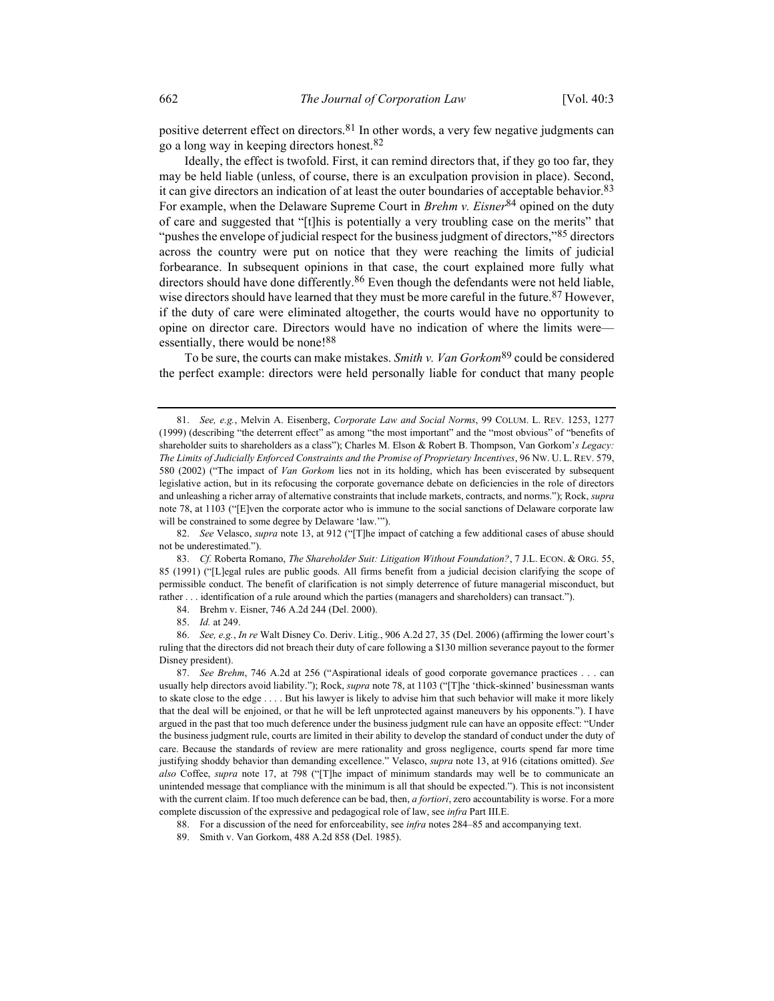positive deterrent effect on directors.<sup>81</sup> In other words, a very few negative judgments can go a long way in keeping directors honest.82

Ideally, the effect is twofold. First, it can remind directors that, if they go too far, they may be held liable (unless, of course, there is an exculpation provision in place). Second, it can give directors an indication of at least the outer boundaries of acceptable behavior.<sup>83</sup> For example, when the Delaware Supreme Court in *Brehm v. Eisner*<sup>84</sup> opined on the duty of care and suggested that "[t]his is potentially a very troubling case on the merits" that "pushes the envelope of judicial respect for the business judgment of directors,"<sup>85</sup> directors across the country were put on notice that they were reaching the limits of judicial forbearance. In subsequent opinions in that case, the court explained more fully what directors should have done differently.<sup>86</sup> Even though the defendants were not held liable, wise directors should have learned that they must be more careful in the future.<sup>87</sup> However, if the duty of care were eliminated altogether, the courts would have no opportunity to opine on director care. Directors would have no indication of where the limits were essentially, there would be none!<sup>88</sup>

To be sure, the courts can make mistakes. Smith v. Van Gorkom<sup>89</sup> could be considered the perfect example: directors were held personally liable for conduct that many people

82. See Velasco, supra note 13, at 912 ("[T]he impact of catching a few additional cases of abuse should not be underestimated.").

83. Cf. Roberta Romano, The Shareholder Suit: Litigation Without Foundation?, 7 J.L. ECON. & ORG. 55, 85 (1991) ("[L]egal rules are public goods. All firms benefit from a judicial decision clarifying the scope of permissible conduct. The benefit of clarification is not simply deterrence of future managerial misconduct, but rather . . . identification of a rule around which the parties (managers and shareholders) can transact.").

84. Brehm v. Eisner, 746 A.2d 244 (Del. 2000).

85. Id. at 249.

 86. See, e.g., In re Walt Disney Co. Deriv. Litig., 906 A.2d 27, 35 (Del. 2006) (affirming the lower court's ruling that the directors did not breach their duty of care following a \$130 million severance payout to the former Disney president).

87. See Brehm, 746 A.2d at 256 ("Aspirational ideals of good corporate governance practices . . . can usually help directors avoid liability."); Rock, supra note 78, at 1103 ("[T]he 'thick-skinned' businessman wants to skate close to the edge . . . . But his lawyer is likely to advise him that such behavior will make it more likely that the deal will be enjoined, or that he will be left unprotected against maneuvers by his opponents."). I have argued in the past that too much deference under the business judgment rule can have an opposite effect: "Under the business judgment rule, courts are limited in their ability to develop the standard of conduct under the duty of care. Because the standards of review are mere rationality and gross negligence, courts spend far more time justifying shoddy behavior than demanding excellence." Velasco, *supra* note 13, at 916 (citations omitted). See also Coffee, supra note 17, at 798 ("[T]he impact of minimum standards may well be to communicate an unintended message that compliance with the minimum is all that should be expected."). This is not inconsistent with the current claim. If too much deference can be bad, then, a fortiori, zero accountability is worse. For a more complete discussion of the expressive and pedagogical role of law, see infra Part III.E.

88. For a discussion of the need for enforceability, see *infra* notes 284–85 and accompanying text.

89. Smith v. Van Gorkom, 488 A.2d 858 (Del. 1985).

 <sup>81.</sup> See, e.g., Melvin A. Eisenberg, Corporate Law and Social Norms, 99 COLUM. L. REV. 1253, 1277 (1999) (describing "the deterrent effect" as among "the most important" and the "most obvious" of "benefits of shareholder suits to shareholders as a class"); Charles M. Elson & Robert B. Thompson, Van Gorkom's Legacy: The Limits of Judicially Enforced Constraints and the Promise of Proprietary Incentives, 96 NW. U. L. REV. 579, 580 (2002) ("The impact of Van Gorkom lies not in its holding, which has been eviscerated by subsequent legislative action, but in its refocusing the corporate governance debate on deficiencies in the role of directors and unleashing a richer array of alternative constraints that include markets, contracts, and norms."); Rock, supra note 78, at 1103 ("[E]ven the corporate actor who is immune to the social sanctions of Delaware corporate law will be constrained to some degree by Delaware 'law.'").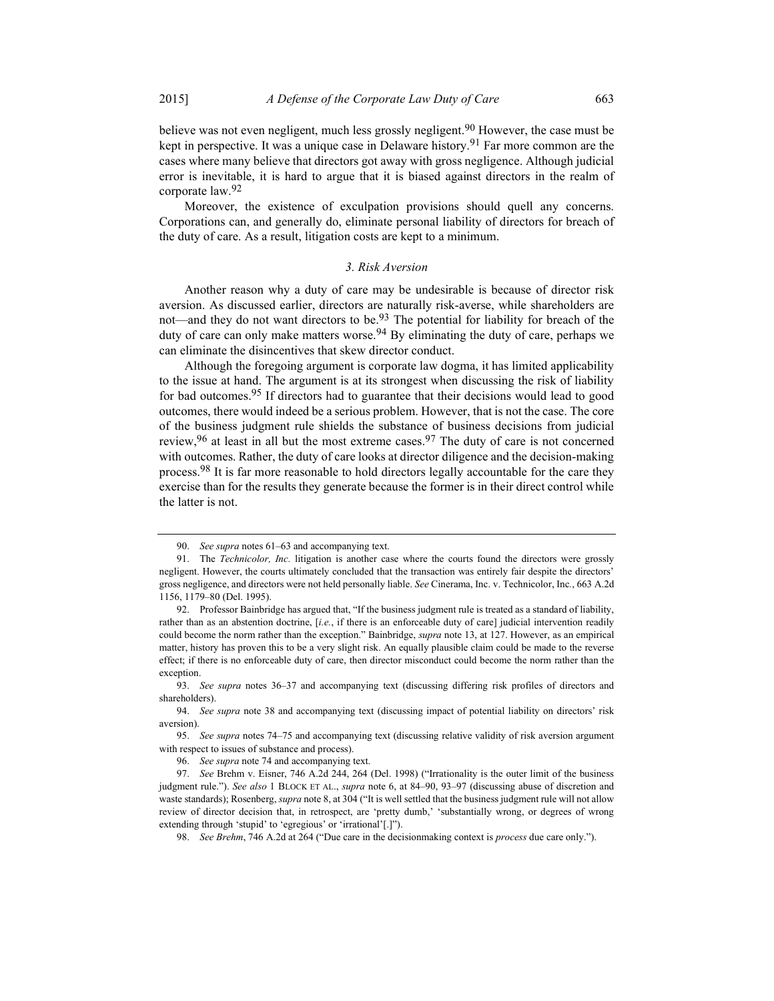believe was not even negligent, much less grossly negligent.<sup>90</sup> However, the case must be kept in perspective. It was a unique case in Delaware history.<sup>91</sup> Far more common are the cases where many believe that directors got away with gross negligence. Although judicial error is inevitable, it is hard to argue that it is biased against directors in the realm of corporate law.92

Moreover, the existence of exculpation provisions should quell any concerns. Corporations can, and generally do, eliminate personal liability of directors for breach of the duty of care. As a result, litigation costs are kept to a minimum.

#### 3. Risk Aversion

Another reason why a duty of care may be undesirable is because of director risk aversion. As discussed earlier, directors are naturally risk-averse, while shareholders are not—and they do not want directors to be.<sup>93</sup> The potential for liability for breach of the duty of care can only make matters worse.<sup>94</sup> By eliminating the duty of care, perhaps we can eliminate the disincentives that skew director conduct.

Although the foregoing argument is corporate law dogma, it has limited applicability to the issue at hand. The argument is at its strongest when discussing the risk of liability for bad outcomes.<sup>95</sup> If directors had to guarantee that their decisions would lead to good outcomes, there would indeed be a serious problem. However, that is not the case. The core of the business judgment rule shields the substance of business decisions from judicial review,  $96$  at least in all but the most extreme cases.  $97$  The duty of care is not concerned with outcomes. Rather, the duty of care looks at director diligence and the decision-making process.<sup>98</sup> It is far more reasonable to hold directors legally accountable for the care they exercise than for the results they generate because the former is in their direct control while the latter is not.

 <sup>90.</sup> See supra notes 61–63 and accompanying text.

 <sup>91.</sup> The Technicolor, Inc. litigation is another case where the courts found the directors were grossly negligent. However, the courts ultimately concluded that the transaction was entirely fair despite the directors' gross negligence, and directors were not held personally liable. See Cinerama, Inc. v. Technicolor, Inc., 663 A.2d 1156, 1179–80 (Del. 1995).

 <sup>92.</sup> Professor Bainbridge has argued that, "If the business judgment rule is treated as a standard of liability, rather than as an abstention doctrine,  $[i.e.,$  if there is an enforceable duty of care] judicial intervention readily could become the norm rather than the exception." Bainbridge, *supra* note 13, at 127. However, as an empirical matter, history has proven this to be a very slight risk. An equally plausible claim could be made to the reverse effect; if there is no enforceable duty of care, then director misconduct could become the norm rather than the exception.

 <sup>93.</sup> See supra notes 36–37 and accompanying text (discussing differing risk profiles of directors and shareholders).

 <sup>94.</sup> See supra note 38 and accompanying text (discussing impact of potential liability on directors' risk aversion).

 <sup>95.</sup> See supra notes 74–75 and accompanying text (discussing relative validity of risk aversion argument with respect to issues of substance and process).

 <sup>96.</sup> See supra note 74 and accompanying text.

 <sup>97.</sup> See Brehm v. Eisner, 746 A.2d 244, 264 (Del. 1998) ("Irrationality is the outer limit of the business judgment rule."). See also 1 BLOCK ET AL., supra note 6, at 84-90, 93-97 (discussing abuse of discretion and waste standards); Rosenberg, *supra* note 8, at 304 ("It is well settled that the business judgment rule will not allow review of director decision that, in retrospect, are 'pretty dumb,' 'substantially wrong, or degrees of wrong extending through 'stupid' to 'egregious' or 'irrational'[.]").

 <sup>98.</sup> See Brehm, 746 A.2d at 264 ("Due care in the decisionmaking context is process due care only.").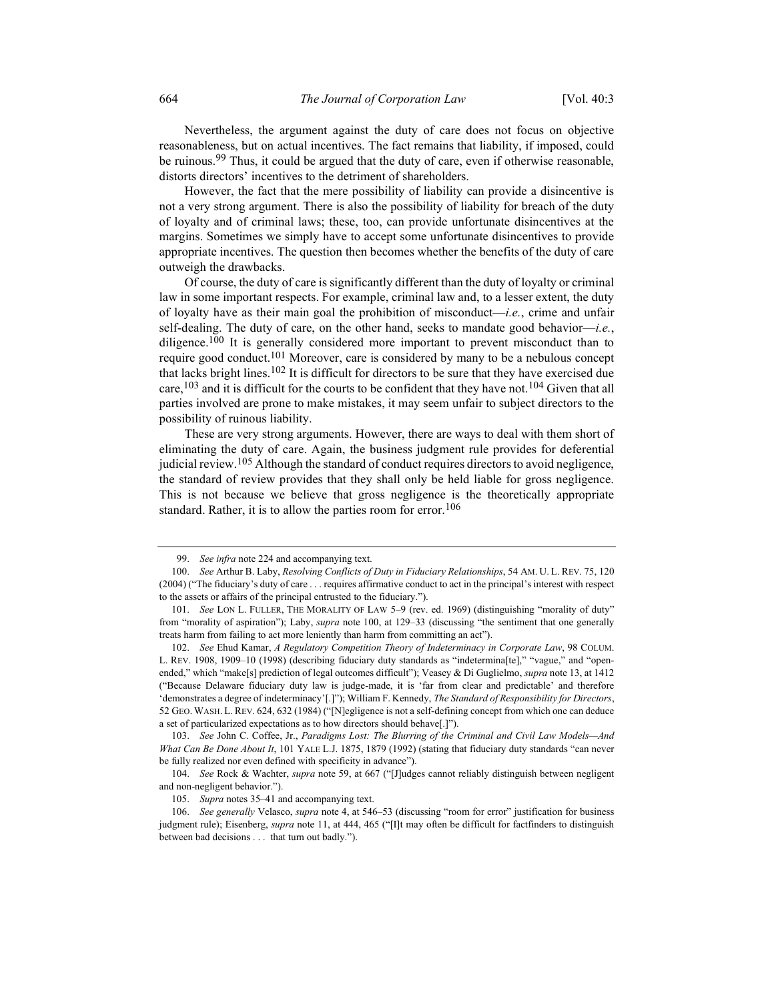Nevertheless, the argument against the duty of care does not focus on objective reasonableness, but on actual incentives. The fact remains that liability, if imposed, could be ruinous.<sup>99</sup> Thus, it could be argued that the duty of care, even if otherwise reasonable, distorts directors' incentives to the detriment of shareholders.

However, the fact that the mere possibility of liability can provide a disincentive is not a very strong argument. There is also the possibility of liability for breach of the duty of loyalty and of criminal laws; these, too, can provide unfortunate disincentives at the margins. Sometimes we simply have to accept some unfortunate disincentives to provide appropriate incentives. The question then becomes whether the benefits of the duty of care outweigh the drawbacks.

Of course, the duty of care is significantly different than the duty of loyalty or criminal law in some important respects. For example, criminal law and, to a lesser extent, the duty of loyalty have as their main goal the prohibition of misconduct—i.e., crime and unfair self-dealing. The duty of care, on the other hand, seeks to mandate good behavior-i.e., diligence.<sup>100</sup> It is generally considered more important to prevent misconduct than to require good conduct.<sup>101</sup> Moreover, care is considered by many to be a nebulous concept that lacks bright lines.<sup>102</sup> It is difficult for directors to be sure that they have exercised due care,  $103$  and it is difficult for the courts to be confident that they have not.  $104$  Given that all parties involved are prone to make mistakes, it may seem unfair to subject directors to the possibility of ruinous liability.

These are very strong arguments. However, there are ways to deal with them short of eliminating the duty of care. Again, the business judgment rule provides for deferential judicial review.<sup>105</sup> Although the standard of conduct requires directors to avoid negligence, the standard of review provides that they shall only be held liable for gross negligence. This is not because we believe that gross negligence is the theoretically appropriate standard. Rather, it is to allow the parties room for error.<sup>106</sup>

 <sup>99.</sup> See infra note 224 and accompanying text.

 <sup>100.</sup> See Arthur B. Laby, Resolving Conflicts of Duty in Fiduciary Relationships, 54 AM. U. L. REV. 75, 120 (2004) ("The fiduciary's duty of care . . . requires affirmative conduct to act in the principal's interest with respect to the assets or affairs of the principal entrusted to the fiduciary.").

 <sup>101.</sup> See LON L. FULLER, THE MORALITY OF LAW 5–9 (rev. ed. 1969) (distinguishing "morality of duty" from "morality of aspiration"); Laby, *supra* note 100, at 129-33 (discussing "the sentiment that one generally treats harm from failing to act more leniently than harm from committing an act").

 <sup>102.</sup> See Ehud Kamar, A Regulatory Competition Theory of Indeterminacy in Corporate Law, 98 COLUM. L. REV. 1908, 1909–10 (1998) (describing fiduciary duty standards as "indetermina[te]," "vague," and "openended," which "make[s] prediction of legal outcomes difficult"); Veasey & Di Guglielmo, *supra* note 13, at 1412 ("Because Delaware fiduciary duty law is judge-made, it is 'far from clear and predictable' and therefore 'demonstrates a degree of indeterminacy'[.]"); William F. Kennedy, The Standard of Responsibility for Directors, 52 GEO. WASH. L. REV. 624, 632 (1984) ("[N]egligence is not a self-defining concept from which one can deduce a set of particularized expectations as to how directors should behave[.]").

 <sup>103.</sup> See John C. Coffee, Jr., Paradigms Lost: The Blurring of the Criminal and Civil Law Models—And What Can Be Done About It, 101 YALE L.J. 1875, 1879 (1992) (stating that fiduciary duty standards "can never be fully realized nor even defined with specificity in advance").

 <sup>104.</sup> See Rock & Wachter, supra note 59, at 667 ("[J]udges cannot reliably distinguish between negligent and non-negligent behavior.").

<sup>105.</sup> Supra notes 35–41 and accompanying text.

 <sup>106.</sup> See generally Velasco, supra note 4, at 546–53 (discussing "room for error" justification for business judgment rule); Eisenberg, *supra* note 11, at 444, 465 ("II)t may often be difficult for factfinders to distinguish between bad decisions . . . that turn out badly.").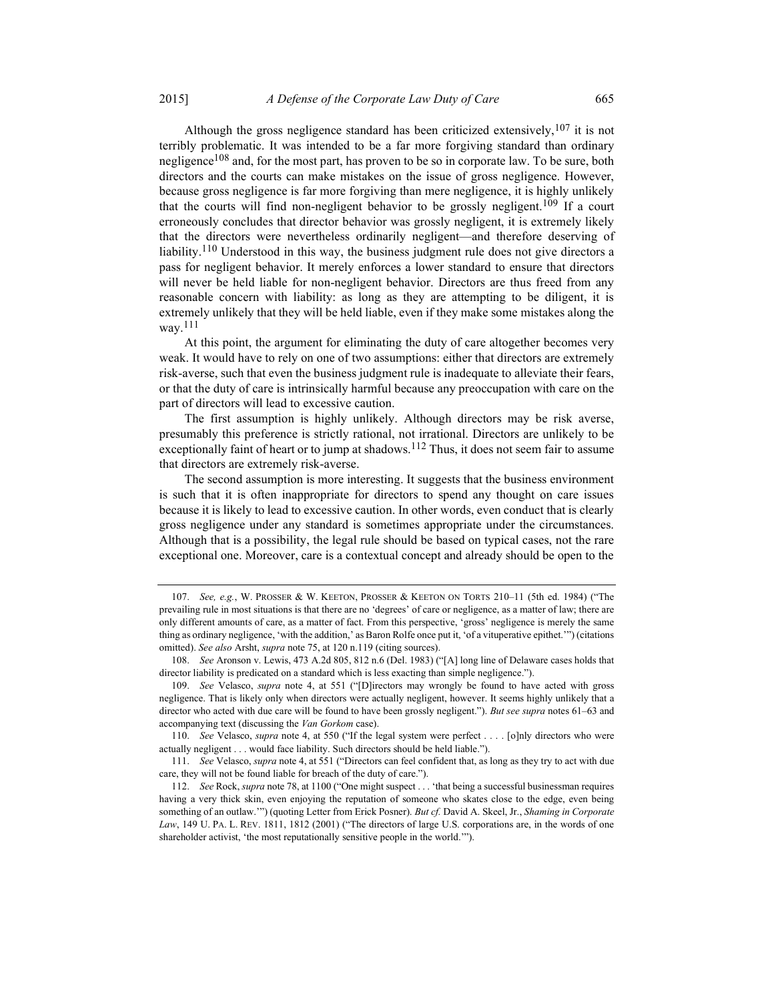Although the gross negligence standard has been criticized extensively,  $107$  it is not terribly problematic. It was intended to be a far more forgiving standard than ordinary negligence<sup>108</sup> and, for the most part, has proven to be so in corporate law. To be sure, both directors and the courts can make mistakes on the issue of gross negligence. However, because gross negligence is far more forgiving than mere negligence, it is highly unlikely that the courts will find non-negligent behavior to be grossly negligent.<sup>109</sup> If a court erroneously concludes that director behavior was grossly negligent, it is extremely likely that the directors were nevertheless ordinarily negligent—and therefore deserving of liability.<sup>110</sup> Understood in this way, the business judgment rule does not give directors a pass for negligent behavior. It merely enforces a lower standard to ensure that directors will never be held liable for non-negligent behavior. Directors are thus freed from any reasonable concern with liability: as long as they are attempting to be diligent, it is extremely unlikely that they will be held liable, even if they make some mistakes along the way.111

At this point, the argument for eliminating the duty of care altogether becomes very weak. It would have to rely on one of two assumptions: either that directors are extremely risk-averse, such that even the business judgment rule is inadequate to alleviate their fears, or that the duty of care is intrinsically harmful because any preoccupation with care on the part of directors will lead to excessive caution.

The first assumption is highly unlikely. Although directors may be risk averse, presumably this preference is strictly rational, not irrational. Directors are unlikely to be exceptionally faint of heart or to jump at shadows.<sup>112</sup> Thus, it does not seem fair to assume that directors are extremely risk-averse.

The second assumption is more interesting. It suggests that the business environment is such that it is often inappropriate for directors to spend any thought on care issues because it is likely to lead to excessive caution. In other words, even conduct that is clearly gross negligence under any standard is sometimes appropriate under the circumstances. Although that is a possibility, the legal rule should be based on typical cases, not the rare exceptional one. Moreover, care is a contextual concept and already should be open to the

 <sup>107.</sup> See, e.g., W. PROSSER & W. KEETON, PROSSER & KEETON ON TORTS 210–11 (5th ed. 1984) ("The prevailing rule in most situations is that there are no 'degrees' of care or negligence, as a matter of law; there are only different amounts of care, as a matter of fact. From this perspective, 'gross' negligence is merely the same thing as ordinary negligence, 'with the addition,' as Baron Rolfe once put it, 'of a vituperative epithet.'") (citations omitted). See also Arsht, supra note 75, at 120 n.119 (citing sources).

 <sup>108.</sup> See Aronson v. Lewis, 473 A.2d 805, 812 n.6 (Del. 1983) ("[A] long line of Delaware cases holds that director liability is predicated on a standard which is less exacting than simple negligence.").

 <sup>109.</sup> See Velasco, supra note 4, at 551 ("[D]irectors may wrongly be found to have acted with gross negligence. That is likely only when directors were actually negligent, however. It seems highly unlikely that a director who acted with due care will be found to have been grossly negligent."). But see supra notes 61–63 and accompanying text (discussing the Van Gorkom case).

 <sup>110.</sup> See Velasco, supra note 4, at 550 ("If the legal system were perfect . . . . [o]nly directors who were actually negligent . . . would face liability. Such directors should be held liable.").

 <sup>111.</sup> See Velasco, supra note 4, at 551 ("Directors can feel confident that, as long as they try to act with due care, they will not be found liable for breach of the duty of care.").

<sup>112.</sup> See Rock, supra note 78, at 1100 ("One might suspect . . . 'that being a successful businessman requires having a very thick skin, even enjoying the reputation of someone who skates close to the edge, even being something of an outlaw."") (quoting Letter from Erick Posner). But cf. David A. Skeel, Jr., Shaming in Corporate Law, 149 U. PA. L. REV. 1811, 1812 (2001) ("The directors of large U.S. corporations are, in the words of one shareholder activist, 'the most reputationally sensitive people in the world.'").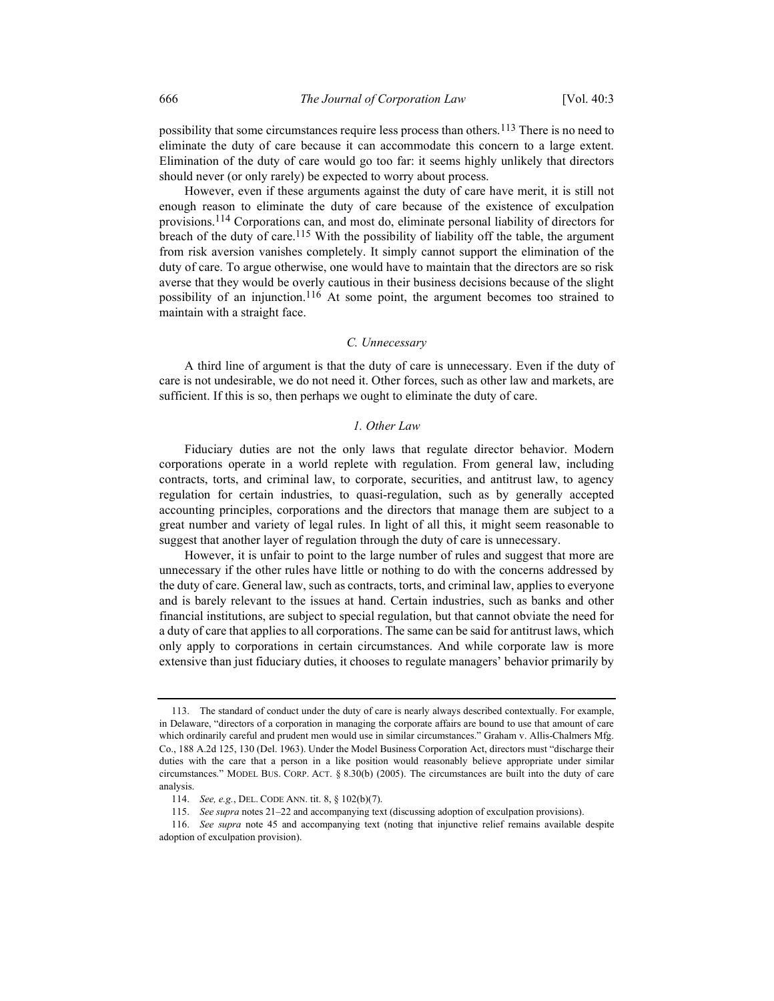possibility that some circumstances require less process than others.113 There is no need to eliminate the duty of care because it can accommodate this concern to a large extent. Elimination of the duty of care would go too far: it seems highly unlikely that directors should never (or only rarely) be expected to worry about process.

However, even if these arguments against the duty of care have merit, it is still not enough reason to eliminate the duty of care because of the existence of exculpation provisions.114 Corporations can, and most do, eliminate personal liability of directors for breach of the duty of care.<sup>115</sup> With the possibility of liability off the table, the argument from risk aversion vanishes completely. It simply cannot support the elimination of the duty of care. To argue otherwise, one would have to maintain that the directors are so risk averse that they would be overly cautious in their business decisions because of the slight possibility of an injunction.<sup>116</sup> At some point, the argument becomes too strained to maintain with a straight face.

#### C. Unnecessary

A third line of argument is that the duty of care is unnecessary. Even if the duty of care is not undesirable, we do not need it. Other forces, such as other law and markets, are sufficient. If this is so, then perhaps we ought to eliminate the duty of care.

#### 1. Other Law

Fiduciary duties are not the only laws that regulate director behavior. Modern corporations operate in a world replete with regulation. From general law, including contracts, torts, and criminal law, to corporate, securities, and antitrust law, to agency regulation for certain industries, to quasi-regulation, such as by generally accepted accounting principles, corporations and the directors that manage them are subject to a great number and variety of legal rules. In light of all this, it might seem reasonable to suggest that another layer of regulation through the duty of care is unnecessary.

However, it is unfair to point to the large number of rules and suggest that more are unnecessary if the other rules have little or nothing to do with the concerns addressed by the duty of care. General law, such as contracts, torts, and criminal law, applies to everyone and is barely relevant to the issues at hand. Certain industries, such as banks and other financial institutions, are subject to special regulation, but that cannot obviate the need for a duty of care that applies to all corporations. The same can be said for antitrust laws, which only apply to corporations in certain circumstances. And while corporate law is more extensive than just fiduciary duties, it chooses to regulate managers' behavior primarily by

 <sup>113.</sup> The standard of conduct under the duty of care is nearly always described contextually. For example, in Delaware, "directors of a corporation in managing the corporate affairs are bound to use that amount of care which ordinarily careful and prudent men would use in similar circumstances." Graham v. Allis-Chalmers Mfg. Co., 188 A.2d 125, 130 (Del. 1963). Under the Model Business Corporation Act, directors must "discharge their duties with the care that a person in a like position would reasonably believe appropriate under similar circumstances." MODEL BUS. CORP. ACT. § 8.30(b) (2005). The circumstances are built into the duty of care analysis.

 <sup>114.</sup> See, e.g., DEL. CODE ANN. tit. 8, § 102(b)(7).

 <sup>115.</sup> See supra notes 21–22 and accompanying text (discussing adoption of exculpation provisions).

 <sup>116.</sup> See supra note 45 and accompanying text (noting that injunctive relief remains available despite adoption of exculpation provision).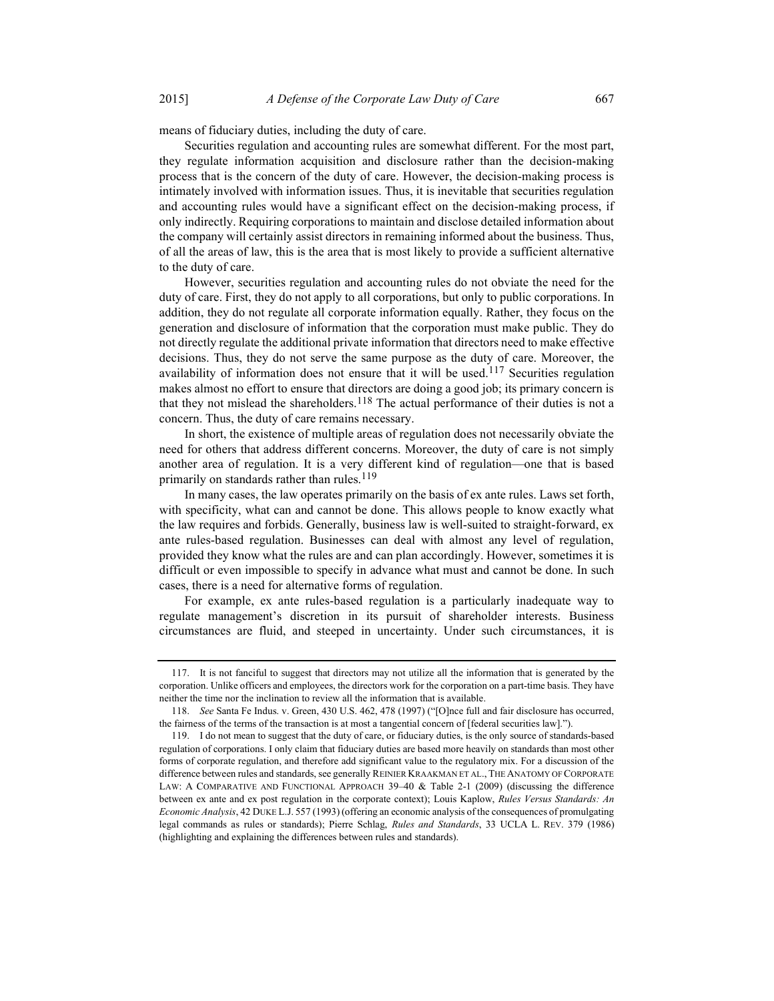means of fiduciary duties, including the duty of care.

Securities regulation and accounting rules are somewhat different. For the most part, they regulate information acquisition and disclosure rather than the decision-making process that is the concern of the duty of care. However, the decision-making process is intimately involved with information issues. Thus, it is inevitable that securities regulation and accounting rules would have a significant effect on the decision-making process, if only indirectly. Requiring corporations to maintain and disclose detailed information about the company will certainly assist directors in remaining informed about the business. Thus, of all the areas of law, this is the area that is most likely to provide a sufficient alternative to the duty of care.

However, securities regulation and accounting rules do not obviate the need for the duty of care. First, they do not apply to all corporations, but only to public corporations. In addition, they do not regulate all corporate information equally. Rather, they focus on the generation and disclosure of information that the corporation must make public. They do not directly regulate the additional private information that directors need to make effective decisions. Thus, they do not serve the same purpose as the duty of care. Moreover, the availability of information does not ensure that it will be used.<sup>117</sup> Securities regulation makes almost no effort to ensure that directors are doing a good job; its primary concern is that they not mislead the shareholders.<sup>118</sup> The actual performance of their duties is not a concern. Thus, the duty of care remains necessary.

In short, the existence of multiple areas of regulation does not necessarily obviate the need for others that address different concerns. Moreover, the duty of care is not simply another area of regulation. It is a very different kind of regulation—one that is based primarily on standards rather than rules.<sup>119</sup>

In many cases, the law operates primarily on the basis of ex ante rules. Laws set forth, with specificity, what can and cannot be done. This allows people to know exactly what the law requires and forbids. Generally, business law is well-suited to straight-forward, ex ante rules-based regulation. Businesses can deal with almost any level of regulation, provided they know what the rules are and can plan accordingly. However, sometimes it is difficult or even impossible to specify in advance what must and cannot be done. In such cases, there is a need for alternative forms of regulation.

For example, ex ante rules-based regulation is a particularly inadequate way to regulate management's discretion in its pursuit of shareholder interests. Business circumstances are fluid, and steeped in uncertainty. Under such circumstances, it is

 <sup>117.</sup> It is not fanciful to suggest that directors may not utilize all the information that is generated by the corporation. Unlike officers and employees, the directors work for the corporation on a part-time basis. They have neither the time nor the inclination to review all the information that is available.

 <sup>118.</sup> See Santa Fe Indus. v. Green, 430 U.S. 462, 478 (1997) ("[O]nce full and fair disclosure has occurred, the fairness of the terms of the transaction is at most a tangential concern of [federal securities law].").

 <sup>119.</sup> I do not mean to suggest that the duty of care, or fiduciary duties, is the only source of standards-based regulation of corporations. I only claim that fiduciary duties are based more heavily on standards than most other forms of corporate regulation, and therefore add significant value to the regulatory mix. For a discussion of the difference between rules and standards, see generally REINIER KRAAKMAN ET AL., THE ANATOMY OF CORPORATE LAW: A COMPARATIVE AND FUNCTIONAL APPROACH 39–40 & Table 2-1 (2009) (discussing the difference between ex ante and ex post regulation in the corporate context); Louis Kaplow, Rules Versus Standards: An Economic Analysis, 42 DUKE L.J. 557 (1993) (offering an economic analysis of the consequences of promulgating legal commands as rules or standards); Pierre Schlag, Rules and Standards, 33 UCLA L. REV. 379 (1986) (highlighting and explaining the differences between rules and standards).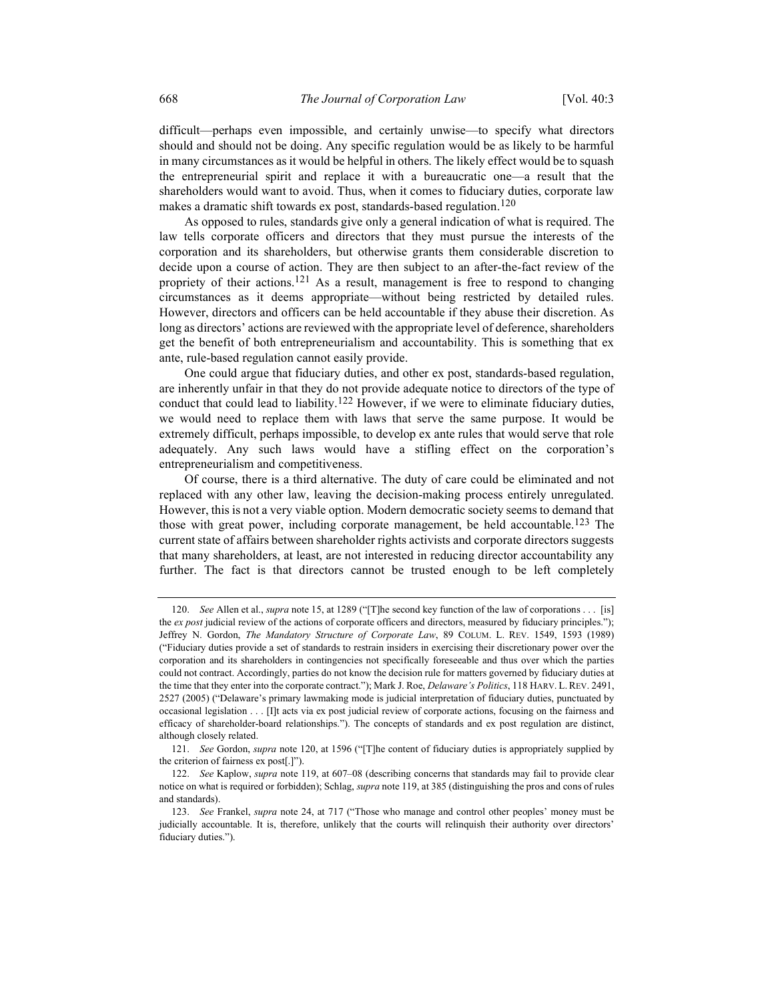difficult—perhaps even impossible, and certainly unwise—to specify what directors should and should not be doing. Any specific regulation would be as likely to be harmful in many circumstances as it would be helpful in others. The likely effect would be to squash the entrepreneurial spirit and replace it with a bureaucratic one—a result that the shareholders would want to avoid. Thus, when it comes to fiduciary duties, corporate law makes a dramatic shift towards ex post, standards-based regulation.<sup>120</sup>

As opposed to rules, standards give only a general indication of what is required. The law tells corporate officers and directors that they must pursue the interests of the corporation and its shareholders, but otherwise grants them considerable discretion to decide upon a course of action. They are then subject to an after-the-fact review of the propriety of their actions.<sup>121</sup> As a result, management is free to respond to changing circumstances as it deems appropriate—without being restricted by detailed rules. However, directors and officers can be held accountable if they abuse their discretion. As long as directors' actions are reviewed with the appropriate level of deference, shareholders get the benefit of both entrepreneurialism and accountability. This is something that ex ante, rule-based regulation cannot easily provide.

One could argue that fiduciary duties, and other ex post, standards-based regulation, are inherently unfair in that they do not provide adequate notice to directors of the type of conduct that could lead to liability.<sup>122</sup> However, if we were to eliminate fiduciary duties, we would need to replace them with laws that serve the same purpose. It would be extremely difficult, perhaps impossible, to develop ex ante rules that would serve that role adequately. Any such laws would have a stifling effect on the corporation's entrepreneurialism and competitiveness.

Of course, there is a third alternative. The duty of care could be eliminated and not replaced with any other law, leaving the decision-making process entirely unregulated. However, this is not a very viable option. Modern democratic society seems to demand that those with great power, including corporate management, be held accountable.<sup>123</sup> The current state of affairs between shareholder rights activists and corporate directors suggests that many shareholders, at least, are not interested in reducing director accountability any further. The fact is that directors cannot be trusted enough to be left completely

<sup>120.</sup> See Allen et al., *supra* note 15, at 1289 ("[T]he second key function of the law of corporations . . . [is] the ex post judicial review of the actions of corporate officers and directors, measured by fiduciary principles."); Jeffrey N. Gordon, The Mandatory Structure of Corporate Law, 89 COLUM. L. REV. 1549, 1593 (1989) ("Fiduciary duties provide a set of standards to restrain insiders in exercising their discretionary power over the corporation and its shareholders in contingencies not specifically foreseeable and thus over which the parties could not contract. Accordingly, parties do not know the decision rule for matters governed by fiduciary duties at the time that they enter into the corporate contract."); Mark J. Roe, Delaware's Politics, 118 HARV. L. REV. 2491, 2527 (2005) ("Delaware's primary lawmaking mode is judicial interpretation of fiduciary duties, punctuated by occasional legislation . . . [I]t acts via ex post judicial review of corporate actions, focusing on the fairness and efficacy of shareholder-board relationships."). The concepts of standards and ex post regulation are distinct, although closely related.

<sup>121.</sup> See Gordon, *supra* note 120, at 1596 ("[T]he content of fiduciary duties is appropriately supplied by the criterion of fairness ex post[.]").

<sup>122.</sup> See Kaplow, supra note 119, at 607–08 (describing concerns that standards may fail to provide clear notice on what is required or forbidden); Schlag, supra note 119, at 385 (distinguishing the pros and cons of rules and standards).

 <sup>123.</sup> See Frankel, supra note 24, at 717 ("Those who manage and control other peoples' money must be judicially accountable. It is, therefore, unlikely that the courts will relinquish their authority over directors' fiduciary duties.").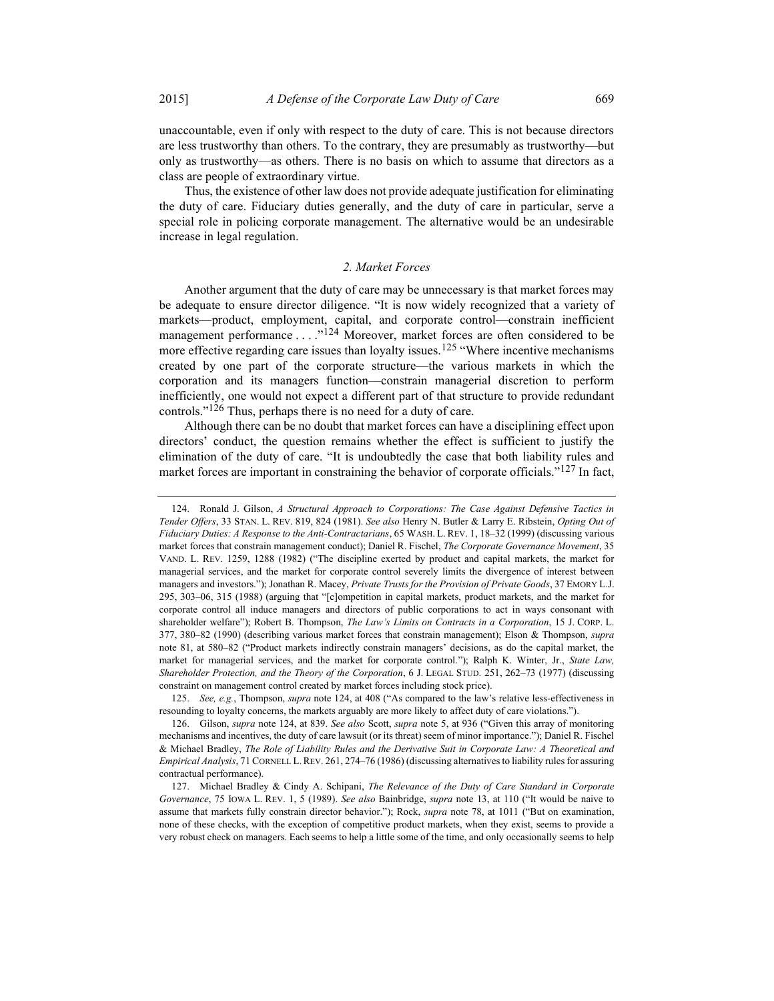unaccountable, even if only with respect to the duty of care. This is not because directors are less trustworthy than others. To the contrary, they are presumably as trustworthy—but only as trustworthy—as others. There is no basis on which to assume that directors as a class are people of extraordinary virtue.

Thus, the existence of other law does not provide adequate justification for eliminating the duty of care. Fiduciary duties generally, and the duty of care in particular, serve a special role in policing corporate management. The alternative would be an undesirable increase in legal regulation.

## 2. Market Forces

Another argument that the duty of care may be unnecessary is that market forces may be adequate to ensure director diligence. "It is now widely recognized that a variety of markets—product, employment, capital, and corporate control—constrain inefficient management performance . . . .<sup>"124</sup> Moreover, market forces are often considered to be more effective regarding care issues than loyalty issues.<sup>125</sup> "Where incentive mechanisms" created by one part of the corporate structure—the various markets in which the corporation and its managers function—constrain managerial discretion to perform inefficiently, one would not expect a different part of that structure to provide redundant controls."<sup>126</sup> Thus, perhaps there is no need for a duty of care.

Although there can be no doubt that market forces can have a disciplining effect upon directors' conduct, the question remains whether the effect is sufficient to justify the elimination of the duty of care. "It is undoubtedly the case that both liability rules and market forces are important in constraining the behavior of corporate officials."<sup>127</sup> In fact,

125. See, e.g., Thompson, *supra* note 124, at 408 ("As compared to the law's relative less-effectiveness in resounding to loyalty concerns, the markets arguably are more likely to affect duty of care violations.").

<sup>124.</sup> Ronald J. Gilson, A Structural Approach to Corporations: The Case Against Defensive Tactics in Tender Offers, 33 STAN. L. REV. 819, 824 (1981). See also Henry N. Butler & Larry E. Ribstein, Opting Out of Fiduciary Duties: A Response to the Anti-Contractarians, 65 WASH. L. REV. 1, 18–32 (1999) (discussing various market forces that constrain management conduct); Daniel R. Fischel, The Corporate Governance Movement, 35 VAND. L. REV. 1259, 1288 (1982) ("The discipline exerted by product and capital markets, the market for managerial services, and the market for corporate control severely limits the divergence of interest between managers and investors."); Jonathan R. Macey, *Private Trusts for the Provision of Private Goods*, 37 EMORY L.J. 295, 303–06, 315 (1988) (arguing that "[c]ompetition in capital markets, product markets, and the market for corporate control all induce managers and directors of public corporations to act in ways consonant with shareholder welfare"); Robert B. Thompson, The Law's Limits on Contracts in a Corporation, 15 J. CORP. L. 377, 380-82 (1990) (describing various market forces that constrain management); Elson & Thompson, supra note 81, at 580–82 ("Product markets indirectly constrain managers' decisions, as do the capital market, the market for managerial services, and the market for corporate control."); Ralph K. Winter, Jr., State Law, Shareholder Protection, and the Theory of the Corporation, 6 J. LEGAL STUD. 251, 262–73 (1977) (discussing constraint on management control created by market forces including stock price).

<sup>126.</sup> Gilson, supra note 124, at 839. See also Scott, supra note 5, at 936 ("Given this array of monitoring mechanisms and incentives, the duty of care lawsuit (or its threat) seem of minor importance."); Daniel R. Fischel & Michael Bradley, The Role of Liability Rules and the Derivative Suit in Corporate Law: A Theoretical and Empirical Analysis, 71 CORNELL L. REV. 261, 274–76 (1986) (discussing alternatives to liability rules for assuring contractual performance).

 <sup>127.</sup> Michael Bradley & Cindy A. Schipani, The Relevance of the Duty of Care Standard in Corporate Governance, 75 IOWA L. REV. 1, 5 (1989). See also Bainbridge, supra note 13, at 110 ("It would be naive to assume that markets fully constrain director behavior."); Rock, *supra* note 78, at 1011 ("But on examination, none of these checks, with the exception of competitive product markets, when they exist, seems to provide a very robust check on managers. Each seems to help a little some of the time, and only occasionally seems to help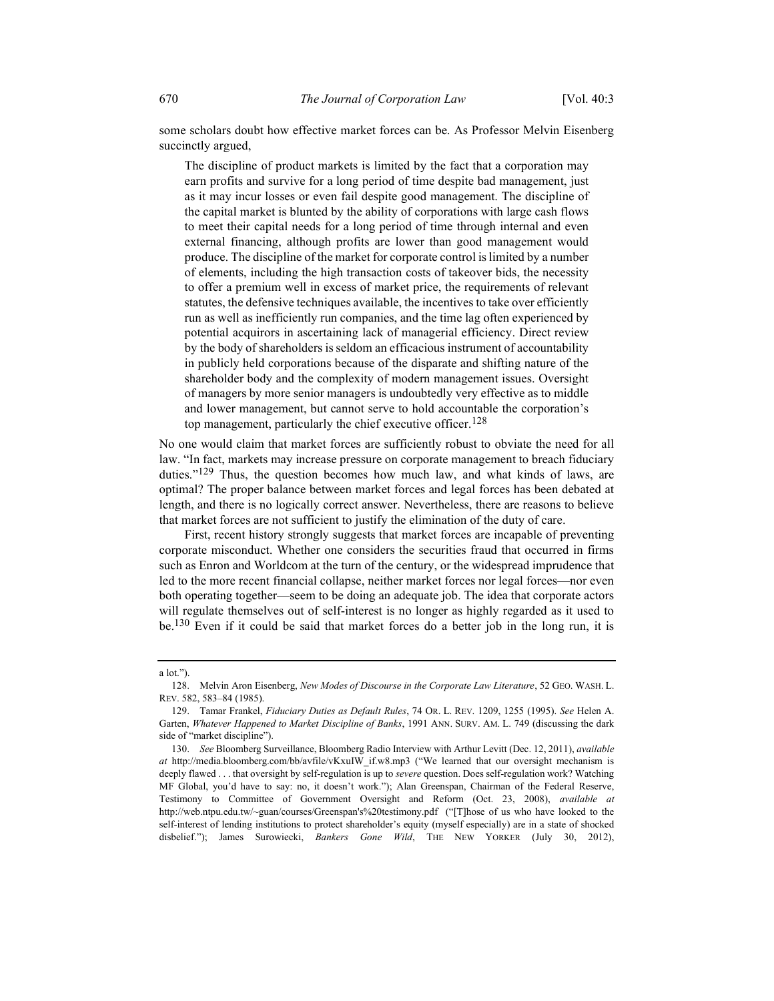some scholars doubt how effective market forces can be. As Professor Melvin Eisenberg succinctly argued,

The discipline of product markets is limited by the fact that a corporation may earn profits and survive for a long period of time despite bad management, just as it may incur losses or even fail despite good management. The discipline of the capital market is blunted by the ability of corporations with large cash flows to meet their capital needs for a long period of time through internal and even external financing, although profits are lower than good management would produce. The discipline of the market for corporate control is limited by a number of elements, including the high transaction costs of takeover bids, the necessity to offer a premium well in excess of market price, the requirements of relevant statutes, the defensive techniques available, the incentives to take over efficiently run as well as inefficiently run companies, and the time lag often experienced by potential acquirors in ascertaining lack of managerial efficiency. Direct review by the body of shareholders is seldom an efficacious instrument of accountability in publicly held corporations because of the disparate and shifting nature of the shareholder body and the complexity of modern management issues. Oversight of managers by more senior managers is undoubtedly very effective as to middle and lower management, but cannot serve to hold accountable the corporation's top management, particularly the chief executive officer.<sup>128</sup>

No one would claim that market forces are sufficiently robust to obviate the need for all law. "In fact, markets may increase pressure on corporate management to breach fiduciary duties." $129$  Thus, the question becomes how much law, and what kinds of laws, are optimal? The proper balance between market forces and legal forces has been debated at length, and there is no logically correct answer. Nevertheless, there are reasons to believe that market forces are not sufficient to justify the elimination of the duty of care.

First, recent history strongly suggests that market forces are incapable of preventing corporate misconduct. Whether one considers the securities fraud that occurred in firms such as Enron and Worldcom at the turn of the century, or the widespread imprudence that led to the more recent financial collapse, neither market forces nor legal forces—nor even both operating together—seem to be doing an adequate job. The idea that corporate actors will regulate themselves out of self-interest is no longer as highly regarded as it used to be.130 Even if it could be said that market forces do a better job in the long run, it is

a lot.").

<sup>128.</sup> Melvin Aron Eisenberg, New Modes of Discourse in the Corporate Law Literature, 52 GEO. WASH. L. REV. 582, 583–84 (1985).

<sup>129.</sup> Tamar Frankel, Fiduciary Duties as Default Rules, 74 OR. L. REV. 1209, 1255 (1995). See Helen A. Garten, Whatever Happened to Market Discipline of Banks, 1991 ANN. SURV. AM. L. 749 (discussing the dark side of "market discipline").

<sup>130.</sup> See Bloomberg Surveillance, Bloomberg Radio Interview with Arthur Levitt (Dec. 12, 2011), available at http://media.bloomberg.com/bb/avfile/vKxuIW\_if.w8.mp3 ("We learned that our oversight mechanism is deeply flawed . . . that oversight by self-regulation is up to *severe* question. Does self-regulation work? Watching MF Global, you'd have to say: no, it doesn't work."); Alan Greenspan, Chairman of the Federal Reserve, Testimony to Committee of Government Oversight and Reform (Oct. 23, 2008), available at http://web.ntpu.edu.tw/~guan/courses/Greenspan's%20testimony.pdf ("[T]hose of us who have looked to the self-interest of lending institutions to protect shareholder's equity (myself especially) are in a state of shocked disbelief."); James Surowiecki, Bankers Gone Wild, THE NEW YORKER (July 30, 2012),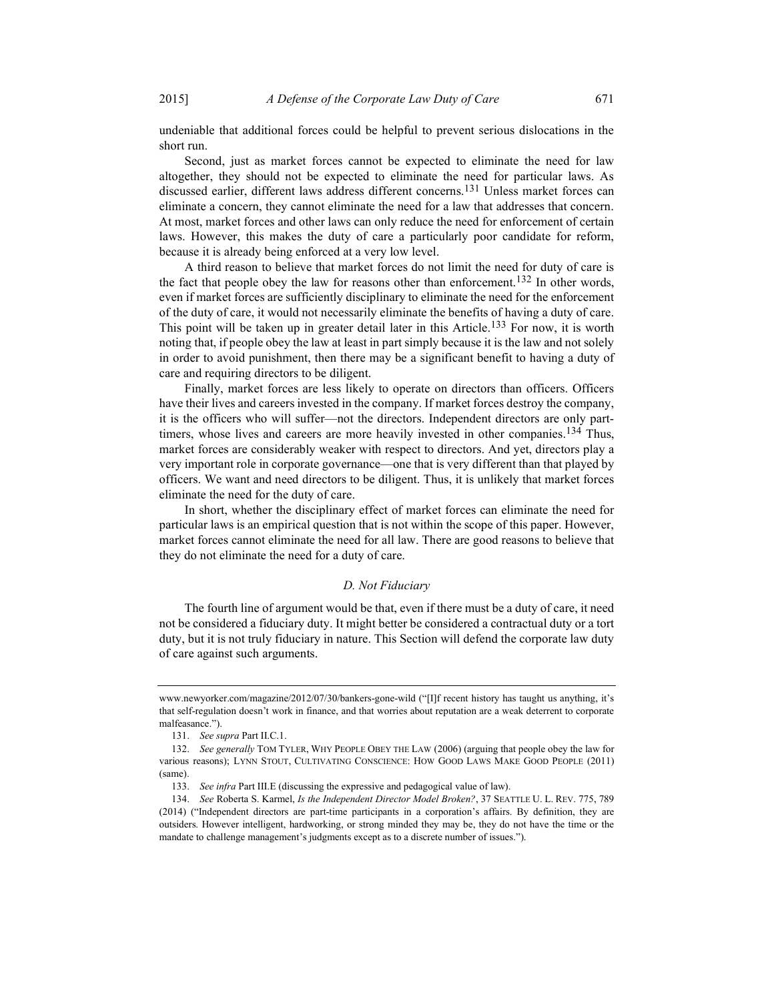undeniable that additional forces could be helpful to prevent serious dislocations in the short run.

Second, just as market forces cannot be expected to eliminate the need for law altogether, they should not be expected to eliminate the need for particular laws. As discussed earlier, different laws address different concerns.131 Unless market forces can eliminate a concern, they cannot eliminate the need for a law that addresses that concern. At most, market forces and other laws can only reduce the need for enforcement of certain laws. However, this makes the duty of care a particularly poor candidate for reform, because it is already being enforced at a very low level.

A third reason to believe that market forces do not limit the need for duty of care is the fact that people obey the law for reasons other than enforcement.<sup>132</sup> In other words, even if market forces are sufficiently disciplinary to eliminate the need for the enforcement of the duty of care, it would not necessarily eliminate the benefits of having a duty of care. This point will be taken up in greater detail later in this Article.<sup>133</sup> For now, it is worth noting that, if people obey the law at least in part simply because it is the law and not solely in order to avoid punishment, then there may be a significant benefit to having a duty of care and requiring directors to be diligent.

Finally, market forces are less likely to operate on directors than officers. Officers have their lives and careers invested in the company. If market forces destroy the company, it is the officers who will suffer—not the directors. Independent directors are only parttimers, whose lives and careers are more heavily invested in other companies.<sup>134</sup> Thus, market forces are considerably weaker with respect to directors. And yet, directors play a very important role in corporate governance—one that is very different than that played by officers. We want and need directors to be diligent. Thus, it is unlikely that market forces eliminate the need for the duty of care.

In short, whether the disciplinary effect of market forces can eliminate the need for particular laws is an empirical question that is not within the scope of this paper. However, market forces cannot eliminate the need for all law. There are good reasons to believe that they do not eliminate the need for a duty of care.

#### D. Not Fiduciary

The fourth line of argument would be that, even if there must be a duty of care, it need not be considered a fiduciary duty. It might better be considered a contractual duty or a tort duty, but it is not truly fiduciary in nature. This Section will defend the corporate law duty of care against such arguments.

www.newyorker.com/magazine/2012/07/30/bankers-gone-wild ("[I]f recent history has taught us anything, it's that self-regulation doesn't work in finance, and that worries about reputation are a weak deterrent to corporate malfeasance.").

 <sup>131.</sup> See supra Part II.C.1.

 <sup>132.</sup> See generally TOM TYLER, WHY PEOPLE OBEY THE LAW (2006) (arguing that people obey the law for various reasons); LYNN STOUT, CULTIVATING CONSCIENCE: HOW GOOD LAWS MAKE GOOD PEOPLE (2011) (same).

 <sup>133.</sup> See infra Part III.E (discussing the expressive and pedagogical value of law).

<sup>134.</sup> See Roberta S. Karmel, Is the Independent Director Model Broken?, 37 SEATTLE U. L. REV. 775, 789 (2014) ("Independent directors are part-time participants in a corporation's affairs. By definition, they are outsiders. However intelligent, hardworking, or strong minded they may be, they do not have the time or the mandate to challenge management's judgments except as to a discrete number of issues.").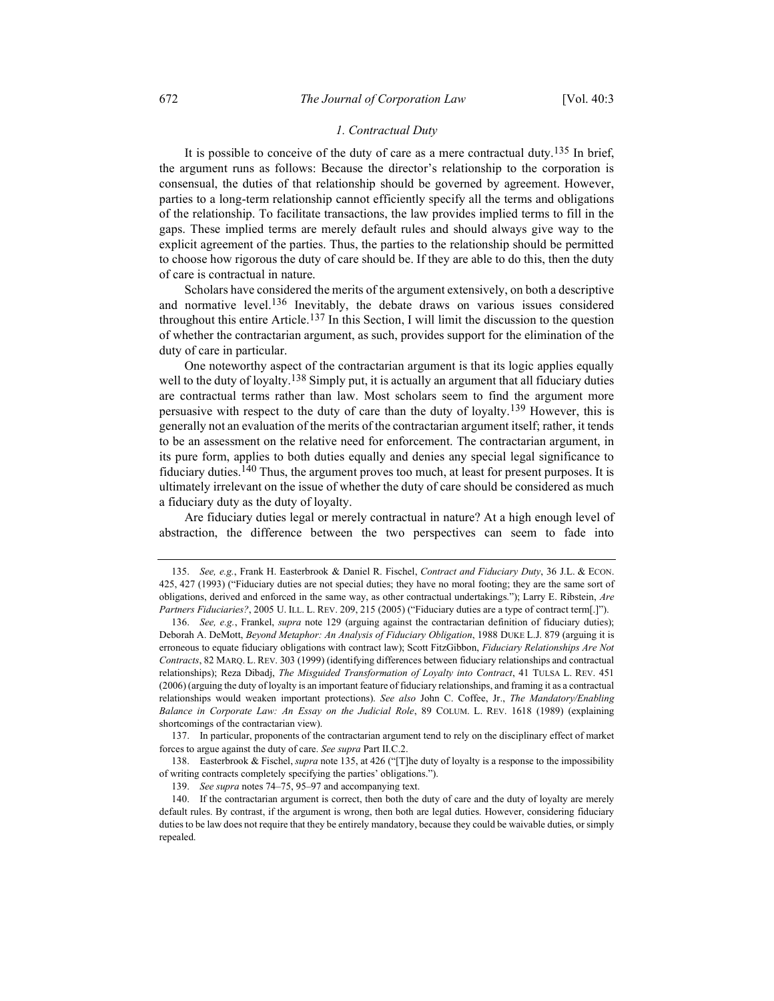## 1. Contractual Duty

It is possible to conceive of the duty of care as a mere contractual duty.<sup>135</sup> In brief, the argument runs as follows: Because the director's relationship to the corporation is consensual, the duties of that relationship should be governed by agreement. However, parties to a long-term relationship cannot efficiently specify all the terms and obligations of the relationship. To facilitate transactions, the law provides implied terms to fill in the gaps. These implied terms are merely default rules and should always give way to the explicit agreement of the parties. Thus, the parties to the relationship should be permitted to choose how rigorous the duty of care should be. If they are able to do this, then the duty of care is contractual in nature.

Scholars have considered the merits of the argument extensively, on both a descriptive and normative level.<sup>136</sup> Inevitably, the debate draws on various issues considered throughout this entire Article.<sup>137</sup> In this Section, I will limit the discussion to the question of whether the contractarian argument, as such, provides support for the elimination of the duty of care in particular.

One noteworthy aspect of the contractarian argument is that its logic applies equally well to the duty of loyalty.<sup>138</sup> Simply put, it is actually an argument that all fiduciary duties are contractual terms rather than law. Most scholars seem to find the argument more persuasive with respect to the duty of care than the duty of loyalty.<sup>139</sup> However, this is generally not an evaluation of the merits of the contractarian argument itself; rather, it tends to be an assessment on the relative need for enforcement. The contractarian argument, in its pure form, applies to both duties equally and denies any special legal significance to fiduciary duties.<sup>140</sup> Thus, the argument proves too much, at least for present purposes. It is ultimately irrelevant on the issue of whether the duty of care should be considered as much a fiduciary duty as the duty of loyalty.

Are fiduciary duties legal or merely contractual in nature? At a high enough level of abstraction, the difference between the two perspectives can seem to fade into

 137. In particular, proponents of the contractarian argument tend to rely on the disciplinary effect of market forces to argue against the duty of care. See supra Part II.C.2.

138. Easterbrook & Fischel, *supra* note 135, at 426 ("[T]he duty of loyalty is a response to the impossibility of writing contracts completely specifying the parties' obligations.").

 <sup>135.</sup> See, e.g., Frank H. Easterbrook & Daniel R. Fischel, Contract and Fiduciary Duty, 36 J.L. & ECON. 425, 427 (1993) ("Fiduciary duties are not special duties; they have no moral footing; they are the same sort of obligations, derived and enforced in the same way, as other contractual undertakings."); Larry E. Ribstein, Are Partners Fiduciaries?, 2005 U. ILL. L. REV. 209, 215 (2005) ("Fiduciary duties are a type of contract term[.]").

<sup>136.</sup> See, e.g., Frankel, supra note 129 (arguing against the contractarian definition of fiduciary duties); Deborah A. DeMott, Beyond Metaphor: An Analysis of Fiduciary Obligation, 1988 DUKE L.J. 879 (arguing it is erroneous to equate fiduciary obligations with contract law); Scott FitzGibbon, Fiduciary Relationships Are Not Contracts, 82 MARQ. L. REV. 303 (1999) (identifying differences between fiduciary relationships and contractual relationships); Reza Dibadj, The Misguided Transformation of Loyalty into Contract, 41 TULSA L. REV. 451 (2006) (arguing the duty of loyalty is an important feature of fiduciary relationships, and framing it as a contractual relationships would weaken important protections). See also John C. Coffee, Jr., The Mandatory/Enabling Balance in Corporate Law: An Essay on the Judicial Role, 89 COLUM. L. REV. 1618 (1989) (explaining shortcomings of the contractarian view).

 <sup>139.</sup> See supra notes 74–75, 95–97 and accompanying text.

 <sup>140.</sup> If the contractarian argument is correct, then both the duty of care and the duty of loyalty are merely default rules. By contrast, if the argument is wrong, then both are legal duties. However, considering fiduciary duties to be law does not require that they be entirely mandatory, because they could be waivable duties, or simply repealed.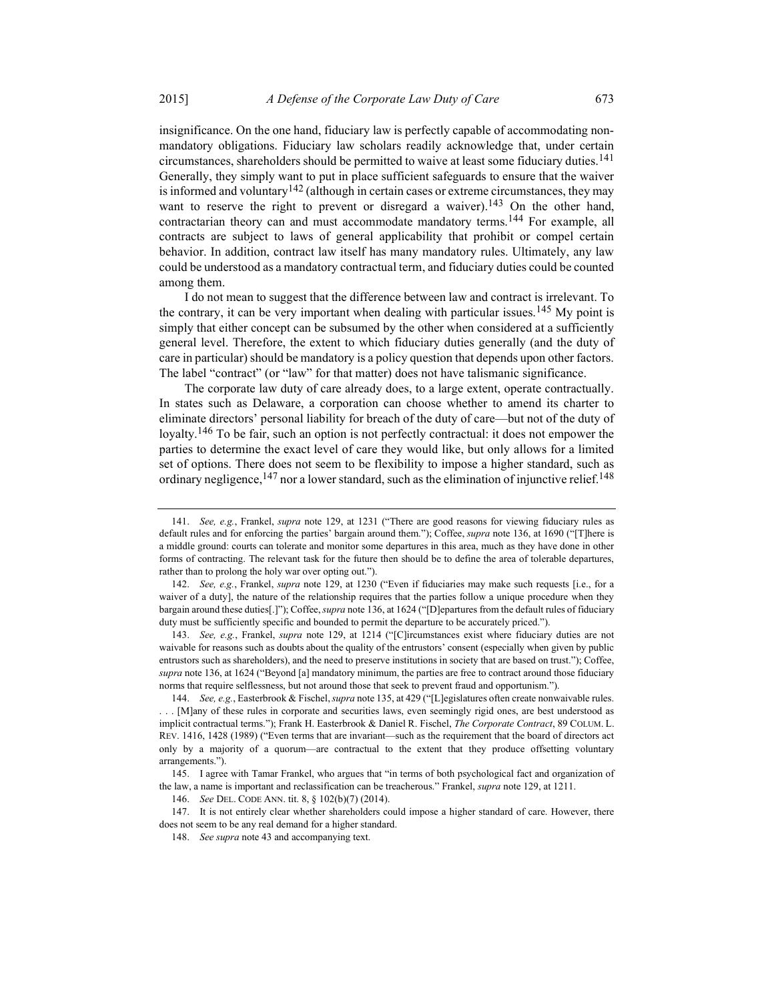insignificance. On the one hand, fiduciary law is perfectly capable of accommodating nonmandatory obligations. Fiduciary law scholars readily acknowledge that, under certain circumstances, shareholders should be permitted to waive at least some fiduciary duties.<sup>141</sup> Generally, they simply want to put in place sufficient safeguards to ensure that the waiver is informed and voluntary<sup>142</sup> (although in certain cases or extreme circumstances, they may want to reserve the right to prevent or disregard a waiver).<sup>143</sup> On the other hand, contractarian theory can and must accommodate mandatory terms.144 For example, all contracts are subject to laws of general applicability that prohibit or compel certain behavior. In addition, contract law itself has many mandatory rules. Ultimately, any law could be understood as a mandatory contractual term, and fiduciary duties could be counted among them.

I do not mean to suggest that the difference between law and contract is irrelevant. To the contrary, it can be very important when dealing with particular issues.<sup>145</sup> My point is simply that either concept can be subsumed by the other when considered at a sufficiently general level. Therefore, the extent to which fiduciary duties generally (and the duty of care in particular) should be mandatory is a policy question that depends upon other factors. The label "contract" (or "law" for that matter) does not have talismanic significance.

The corporate law duty of care already does, to a large extent, operate contractually. In states such as Delaware, a corporation can choose whether to amend its charter to eliminate directors' personal liability for breach of the duty of care—but not of the duty of loyalty.<sup>146</sup> To be fair, such an option is not perfectly contractual: it does not empower the parties to determine the exact level of care they would like, but only allows for a limited set of options. There does not seem to be flexibility to impose a higher standard, such as ordinary negligence,  $147$  nor a lower standard, such as the elimination of injunctive relief.  $148$ 

<sup>141.</sup> See, e.g., Frankel, *supra* note 129, at 1231 ("There are good reasons for viewing fiduciary rules as default rules and for enforcing the parties' bargain around them."); Coffee, *supra* note 136, at 1690 ("[T]here is a middle ground: courts can tolerate and monitor some departures in this area, much as they have done in other forms of contracting. The relevant task for the future then should be to define the area of tolerable departures, rather than to prolong the holy war over opting out.").

<sup>142.</sup> See, e.g., Frankel, supra note 129, at 1230 ("Even if fiduciaries may make such requests [i.e., for a waiver of a duty], the nature of the relationship requires that the parties follow a unique procedure when they bargain around these duties[.]"); Coffee, supra note 136, at 1624 ("[D]epartures from the default rules of fiduciary duty must be sufficiently specific and bounded to permit the departure to be accurately priced.").

<sup>143.</sup> See, e.g., Frankel, supra note 129, at 1214 ("[C]ircumstances exist where fiduciary duties are not waivable for reasons such as doubts about the quality of the entrustors' consent (especially when given by public entrustors such as shareholders), and the need to preserve institutions in society that are based on trust."); Coffee, supra note 136, at 1624 ("Beyond [a] mandatory minimum, the parties are free to contract around those fiduciary norms that require selflessness, but not around those that seek to prevent fraud and opportunism.").

<sup>144.</sup> See, e.g., Easterbrook & Fischel, *supra* note 135, at 429 ("[L]egislatures often create nonwaivable rules. . . . [M]any of these rules in corporate and securities laws, even seemingly rigid ones, are best understood as implicit contractual terms."); Frank H. Easterbrook & Daniel R. Fischel, The Corporate Contract, 89 COLUM. L. REV. 1416, 1428 (1989) ("Even terms that are invariant—such as the requirement that the board of directors act only by a majority of a quorum—are contractual to the extent that they produce offsetting voluntary arrangements.").

 <sup>145.</sup> I agree with Tamar Frankel, who argues that "in terms of both psychological fact and organization of the law, a name is important and reclassification can be treacherous." Frankel, *supra* note 129, at 1211.

 <sup>146.</sup> See DEL. CODE ANN. tit. 8, § 102(b)(7) (2014).

 <sup>147.</sup> It is not entirely clear whether shareholders could impose a higher standard of care. However, there does not seem to be any real demand for a higher standard.

<sup>148.</sup> See supra note 43 and accompanying text.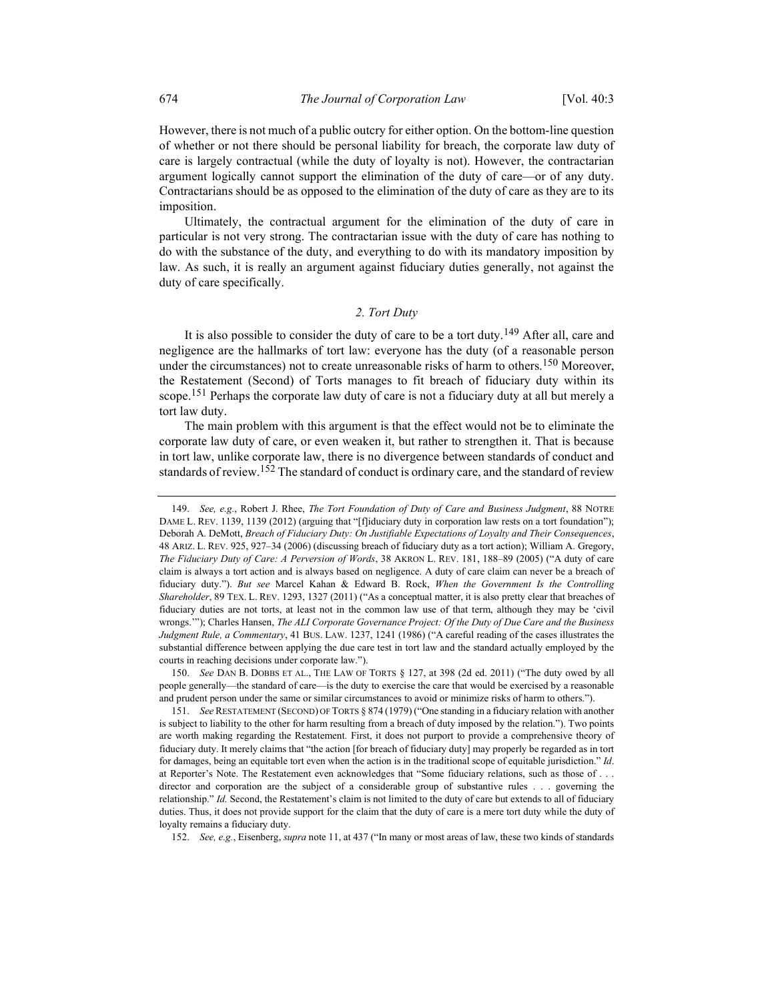However, there is not much of a public outcry for either option. On the bottom-line question of whether or not there should be personal liability for breach, the corporate law duty of care is largely contractual (while the duty of loyalty is not). However, the contractarian argument logically cannot support the elimination of the duty of care—or of any duty. Contractarians should be as opposed to the elimination of the duty of care as they are to its imposition.

Ultimately, the contractual argument for the elimination of the duty of care in particular is not very strong. The contractarian issue with the duty of care has nothing to do with the substance of the duty, and everything to do with its mandatory imposition by law. As such, it is really an argument against fiduciary duties generally, not against the duty of care specifically.

# 2. Tort Duty

It is also possible to consider the duty of care to be a tort duty.<sup>149</sup> After all, care and negligence are the hallmarks of tort law: everyone has the duty (of a reasonable person under the circumstances) not to create unreasonable risks of harm to others.<sup>150</sup> Moreover, the Restatement (Second) of Torts manages to fit breach of fiduciary duty within its scope.<sup>151</sup> Perhaps the corporate law duty of care is not a fiduciary duty at all but merely a tort law duty.

The main problem with this argument is that the effect would not be to eliminate the corporate law duty of care, or even weaken it, but rather to strengthen it. That is because in tort law, unlike corporate law, there is no divergence between standards of conduct and standards of review.<sup>152</sup> The standard of conduct is ordinary care, and the standard of review

 150. See DAN B. DOBBS ET AL., THE LAW OF TORTS § 127, at 398 (2d ed. 2011) ("The duty owed by all people generally—the standard of care—is the duty to exercise the care that would be exercised by a reasonable and prudent person under the same or similar circumstances to avoid or minimize risks of harm to others.").

152. See, e.g., Eisenberg, supra note 11, at 437 ("In many or most areas of law, these two kinds of standards

<sup>149.</sup> See, e.g., Robert J. Rhee, The Tort Foundation of Duty of Care and Business Judgment, 88 NOTRE DAME L. REV. 1139, 1139 (2012) (arguing that "[f]iduciary duty in corporation law rests on a tort foundation"); Deborah A. DeMott, Breach of Fiduciary Duty: On Justifiable Expectations of Loyalty and Their Consequences, 48 ARIZ. L. REV. 925, 927–34 (2006) (discussing breach of fiduciary duty as a tort action); William A. Gregory, The Fiduciary Duty of Care: A Perversion of Words, 38 AKRON L. REV. 181, 188–89 (2005) ("A duty of care claim is always a tort action and is always based on negligence. A duty of care claim can never be a breach of fiduciary duty."). But see Marcel Kahan & Edward B. Rock, When the Government Is the Controlling Shareholder, 89 TEX. L. REV. 1293, 1327 (2011) ("As a conceptual matter, it is also pretty clear that breaches of fiduciary duties are not torts, at least not in the common law use of that term, although they may be 'civil wrongs.""); Charles Hansen, The ALI Corporate Governance Project: Of the Duty of Due Care and the Business Judgment Rule, a Commentary, 41 BUS. LAW. 1237, 1241 (1986) ("A careful reading of the cases illustrates the substantial difference between applying the due care test in tort law and the standard actually employed by the courts in reaching decisions under corporate law.").

 <sup>151.</sup> See RESTATEMENT (SECOND) OF TORTS § 874 (1979) ("One standing in a fiduciary relation with another is subject to liability to the other for harm resulting from a breach of duty imposed by the relation."). Two points are worth making regarding the Restatement. First, it does not purport to provide a comprehensive theory of fiduciary duty. It merely claims that "the action [for breach of fiduciary duty] may properly be regarded as in tort for damages, being an equitable tort even when the action is in the traditional scope of equitable jurisdiction." Id. at Reporter's Note. The Restatement even acknowledges that "Some fiduciary relations, such as those of . . . director and corporation are the subject of a considerable group of substantive rules . . . governing the relationship." Id. Second, the Restatement's claim is not limited to the duty of care but extends to all of fiduciary duties. Thus, it does not provide support for the claim that the duty of care is a mere tort duty while the duty of loyalty remains a fiduciary duty.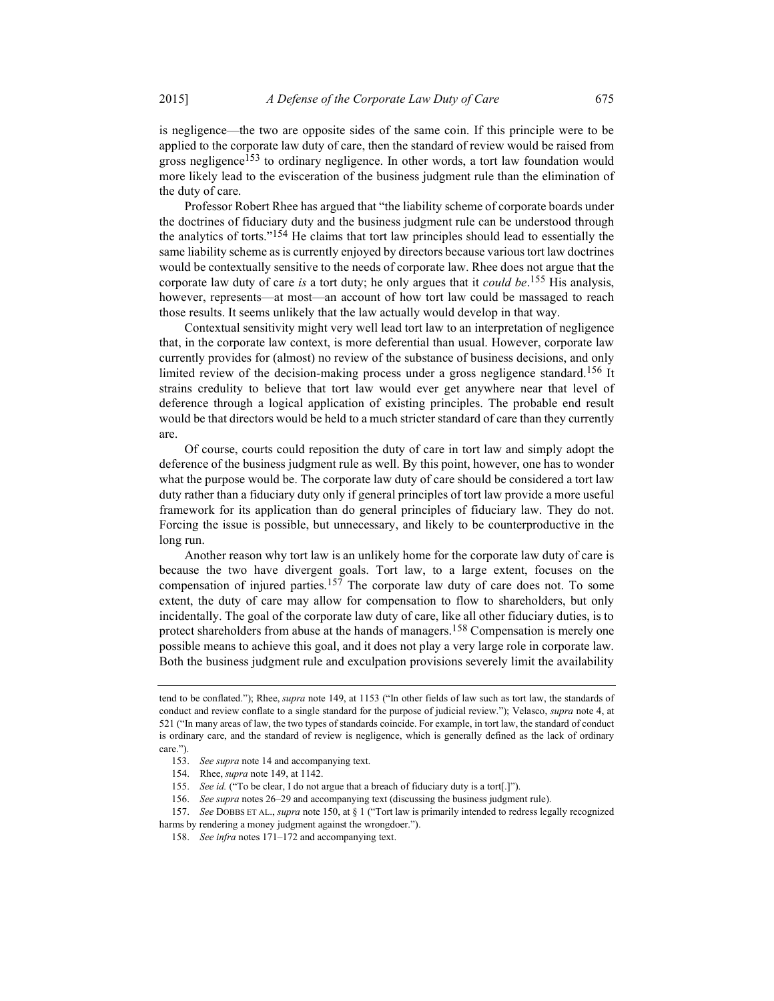is negligence—the two are opposite sides of the same coin. If this principle were to be applied to the corporate law duty of care, then the standard of review would be raised from gross negligence<sup>153</sup> to ordinary negligence. In other words, a tort law foundation would more likely lead to the evisceration of the business judgment rule than the elimination of the duty of care.

Professor Robert Rhee has argued that "the liability scheme of corporate boards under the doctrines of fiduciary duty and the business judgment rule can be understood through the analytics of torts."154 He claims that tort law principles should lead to essentially the same liability scheme as is currently enjoyed by directors because various tort law doctrines would be contextually sensitive to the needs of corporate law. Rhee does not argue that the corporate law duty of care *is* a tort duty; he only argues that it *could be*.<sup>155</sup> His analysis, however, represents—at most—an account of how tort law could be massaged to reach those results. It seems unlikely that the law actually would develop in that way.

Contextual sensitivity might very well lead tort law to an interpretation of negligence that, in the corporate law context, is more deferential than usual. However, corporate law currently provides for (almost) no review of the substance of business decisions, and only limited review of the decision-making process under a gross negligence standard.<sup>156</sup> It strains credulity to believe that tort law would ever get anywhere near that level of deference through a logical application of existing principles. The probable end result would be that directors would be held to a much stricter standard of care than they currently are.

Of course, courts could reposition the duty of care in tort law and simply adopt the deference of the business judgment rule as well. By this point, however, one has to wonder what the purpose would be. The corporate law duty of care should be considered a tort law duty rather than a fiduciary duty only if general principles of tort law provide a more useful framework for its application than do general principles of fiduciary law. They do not. Forcing the issue is possible, but unnecessary, and likely to be counterproductive in the long run.

Another reason why tort law is an unlikely home for the corporate law duty of care is because the two have divergent goals. Tort law, to a large extent, focuses on the compensation of injured parties.<sup>157</sup> The corporate law duty of care does not. To some extent, the duty of care may allow for compensation to flow to shareholders, but only incidentally. The goal of the corporate law duty of care, like all other fiduciary duties, is to protect shareholders from abuse at the hands of managers.<sup>158</sup> Compensation is merely one possible means to achieve this goal, and it does not play a very large role in corporate law. Both the business judgment rule and exculpation provisions severely limit the availability

tend to be conflated."); Rhee, supra note 149, at 1153 ("In other fields of law such as tort law, the standards of conduct and review conflate to a single standard for the purpose of judicial review."); Velasco, *supra* note 4, at 521 ("In many areas of law, the two types of standards coincide. For example, in tort law, the standard of conduct is ordinary care, and the standard of review is negligence, which is generally defined as the lack of ordinary care.").

 <sup>153.</sup> See supra note 14 and accompanying text.

 <sup>154.</sup> Rhee, supra note 149, at 1142.

 <sup>155.</sup> See id. ("To be clear, I do not argue that a breach of fiduciary duty is a tort[.]").

 <sup>156.</sup> See supra notes 26–29 and accompanying text (discussing the business judgment rule).

 <sup>157.</sup> See DOBBS ET AL., supra note 150, at § 1 ("Tort law is primarily intended to redress legally recognized harms by rendering a money judgment against the wrongdoer.").

<sup>158.</sup> See infra notes 171–172 and accompanying text.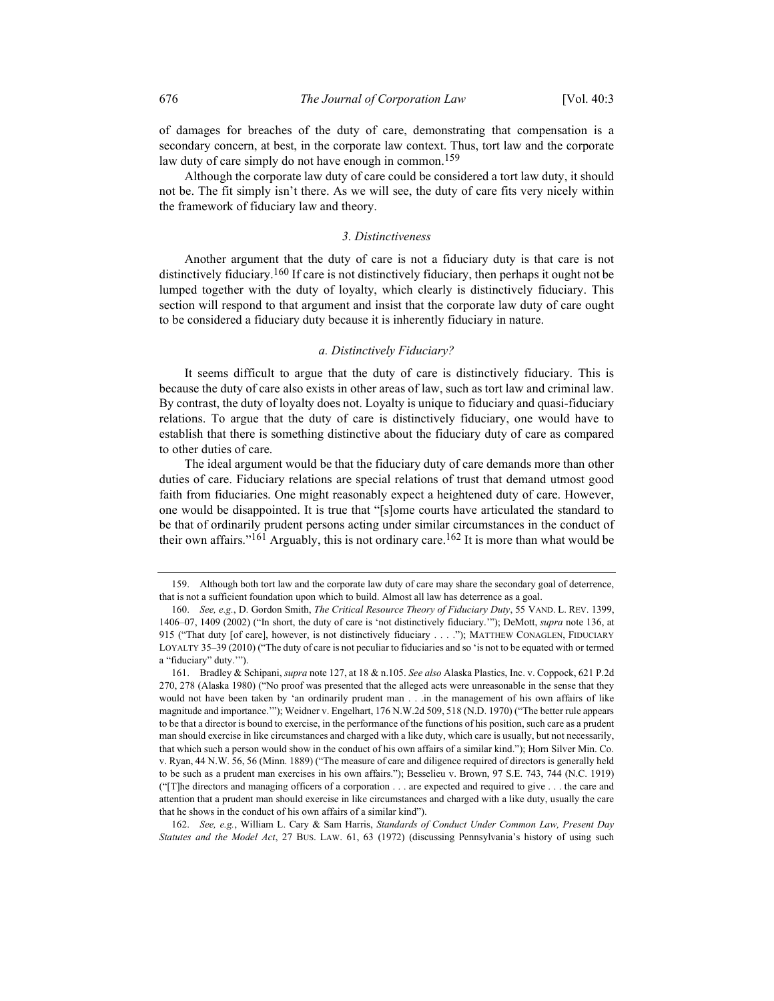of damages for breaches of the duty of care, demonstrating that compensation is a secondary concern, at best, in the corporate law context. Thus, tort law and the corporate law duty of care simply do not have enough in common.<sup>159</sup>

Although the corporate law duty of care could be considered a tort law duty, it should not be. The fit simply isn't there. As we will see, the duty of care fits very nicely within the framework of fiduciary law and theory.

### 3. Distinctiveness

Another argument that the duty of care is not a fiduciary duty is that care is not distinctively fiduciary.<sup>160</sup> If care is not distinctively fiduciary, then perhaps it ought not be lumped together with the duty of loyalty, which clearly is distinctively fiduciary. This section will respond to that argument and insist that the corporate law duty of care ought to be considered a fiduciary duty because it is inherently fiduciary in nature.

### a. Distinctively Fiduciary?

It seems difficult to argue that the duty of care is distinctively fiduciary. This is because the duty of care also exists in other areas of law, such as tort law and criminal law. By contrast, the duty of loyalty does not. Loyalty is unique to fiduciary and quasi-fiduciary relations. To argue that the duty of care is distinctively fiduciary, one would have to establish that there is something distinctive about the fiduciary duty of care as compared to other duties of care.

The ideal argument would be that the fiduciary duty of care demands more than other duties of care. Fiduciary relations are special relations of trust that demand utmost good faith from fiduciaries. One might reasonably expect a heightened duty of care. However, one would be disappointed. It is true that "[s]ome courts have articulated the standard to be that of ordinarily prudent persons acting under similar circumstances in the conduct of their own affairs."<sup>161</sup> Arguably, this is not ordinary care.<sup>162</sup> It is more than what would be

 162. See, e.g., William L. Cary & Sam Harris, Standards of Conduct Under Common Law, Present Day Statutes and the Model Act, 27 BUS. LAW. 61, 63 (1972) (discussing Pennsylvania's history of using such

 <sup>159.</sup> Although both tort law and the corporate law duty of care may share the secondary goal of deterrence, that is not a sufficient foundation upon which to build. Almost all law has deterrence as a goal.

 <sup>160.</sup> See, e.g., D. Gordon Smith, The Critical Resource Theory of Fiduciary Duty, 55 VAND. L. REV. 1399, 1406–07, 1409 (2002) ("In short, the duty of care is 'not distinctively fiduciary.'"); DeMott, supra note 136, at 915 ("That duty [of care], however, is not distinctively fiduciary . . . ."); MATTHEW CONAGLEN, FIDUCIARY LOYALTY 35–39 (2010) ("The duty of care is not peculiar to fiduciaries and so 'is not to be equated with or termed a "fiduciary" duty.'").

 <sup>161.</sup> Bradley & Schipani, supra note 127, at 18 & n.105. See also Alaska Plastics, Inc. v. Coppock, 621 P.2d 270, 278 (Alaska 1980) ("No proof was presented that the alleged acts were unreasonable in the sense that they would not have been taken by 'an ordinarily prudent man . . .in the management of his own affairs of like magnitude and importance.'"); Weidner v. Engelhart, 176 N.W.2d 509, 518 (N.D. 1970) ("The better rule appears to be that a director is bound to exercise, in the performance of the functions of his position, such care as a prudent man should exercise in like circumstances and charged with a like duty, which care is usually, but not necessarily, that which such a person would show in the conduct of his own affairs of a similar kind."); Horn Silver Min. Co. v. Ryan, 44 N.W. 56, 56 (Minn. 1889) ("The measure of care and diligence required of directors is generally held to be such as a prudent man exercises in his own affairs."); Besselieu v. Brown, 97 S.E. 743, 744 (N.C. 1919) ("[T]he directors and managing officers of a corporation . . . are expected and required to give . . . the care and attention that a prudent man should exercise in like circumstances and charged with a like duty, usually the care that he shows in the conduct of his own affairs of a similar kind").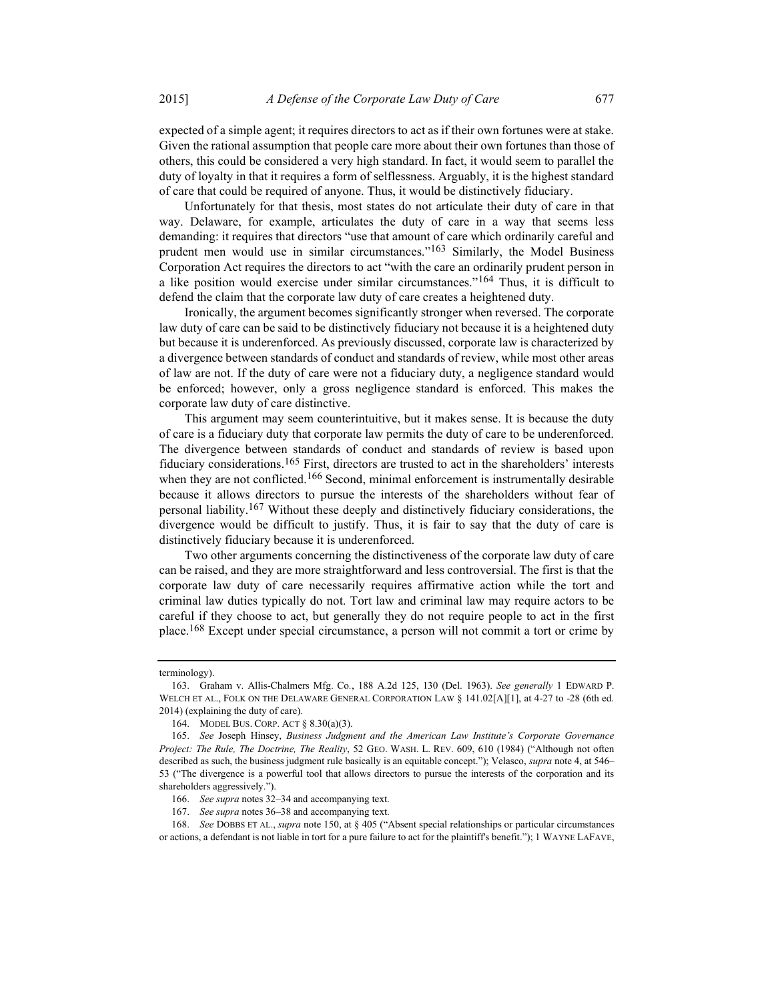expected of a simple agent; it requires directors to act as if their own fortunes were at stake. Given the rational assumption that people care more about their own fortunes than those of others, this could be considered a very high standard. In fact, it would seem to parallel the duty of loyalty in that it requires a form of selflessness. Arguably, it is the highest standard of care that could be required of anyone. Thus, it would be distinctively fiduciary.

Unfortunately for that thesis, most states do not articulate their duty of care in that way. Delaware, for example, articulates the duty of care in a way that seems less demanding: it requires that directors "use that amount of care which ordinarily careful and prudent men would use in similar circumstances."<sup>163</sup> Similarly, the Model Business Corporation Act requires the directors to act "with the care an ordinarily prudent person in a like position would exercise under similar circumstances."164 Thus, it is difficult to defend the claim that the corporate law duty of care creates a heightened duty.

Ironically, the argument becomes significantly stronger when reversed. The corporate law duty of care can be said to be distinctively fiduciary not because it is a heightened duty but because it is underenforced. As previously discussed, corporate law is characterized by a divergence between standards of conduct and standards of review, while most other areas of law are not. If the duty of care were not a fiduciary duty, a negligence standard would be enforced; however, only a gross negligence standard is enforced. This makes the corporate law duty of care distinctive.

This argument may seem counterintuitive, but it makes sense. It is because the duty of care is a fiduciary duty that corporate law permits the duty of care to be underenforced. The divergence between standards of conduct and standards of review is based upon fiduciary considerations.<sup>165</sup> First, directors are trusted to act in the shareholders' interests when they are not conflicted.<sup>166</sup> Second, minimal enforcement is instrumentally desirable because it allows directors to pursue the interests of the shareholders without fear of personal liability.167 Without these deeply and distinctively fiduciary considerations, the divergence would be difficult to justify. Thus, it is fair to say that the duty of care is distinctively fiduciary because it is underenforced.

Two other arguments concerning the distinctiveness of the corporate law duty of care can be raised, and they are more straightforward and less controversial. The first is that the corporate law duty of care necessarily requires affirmative action while the tort and criminal law duties typically do not. Tort law and criminal law may require actors to be careful if they choose to act, but generally they do not require people to act in the first place.<sup>168</sup> Except under special circumstance, a person will not commit a tort or crime by

terminology).

 <sup>163.</sup> Graham v. Allis-Chalmers Mfg. Co., 188 A.2d 125, 130 (Del. 1963). See generally 1 EDWARD P. WELCH ET AL., FOLK ON THE DELAWARE GENERAL CORPORATION LAW § 141.02[A][1], at 4-27 to -28 (6th ed. 2014) (explaining the duty of care).

 <sup>164.</sup> MODEL BUS. CORP. ACT § 8.30(a)(3).

 <sup>165.</sup> See Joseph Hinsey, Business Judgment and the American Law Institute's Corporate Governance Project: The Rule, The Doctrine, The Reality, 52 GEO. WASH. L. REV. 609, 610 (1984) ("Although not often described as such, the business judgment rule basically is an equitable concept."); Velasco, *supra* note 4, at 546– 53 ("The divergence is a powerful tool that allows directors to pursue the interests of the corporation and its shareholders aggressively.").

<sup>166.</sup> See supra notes 32–34 and accompanying text.

 <sup>167.</sup> See supra notes 36–38 and accompanying text.

 <sup>168.</sup> See DOBBS ET AL., supra note 150, at § 405 ("Absent special relationships or particular circumstances or actions, a defendant is not liable in tort for a pure failure to act for the plaintiff's benefit."); 1 WAYNE LAFAVE,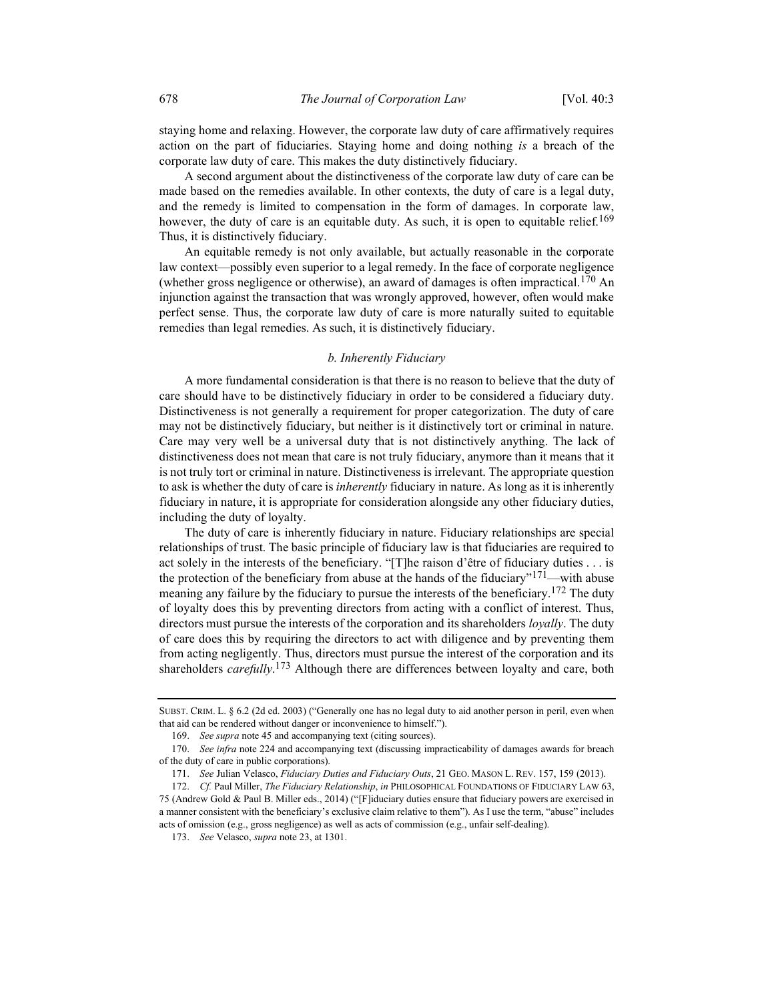staying home and relaxing. However, the corporate law duty of care affirmatively requires action on the part of fiduciaries. Staying home and doing nothing is a breach of the corporate law duty of care. This makes the duty distinctively fiduciary.

A second argument about the distinctiveness of the corporate law duty of care can be made based on the remedies available. In other contexts, the duty of care is a legal duty, and the remedy is limited to compensation in the form of damages. In corporate law, however, the duty of care is an equitable duty. As such, it is open to equitable relief.<sup>169</sup> Thus, it is distinctively fiduciary.

An equitable remedy is not only available, but actually reasonable in the corporate law context—possibly even superior to a legal remedy. In the face of corporate negligence (whether gross negligence or otherwise), an award of damages is often impractical.<sup>170</sup> An injunction against the transaction that was wrongly approved, however, often would make perfect sense. Thus, the corporate law duty of care is more naturally suited to equitable remedies than legal remedies. As such, it is distinctively fiduciary.

### b. Inherently Fiduciary

A more fundamental consideration is that there is no reason to believe that the duty of care should have to be distinctively fiduciary in order to be considered a fiduciary duty. Distinctiveness is not generally a requirement for proper categorization. The duty of care may not be distinctively fiduciary, but neither is it distinctively tort or criminal in nature. Care may very well be a universal duty that is not distinctively anything. The lack of distinctiveness does not mean that care is not truly fiduciary, anymore than it means that it is not truly tort or criminal in nature. Distinctiveness is irrelevant. The appropriate question to ask is whether the duty of care is *inherently* fiduciary in nature. As long as it is inherently fiduciary in nature, it is appropriate for consideration alongside any other fiduciary duties, including the duty of loyalty.

The duty of care is inherently fiduciary in nature. Fiduciary relationships are special relationships of trust. The basic principle of fiduciary law is that fiduciaries are required to act solely in the interests of the beneficiary. "[T]he raison d'être of fiduciary duties . . . is the protection of the beneficiary from abuse at the hands of the fiduciary"<sup>171</sup>—with abuse meaning any failure by the fiduciary to pursue the interests of the beneficiary.<sup>172</sup> The duty of loyalty does this by preventing directors from acting with a conflict of interest. Thus, directors must pursue the interests of the corporation and its shareholders *loyally*. The duty of care does this by requiring the directors to act with diligence and by preventing them from acting negligently. Thus, directors must pursue the interest of the corporation and its shareholders carefully.<sup>173</sup> Although there are differences between loyalty and care, both

SUBST. CRIM. L. § 6.2 (2d ed. 2003) ("Generally one has no legal duty to aid another person in peril, even when that aid can be rendered without danger or inconvenience to himself.").

 <sup>169.</sup> See supra note 45 and accompanying text (citing sources).

 <sup>170.</sup> See infra note 224 and accompanying text (discussing impracticability of damages awards for breach of the duty of care in public corporations).

<sup>171.</sup> See Julian Velasco, Fiduciary Duties and Fiduciary Outs, 21 GEO. MASON L. REV. 157, 159 (2013).

<sup>172.</sup> Cf. Paul Miller, The Fiduciary Relationship, in PHILOSOPHICAL FOUNDATIONS OF FIDUCIARY LAW 63, 75 (Andrew Gold & Paul B. Miller eds., 2014) ("[F]iduciary duties ensure that fiduciary powers are exercised in a manner consistent with the beneficiary's exclusive claim relative to them"). As I use the term, "abuse" includes acts of omission (e.g., gross negligence) as well as acts of commission (e.g., unfair self-dealing).

 <sup>173.</sup> See Velasco, supra note 23, at 1301.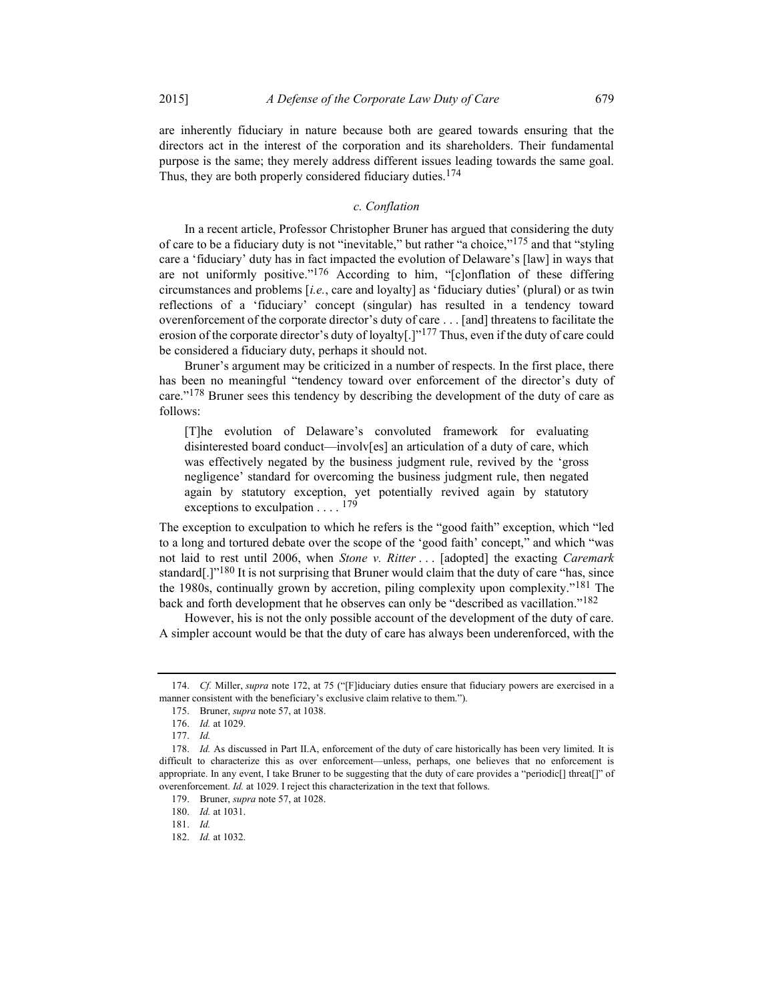are inherently fiduciary in nature because both are geared towards ensuring that the directors act in the interest of the corporation and its shareholders. Their fundamental purpose is the same; they merely address different issues leading towards the same goal. Thus, they are both properly considered fiduciary duties.<sup>174</sup>

## c. Conflation

In a recent article, Professor Christopher Bruner has argued that considering the duty of care to be a fiduciary duty is not "inevitable," but rather "a choice,"<sup>175</sup> and that "styling care a 'fiduciary' duty has in fact impacted the evolution of Delaware's [law] in ways that are not uniformly positive."<sup>176</sup> According to him, "[c]onflation of these differing circumstances and problems  $[i.e.,$  care and loyalty] as 'fiduciary duties' (plural) or as twin reflections of a 'fiduciary' concept (singular) has resulted in a tendency toward overenforcement of the corporate director's duty of care . . . [and] threatens to facilitate the erosion of the corporate director's duty of loyalty[.]"<sup>177</sup> Thus, even if the duty of care could be considered a fiduciary duty, perhaps it should not.

Bruner's argument may be criticized in a number of respects. In the first place, there has been no meaningful "tendency toward over enforcement of the director's duty of care."<sup>178</sup> Bruner sees this tendency by describing the development of the duty of care as follows:

[T]he evolution of Delaware's convoluted framework for evaluating disinterested board conduct—involv[es] an articulation of a duty of care, which was effectively negated by the business judgment rule, revived by the 'gross negligence' standard for overcoming the business judgment rule, then negated again by statutory exception, yet potentially revived again by statutory exceptions to exculpation  $\dots$ . <sup>179</sup>

The exception to exculpation to which he refers is the "good faith" exception, which "led to a long and tortured debate over the scope of the 'good faith' concept," and which "was not laid to rest until 2006, when *Stone v. Ritter* ... [adopted] the exacting *Caremark* standard[.] $"180$  It is not surprising that Bruner would claim that the duty of care "has, since the 1980s, continually grown by accretion, piling complexity upon complexity."181 The back and forth development that he observes can only be "described as vacillation."182

However, his is not the only possible account of the development of the duty of care. A simpler account would be that the duty of care has always been underenforced, with the

<sup>174.</sup> Cf. Miller, supra note 172, at 75 ("[F]iduciary duties ensure that fiduciary powers are exercised in a manner consistent with the beneficiary's exclusive claim relative to them.").

 <sup>175.</sup> Bruner, supra note 57, at 1038.

 <sup>176.</sup> Id. at 1029.

 <sup>177.</sup> Id.

<sup>178.</sup> Id. As discussed in Part II.A, enforcement of the duty of care historically has been very limited. It is difficult to characterize this as over enforcement—unless, perhaps, one believes that no enforcement is appropriate. In any event, I take Bruner to be suggesting that the duty of care provides a "periodic[] threat[]" of overenforcement. Id. at 1029. I reject this characterization in the text that follows.

<sup>179.</sup> Bruner, *supra* note 57, at 1028.

<sup>180.</sup> *Id.* at 1031.

 <sup>181.</sup> Id.

 <sup>182.</sup> Id. at 1032.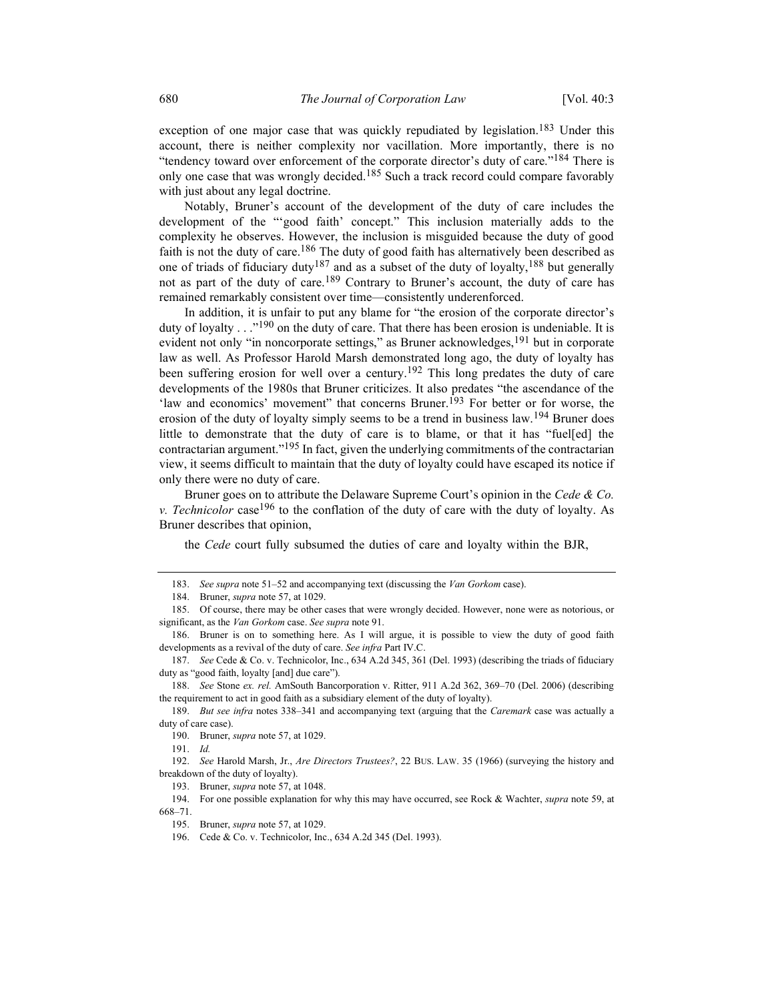exception of one major case that was quickly repudiated by legislation.<sup>183</sup> Under this account, there is neither complexity nor vacillation. More importantly, there is no "tendency toward over enforcement of the corporate director's duty of care."<sup>184</sup> There is only one case that was wrongly decided.<sup>185</sup> Such a track record could compare favorably with just about any legal doctrine.

Notably, Bruner's account of the development of the duty of care includes the development of the "'good faith' concept." This inclusion materially adds to the complexity he observes. However, the inclusion is misguided because the duty of good faith is not the duty of care.<sup>186</sup> The duty of good faith has alternatively been described as one of triads of fiduciary duty187 and as a subset of the duty of loyalty,188 but generally not as part of the duty of care.<sup>189</sup> Contrary to Bruner's account, the duty of care has remained remarkably consistent over time—consistently underenforced.

In addition, it is unfair to put any blame for "the erosion of the corporate director's duty of loyalty  $\ldots$ <sup>190</sup> on the duty of care. That there has been erosion is undeniable. It is evident not only "in noncorporate settings," as Bruner acknowledges,<sup>191</sup> but in corporate law as well. As Professor Harold Marsh demonstrated long ago, the duty of loyalty has been suffering erosion for well over a century.<sup>192</sup> This long predates the duty of care developments of the 1980s that Bruner criticizes. It also predates "the ascendance of the 'law and economics' movement'' that concerns Bruner.<sup>193</sup> For better or for worse, the erosion of the duty of loyalty simply seems to be a trend in business law.<sup>194</sup> Bruner does little to demonstrate that the duty of care is to blame, or that it has "fuel[ed] the contractarian argument."<sup>195</sup> In fact, given the underlying commitments of the contractarian view, it seems difficult to maintain that the duty of loyalty could have escaped its notice if only there were no duty of care.

Bruner goes on to attribute the Delaware Supreme Court's opinion in the Cede & Co. v. Technicolor case<sup>196</sup> to the conflation of the duty of care with the duty of loyalty. As Bruner describes that opinion,

the Cede court fully subsumed the duties of care and loyalty within the BJR,

<sup>183.</sup> See supra note 51–52 and accompanying text (discussing the Van Gorkom case).

 <sup>184.</sup> Bruner, supra note 57, at 1029.

 <sup>185.</sup> Of course, there may be other cases that were wrongly decided. However, none were as notorious, or significant, as the Van Gorkom case. See supra note 91.

 <sup>186.</sup> Bruner is on to something here. As I will argue, it is possible to view the duty of good faith developments as a revival of the duty of care. See infra Part IV.C.

 <sup>187.</sup> See Cede & Co. v. Technicolor, Inc., 634 A.2d 345, 361 (Del. 1993) (describing the triads of fiduciary duty as "good faith, loyalty [and] due care").

 <sup>188.</sup> See Stone ex. rel. AmSouth Bancorporation v. Ritter, 911 A.2d 362, 369–70 (Del. 2006) (describing the requirement to act in good faith as a subsidiary element of the duty of loyalty).

<sup>189.</sup> But see infra notes 338-341 and accompanying text (arguing that the Caremark case was actually a duty of care case).

 <sup>190.</sup> Bruner, supra note 57, at 1029.

 <sup>191.</sup> Id.

 <sup>192.</sup> See Harold Marsh, Jr., Are Directors Trustees?, 22 BUS. LAW. 35 (1966) (surveying the history and breakdown of the duty of loyalty).

 <sup>193.</sup> Bruner, supra note 57, at 1048.

<sup>194.</sup> For one possible explanation for why this may have occurred, see Rock & Wachter, supra note 59, at 668–71.

 <sup>195.</sup> Bruner, supra note 57, at 1029.

 <sup>196.</sup> Cede & Co. v. Technicolor, Inc., 634 A.2d 345 (Del. 1993).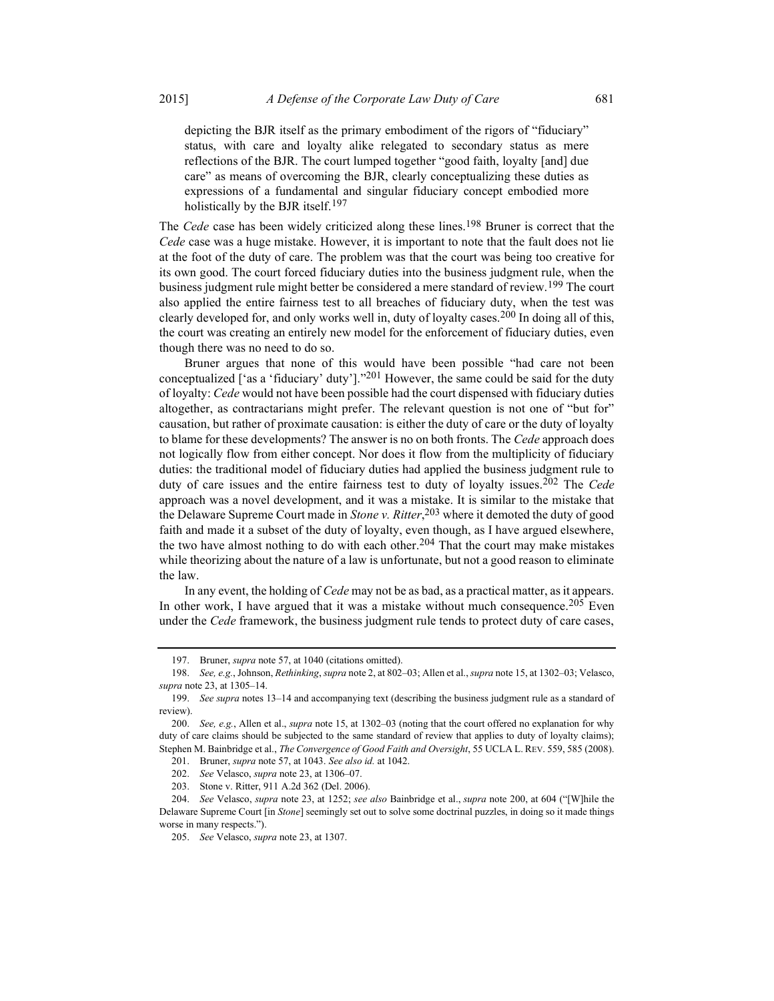depicting the BJR itself as the primary embodiment of the rigors of "fiduciary" status, with care and loyalty alike relegated to secondary status as mere reflections of the BJR. The court lumped together "good faith, loyalty [and] due care" as means of overcoming the BJR, clearly conceptualizing these duties as expressions of a fundamental and singular fiduciary concept embodied more holistically by the BJR itself.197

The Cede case has been widely criticized along these lines.<sup>198</sup> Bruner is correct that the Cede case was a huge mistake. However, it is important to note that the fault does not lie at the foot of the duty of care. The problem was that the court was being too creative for its own good. The court forced fiduciary duties into the business judgment rule, when the business judgment rule might better be considered a mere standard of review.<sup>199</sup> The court also applied the entire fairness test to all breaches of fiduciary duty, when the test was clearly developed for, and only works well in, duty of loyalty cases.<sup>200</sup> In doing all of this, the court was creating an entirely new model for the enforcement of fiduciary duties, even though there was no need to do so.

Bruner argues that none of this would have been possible "had care not been conceptualized ['as a 'fiduciary' duty']."<sup>201</sup> However, the same could be said for the duty of loyalty: Cede would not have been possible had the court dispensed with fiduciary duties altogether, as contractarians might prefer. The relevant question is not one of "but for" causation, but rather of proximate causation: is either the duty of care or the duty of loyalty to blame for these developments? The answer is no on both fronts. The *Cede* approach does not logically flow from either concept. Nor does it flow from the multiplicity of fiduciary duties: the traditional model of fiduciary duties had applied the business judgment rule to duty of care issues and the entire fairness test to duty of loyalty issues.<sup>202</sup> The Cede approach was a novel development, and it was a mistake. It is similar to the mistake that the Delaware Supreme Court made in *Stone v. Ritter*,<sup>203</sup> where it demoted the duty of good faith and made it a subset of the duty of loyalty, even though, as I have argued elsewhere, the two have almost nothing to do with each other.<sup>204</sup> That the court may make mistakes while theorizing about the nature of a law is unfortunate, but not a good reason to eliminate the law.

In any event, the holding of Cede may not be as bad, as a practical matter, as it appears. In other work, I have argued that it was a mistake without much consequence.<sup>205</sup> Even under the *Cede* framework, the business judgment rule tends to protect duty of care cases,

 <sup>197.</sup> Bruner, supra note 57, at 1040 (citations omitted).

 <sup>198.</sup> See, e.g., Johnson, Rethinking, supra note 2, at 802–03; Allen et al., supra note 15, at 1302–03; Velasco, supra note 23, at 1305–14.

<sup>199.</sup> See supra notes 13–14 and accompanying text (describing the business judgment rule as a standard of review).

 <sup>200.</sup> See, e.g., Allen et al., supra note 15, at 1302–03 (noting that the court offered no explanation for why duty of care claims should be subjected to the same standard of review that applies to duty of loyalty claims); Stephen M. Bainbridge et al., The Convergence of Good Faith and Oversight, 55 UCLA L. REV. 559, 585 (2008).

 <sup>201.</sup> Bruner, supra note 57, at 1043. See also id. at 1042.

 <sup>202.</sup> See Velasco, supra note 23, at 1306–07.

 <sup>203.</sup> Stone v. Ritter, 911 A.2d 362 (Del. 2006).

<sup>204.</sup> See Velasco, supra note 23, at 1252; see also Bainbridge et al., supra note 200, at 604 ("[W]hile the Delaware Supreme Court [in Stone] seemingly set out to solve some doctrinal puzzles, in doing so it made things worse in many respects.").

 <sup>205.</sup> See Velasco, supra note 23, at 1307.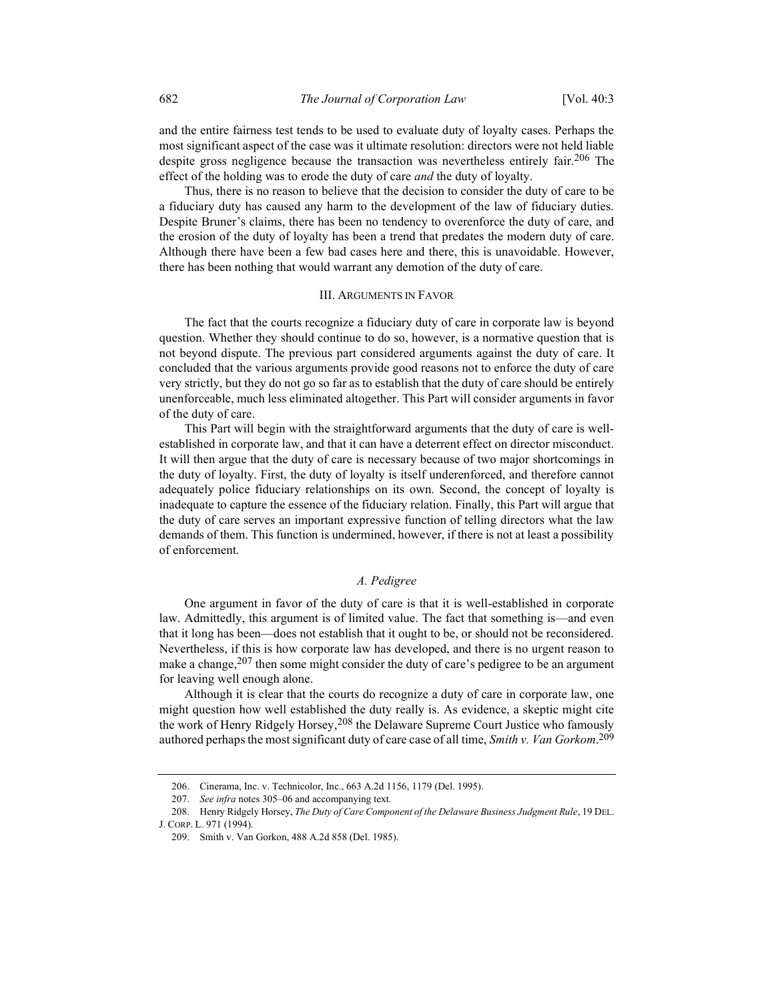and the entire fairness test tends to be used to evaluate duty of loyalty cases. Perhaps the most significant aspect of the case was it ultimate resolution: directors were not held liable despite gross negligence because the transaction was nevertheless entirely fair.<sup>206</sup> The effect of the holding was to erode the duty of care *and* the duty of loyalty.

Thus, there is no reason to believe that the decision to consider the duty of care to be a fiduciary duty has caused any harm to the development of the law of fiduciary duties. Despite Bruner's claims, there has been no tendency to overenforce the duty of care, and the erosion of the duty of loyalty has been a trend that predates the modern duty of care. Although there have been a few bad cases here and there, this is unavoidable. However, there has been nothing that would warrant any demotion of the duty of care.

#### III. ARGUMENTS IN FAVOR

The fact that the courts recognize a fiduciary duty of care in corporate law is beyond question. Whether they should continue to do so, however, is a normative question that is not beyond dispute. The previous part considered arguments against the duty of care. It concluded that the various arguments provide good reasons not to enforce the duty of care very strictly, but they do not go so far as to establish that the duty of care should be entirely unenforceable, much less eliminated altogether. This Part will consider arguments in favor of the duty of care.

This Part will begin with the straightforward arguments that the duty of care is wellestablished in corporate law, and that it can have a deterrent effect on director misconduct. It will then argue that the duty of care is necessary because of two major shortcomings in the duty of loyalty. First, the duty of loyalty is itself underenforced, and therefore cannot adequately police fiduciary relationships on its own. Second, the concept of loyalty is inadequate to capture the essence of the fiduciary relation. Finally, this Part will argue that the duty of care serves an important expressive function of telling directors what the law demands of them. This function is undermined, however, if there is not at least a possibility of enforcement.

## A. Pedigree

One argument in favor of the duty of care is that it is well-established in corporate law. Admittedly, this argument is of limited value. The fact that something is—and even that it long has been—does not establish that it ought to be, or should not be reconsidered. Nevertheless, if this is how corporate law has developed, and there is no urgent reason to make a change,<sup>207</sup> then some might consider the duty of care's pedigree to be an argument for leaving well enough alone.

Although it is clear that the courts do recognize a duty of care in corporate law, one might question how well established the duty really is. As evidence, a skeptic might cite the work of Henry Ridgely Horsey,  $208$  the Delaware Supreme Court Justice who famously authored perhaps the most significant duty of care case of all time, Smith v. Van Gorkom.<sup>209</sup>

 <sup>206.</sup> Cinerama, Inc. v. Technicolor, Inc., 663 A.2d 1156, 1179 (Del. 1995).

 <sup>207.</sup> See infra notes 305–06 and accompanying text.

<sup>208.</sup> Henry Ridgely Horsey, The Duty of Care Component of the Delaware Business Judgment Rule, 19 DEL. J. CORP. L. 971 (1994).

 <sup>209.</sup> Smith v. Van Gorkon, 488 A.2d 858 (Del. 1985).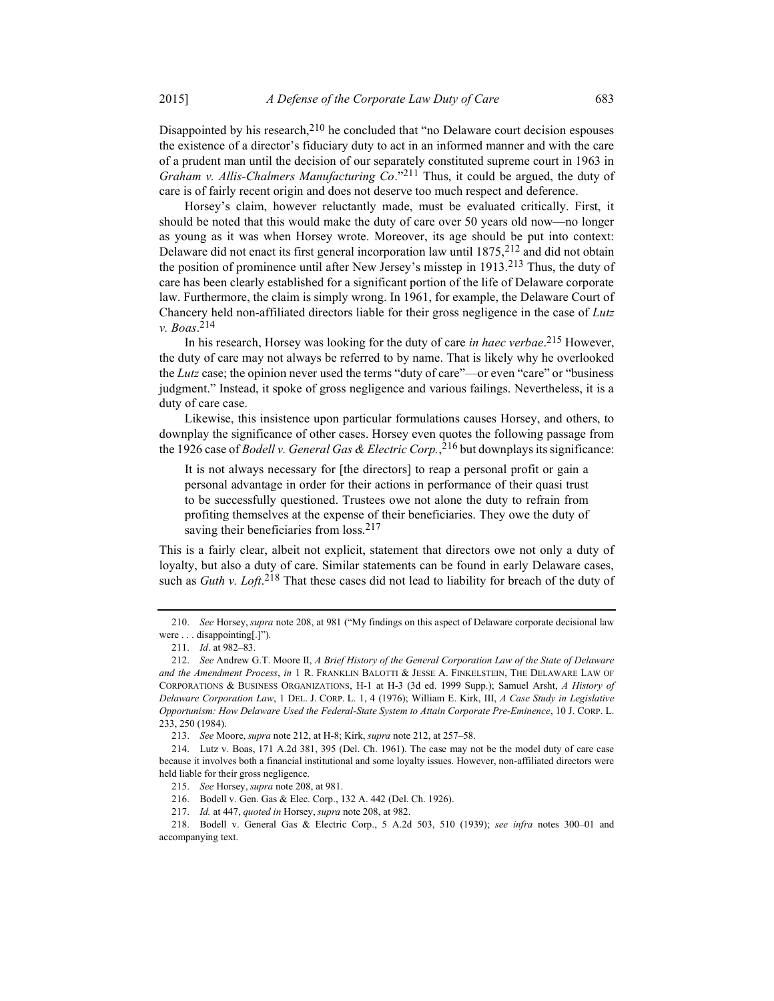Disappointed by his research,  $210$  he concluded that "no Delaware court decision espouses the existence of a director's fiduciary duty to act in an informed manner and with the care of a prudent man until the decision of our separately constituted supreme court in 1963 in Graham v. Allis-Chalmers Manufacturing  $Co.^{211}$  Thus, it could be argued, the duty of care is of fairly recent origin and does not deserve too much respect and deference.

Horsey's claim, however reluctantly made, must be evaluated critically. First, it should be noted that this would make the duty of care over 50 years old now—no longer as young as it was when Horsey wrote. Moreover, its age should be put into context: Delaware did not enact its first general incorporation law until  $1875$ ,  $212$  and did not obtain the position of prominence until after New Jersey's misstep in 1913.213 Thus, the duty of care has been clearly established for a significant portion of the life of Delaware corporate law. Furthermore, the claim is simply wrong. In 1961, for example, the Delaware Court of Chancery held non-affiliated directors liable for their gross negligence in the case of Lutz v. Boas. 214

In his research, Horsey was looking for the duty of care in haec verbae.<sup>215</sup> However, the duty of care may not always be referred to by name. That is likely why he overlooked the Lutz case; the opinion never used the terms "duty of care"—or even "care" or "business" judgment." Instead, it spoke of gross negligence and various failings. Nevertheless, it is a duty of care case.

Likewise, this insistence upon particular formulations causes Horsey, and others, to downplay the significance of other cases. Horsey even quotes the following passage from the 1926 case of *Bodell v. General Gas & Electric Corp.*, <sup>216</sup> but downplays its significance:

It is not always necessary for [the directors] to reap a personal profit or gain a personal advantage in order for their actions in performance of their quasi trust to be successfully questioned. Trustees owe not alone the duty to refrain from profiting themselves at the expense of their beneficiaries. They owe the duty of saving their beneficiaries from loss.<sup>217</sup>

This is a fairly clear, albeit not explicit, statement that directors owe not only a duty of loyalty, but also a duty of care. Similar statements can be found in early Delaware cases, such as *Guth v. Loft*.<sup>218</sup> That these cases did not lead to liability for breach of the duty of

 <sup>210.</sup> See Horsey, supra note 208, at 981 ("My findings on this aspect of Delaware corporate decisional law were . . . disappointing[.]").

 <sup>211.</sup> Id. at 982–83.

 <sup>212.</sup> See Andrew G.T. Moore II, A Brief History of the General Corporation Law of the State of Delaware and the Amendment Process, in 1 R. FRANKLIN BALOTTI & JESSE A. FINKELSTEIN, THE DELAWARE LAW OF CORPORATIONS & BUSINESS ORGANIZATIONS, H-1 at H-3 (3d ed. 1999 Supp.); Samuel Arsht, A History of Delaware Corporation Law, 1 DEL. J. CORP. L. 1, 4 (1976); William E. Kirk, III, A Case Study in Legislative Opportunism: How Delaware Used the Federal-State System to Attain Corporate Pre-Eminence, 10 J. CORP. L. 233, 250 (1984).

 <sup>213.</sup> See Moore, supra note 212, at H-8; Kirk, supra note 212, at 257–58.

 <sup>214.</sup> Lutz v. Boas, 171 A.2d 381, 395 (Del. Ch. 1961). The case may not be the model duty of care case because it involves both a financial institutional and some loyalty issues. However, non-affiliated directors were held liable for their gross negligence.

 <sup>215.</sup> See Horsey, supra note 208, at 981.

 <sup>216.</sup> Bodell v. Gen. Gas & Elec. Corp., 132 A. 442 (Del. Ch. 1926).

 <sup>217.</sup> Id. at 447, quoted in Horsey, supra note 208, at 982.

 <sup>218.</sup> Bodell v. General Gas & Electric Corp., 5 A.2d 503, 510 (1939); see infra notes 300–01 and accompanying text.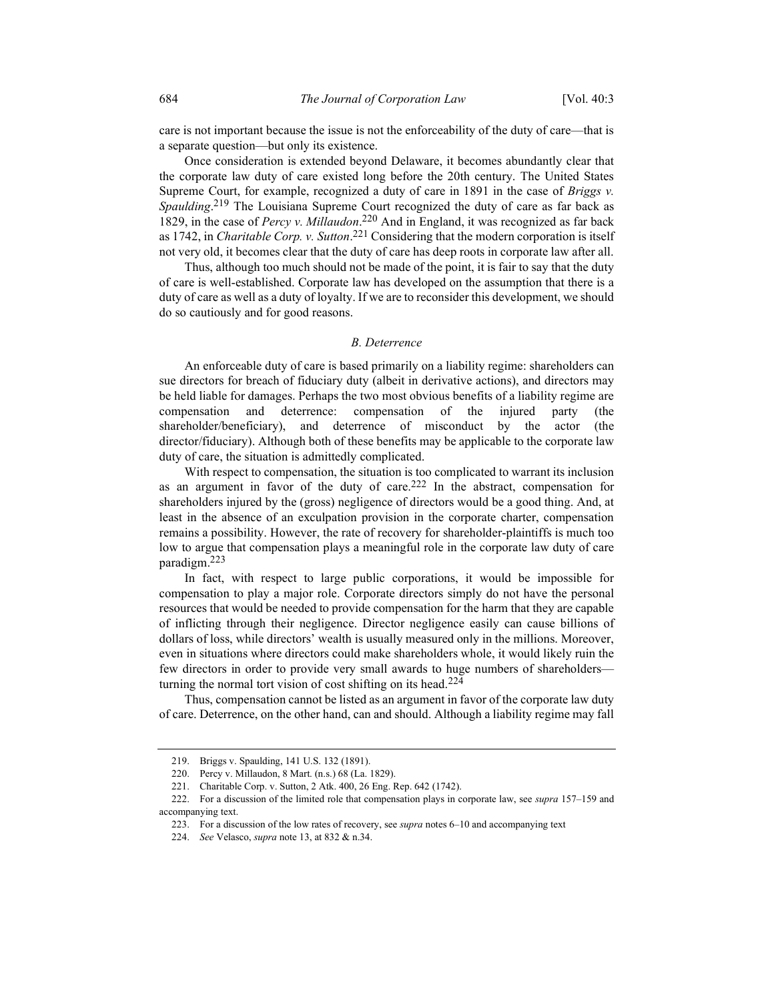care is not important because the issue is not the enforceability of the duty of care—that is a separate question—but only its existence.

Once consideration is extended beyond Delaware, it becomes abundantly clear that the corporate law duty of care existed long before the 20th century. The United States Supreme Court, for example, recognized a duty of care in 1891 in the case of *Briggs v*. Spaulding.<sup>219</sup> The Louisiana Supreme Court recognized the duty of care as far back as 1829, in the case of Percy v. Millaudon.<sup>220</sup> And in England, it was recognized as far back as 1742, in *Charitable Corp. v. Sutton*.<sup>221</sup> Considering that the modern corporation is itself not very old, it becomes clear that the duty of care has deep roots in corporate law after all.

Thus, although too much should not be made of the point, it is fair to say that the duty of care is well-established. Corporate law has developed on the assumption that there is a duty of care as well as a duty of loyalty. If we are to reconsider this development, we should do so cautiously and for good reasons.

#### B. Deterrence

An enforceable duty of care is based primarily on a liability regime: shareholders can sue directors for breach of fiduciary duty (albeit in derivative actions), and directors may be held liable for damages. Perhaps the two most obvious benefits of a liability regime are compensation and deterrence: compensation of the injured party (the shareholder/beneficiary), and deterrence of misconduct by the actor (the director/fiduciary). Although both of these benefits may be applicable to the corporate law duty of care, the situation is admittedly complicated.

With respect to compensation, the situation is too complicated to warrant its inclusion as an argument in favor of the duty of care.222 In the abstract, compensation for shareholders injured by the (gross) negligence of directors would be a good thing. And, at least in the absence of an exculpation provision in the corporate charter, compensation remains a possibility. However, the rate of recovery for shareholder-plaintiffs is much too low to argue that compensation plays a meaningful role in the corporate law duty of care paradigm.223

In fact, with respect to large public corporations, it would be impossible for compensation to play a major role. Corporate directors simply do not have the personal resources that would be needed to provide compensation for the harm that they are capable of inflicting through their negligence. Director negligence easily can cause billions of dollars of loss, while directors' wealth is usually measured only in the millions. Moreover, even in situations where directors could make shareholders whole, it would likely ruin the few directors in order to provide very small awards to huge numbers of shareholders turning the normal tort vision of cost shifting on its head.<sup>224</sup>

Thus, compensation cannot be listed as an argument in favor of the corporate law duty of care. Deterrence, on the other hand, can and should. Although a liability regime may fall

 <sup>219.</sup> Briggs v. Spaulding, 141 U.S. 132 (1891).

 <sup>220.</sup> Percy v. Millaudon, 8 Mart. (n.s.) 68 (La. 1829).

 <sup>221.</sup> Charitable Corp. v. Sutton, 2 Atk. 400, 26 Eng. Rep. 642 (1742).

<sup>222.</sup> For a discussion of the limited role that compensation plays in corporate law, see supra 157-159 and accompanying text.

<sup>223.</sup> For a discussion of the low rates of recovery, see *supra* notes  $6-10$  and accompanying text

 <sup>224.</sup> See Velasco, supra note 13, at 832 & n.34.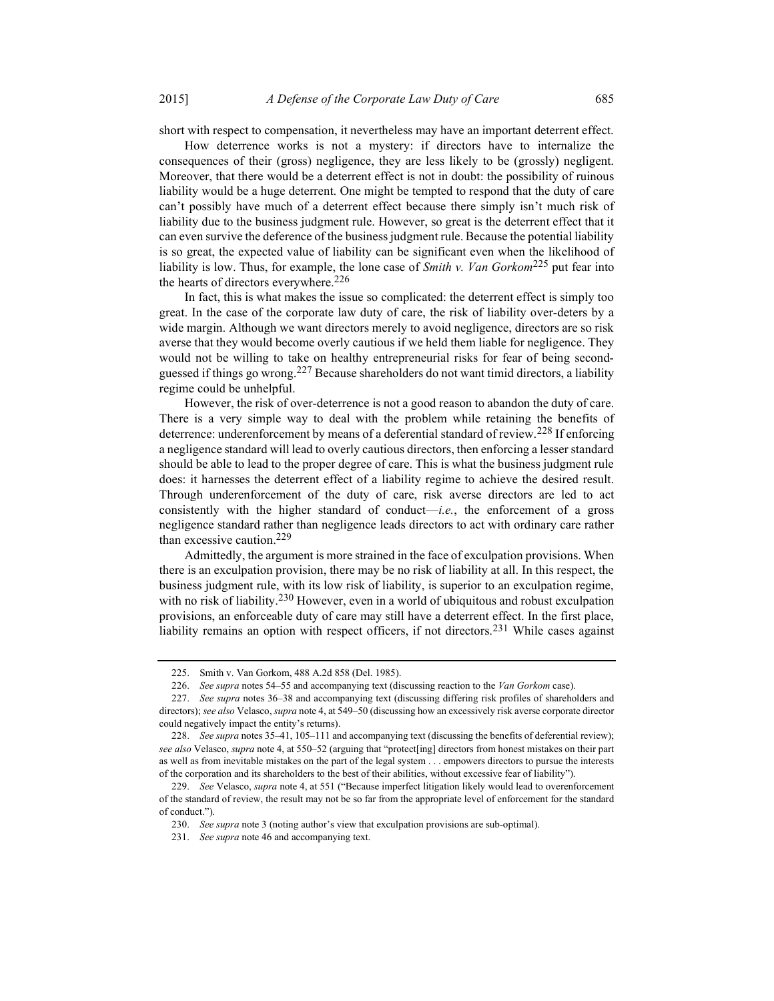short with respect to compensation, it nevertheless may have an important deterrent effect.

How deterrence works is not a mystery: if directors have to internalize the consequences of their (gross) negligence, they are less likely to be (grossly) negligent. Moreover, that there would be a deterrent effect is not in doubt: the possibility of ruinous liability would be a huge deterrent. One might be tempted to respond that the duty of care can't possibly have much of a deterrent effect because there simply isn't much risk of liability due to the business judgment rule. However, so great is the deterrent effect that it can even survive the deference of the business judgment rule. Because the potential liability is so great, the expected value of liability can be significant even when the likelihood of liability is low. Thus, for example, the lone case of *Smith v. Van Gorkom*<sup>225</sup> put fear into the hearts of directors everywhere.<sup>226</sup>

In fact, this is what makes the issue so complicated: the deterrent effect is simply too great. In the case of the corporate law duty of care, the risk of liability over-deters by a wide margin. Although we want directors merely to avoid negligence, directors are so risk averse that they would become overly cautious if we held them liable for negligence. They would not be willing to take on healthy entrepreneurial risks for fear of being secondguessed if things go wrong.<sup>227</sup> Because shareholders do not want timid directors, a liability regime could be unhelpful.

However, the risk of over-deterrence is not a good reason to abandon the duty of care. There is a very simple way to deal with the problem while retaining the benefits of deterrence: underenforcement by means of a deferential standard of review.<sup>228</sup> If enforcing a negligence standard will lead to overly cautious directors, then enforcing a lesser standard should be able to lead to the proper degree of care. This is what the business judgment rule does: it harnesses the deterrent effect of a liability regime to achieve the desired result. Through underenforcement of the duty of care, risk averse directors are led to act consistently with the higher standard of conduct—*i.e.*, the enforcement of a gross negligence standard rather than negligence leads directors to act with ordinary care rather than excessive caution.229

Admittedly, the argument is more strained in the face of exculpation provisions. When there is an exculpation provision, there may be no risk of liability at all. In this respect, the business judgment rule, with its low risk of liability, is superior to an exculpation regime, with no risk of liability.<sup>230</sup> However, even in a world of ubiquitous and robust exculpation provisions, an enforceable duty of care may still have a deterrent effect. In the first place, liability remains an option with respect officers, if not directors.<sup>231</sup> While cases against

 <sup>225.</sup> Smith v. Van Gorkom, 488 A.2d 858 (Del. 1985).

<sup>226.</sup> See supra notes 54–55 and accompanying text (discussing reaction to the Van Gorkom case).

 <sup>227.</sup> See supra notes 36–38 and accompanying text (discussing differing risk profiles of shareholders and directors); see also Velasco, supra note 4, at 549–50 (discussing how an excessively risk averse corporate director could negatively impact the entity's returns).

<sup>228.</sup> See supra notes 35–41, 105–111 and accompanying text (discussing the benefits of deferential review); see also Velasco, supra note 4, at 550-52 (arguing that "protect[ing] directors from honest mistakes on their part as well as from inevitable mistakes on the part of the legal system . . . empowers directors to pursue the interests of the corporation and its shareholders to the best of their abilities, without excessive fear of liability").

<sup>229.</sup> See Velasco, supra note 4, at 551 ("Because imperfect litigation likely would lead to overenforcement of the standard of review, the result may not be so far from the appropriate level of enforcement for the standard of conduct.").

 <sup>230.</sup> See supra note 3 (noting author's view that exculpation provisions are sub-optimal).

<sup>231.</sup> See supra note 46 and accompanying text.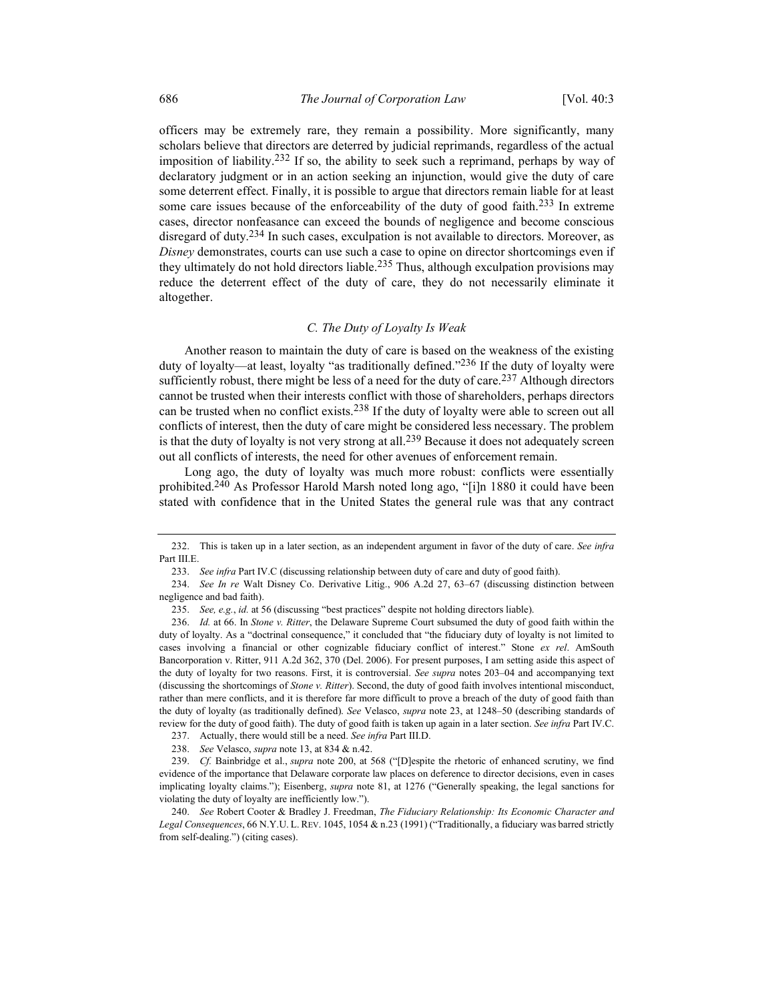officers may be extremely rare, they remain a possibility. More significantly, many scholars believe that directors are deterred by judicial reprimands, regardless of the actual imposition of liability.<sup>232</sup> If so, the ability to seek such a reprimand, perhaps by way of declaratory judgment or in an action seeking an injunction, would give the duty of care some deterrent effect. Finally, it is possible to argue that directors remain liable for at least some care issues because of the enforceability of the duty of good faith.<sup>233</sup> In extreme cases, director nonfeasance can exceed the bounds of negligence and become conscious disregard of duty.<sup>234</sup> In such cases, exculpation is not available to directors. Moreover, as Disney demonstrates, courts can use such a case to opine on director shortcomings even if they ultimately do not hold directors liable.235 Thus, although exculpation provisions may reduce the deterrent effect of the duty of care, they do not necessarily eliminate it altogether.

## C. The Duty of Loyalty Is Weak

Another reason to maintain the duty of care is based on the weakness of the existing duty of loyalty—at least, loyalty "as traditionally defined."<sup>236</sup> If the duty of loyalty were sufficiently robust, there might be less of a need for the duty of care.<sup>237</sup> Although directors cannot be trusted when their interests conflict with those of shareholders, perhaps directors can be trusted when no conflict exists.<sup>238</sup> If the duty of loyalty were able to screen out all conflicts of interest, then the duty of care might be considered less necessary. The problem is that the duty of loyalty is not very strong at all.<sup>239</sup> Because it does not adequately screen out all conflicts of interests, the need for other avenues of enforcement remain.

Long ago, the duty of loyalty was much more robust: conflicts were essentially prohibited.<sup>240</sup> As Professor Harold Marsh noted long ago, "[i]n 1880 it could have been stated with confidence that in the United States the general rule was that any contract

<sup>232.</sup> This is taken up in a later section, as an independent argument in favor of the duty of care. See infra Part III.E.

 <sup>233.</sup> See infra Part IV.C (discussing relationship between duty of care and duty of good faith).

 <sup>234.</sup> See In re Walt Disney Co. Derivative Litig., 906 A.2d 27, 63–67 (discussing distinction between negligence and bad faith).

 <sup>235.</sup> See, e.g., id. at 56 (discussing "best practices" despite not holding directors liable).

<sup>236.</sup> Id. at 66. In Stone v. Ritter, the Delaware Supreme Court subsumed the duty of good faith within the duty of loyalty. As a "doctrinal consequence," it concluded that "the fiduciary duty of loyalty is not limited to cases involving a financial or other cognizable fiduciary conflict of interest." Stone ex rel. AmSouth Bancorporation v. Ritter, 911 A.2d 362, 370 (Del. 2006). For present purposes, I am setting aside this aspect of the duty of loyalty for two reasons. First, it is controversial. See supra notes 203–04 and accompanying text (discussing the shortcomings of Stone v. Ritter). Second, the duty of good faith involves intentional misconduct, rather than mere conflicts, and it is therefore far more difficult to prove a breach of the duty of good faith than the duty of loyalty (as traditionally defined). See Velasco, supra note 23, at 1248–50 (describing standards of review for the duty of good faith). The duty of good faith is taken up again in a later section. See infra Part IV.C.

<sup>237.</sup> Actually, there would still be a need. See infra Part III.D.

 <sup>238.</sup> See Velasco, supra note 13, at 834 & n.42.

 <sup>239.</sup> Cf. Bainbridge et al., supra note 200, at 568 ("[D]espite the rhetoric of enhanced scrutiny, we find evidence of the importance that Delaware corporate law places on deference to director decisions, even in cases implicating loyalty claims."); Eisenberg, *supra* note 81, at 1276 ("Generally speaking, the legal sanctions for violating the duty of loyalty are inefficiently low.").

<sup>240.</sup> See Robert Cooter & Bradley J. Freedman, The Fiduciary Relationship: Its Economic Character and Legal Consequences, 66 N.Y.U. L. REV. 1045, 1054 & n.23 (1991) ("Traditionally, a fiduciary was barred strictly from self-dealing.") (citing cases).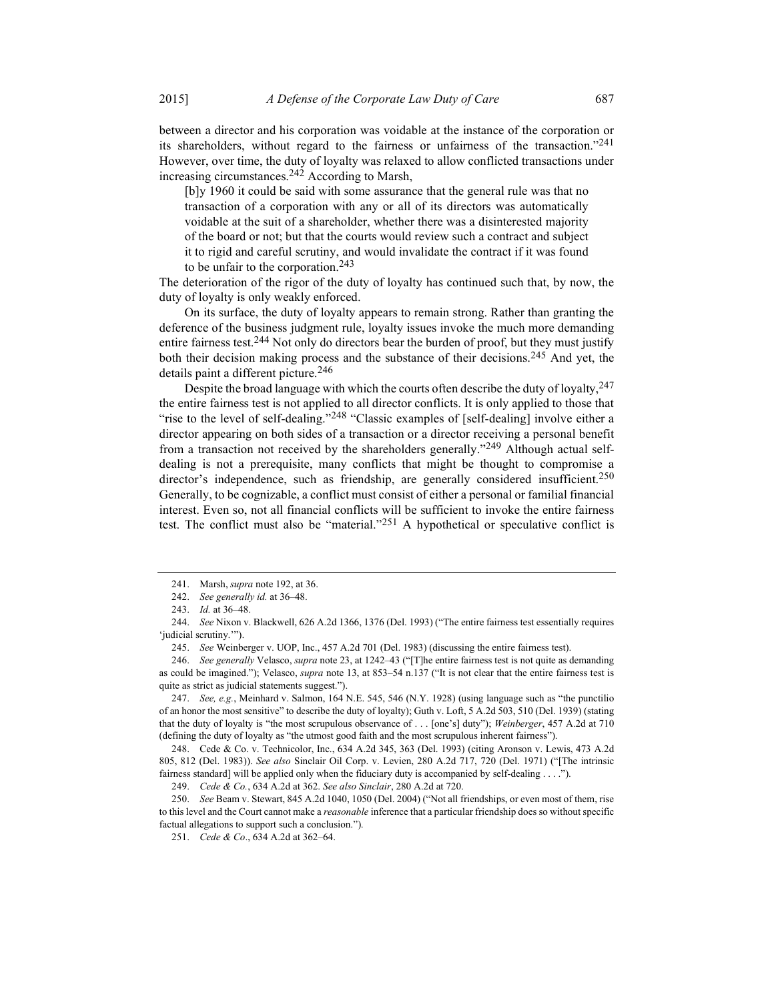between a director and his corporation was voidable at the instance of the corporation or its shareholders, without regard to the fairness or unfairness of the transaction."241 However, over time, the duty of loyalty was relaxed to allow conflicted transactions under increasing circumstances.242 According to Marsh,

[b]y 1960 it could be said with some assurance that the general rule was that no transaction of a corporation with any or all of its directors was automatically voidable at the suit of a shareholder, whether there was a disinterested majority of the board or not; but that the courts would review such a contract and subject it to rigid and careful scrutiny, and would invalidate the contract if it was found to be unfair to the corporation.<sup>243</sup>

The deterioration of the rigor of the duty of loyalty has continued such that, by now, the duty of loyalty is only weakly enforced.

On its surface, the duty of loyalty appears to remain strong. Rather than granting the deference of the business judgment rule, loyalty issues invoke the much more demanding entire fairness test.<sup>244</sup> Not only do directors bear the burden of proof, but they must justify both their decision making process and the substance of their decisions.245 And yet, the details paint a different picture.<sup>246</sup>

Despite the broad language with which the courts often describe the duty of loyalty, 247 the entire fairness test is not applied to all director conflicts. It is only applied to those that "rise to the level of self-dealing."<sup>248</sup> "Classic examples of [self-dealing] involve either a director appearing on both sides of a transaction or a director receiving a personal benefit from a transaction not received by the shareholders generally."<sup>249</sup> Although actual selfdealing is not a prerequisite, many conflicts that might be thought to compromise a director's independence, such as friendship, are generally considered insufficient.<sup>250</sup> Generally, to be cognizable, a conflict must consist of either a personal or familial financial interest. Even so, not all financial conflicts will be sufficient to invoke the entire fairness test. The conflict must also be "material. $251$  A hypothetical or speculative conflict is

 247. See, e.g., Meinhard v. Salmon, 164 N.E. 545, 546 (N.Y. 1928) (using language such as "the punctilio of an honor the most sensitive" to describe the duty of loyalty); Guth v. Loft, 5 A.2d 503, 510 (Del. 1939) (stating that the duty of loyalty is "the most scrupulous observance of . . . [one's] duty"); Weinberger, 457 A.2d at 710 (defining the duty of loyalty as "the utmost good faith and the most scrupulous inherent fairness").

 248. Cede & Co. v. Technicolor, Inc., 634 A.2d 345, 363 (Del. 1993) (citing Aronson v. Lewis, 473 A.2d 805, 812 (Del. 1983)). See also Sinclair Oil Corp. v. Levien, 280 A.2d 717, 720 (Del. 1971) ("[The intrinsic fairness standard] will be applied only when the fiduciary duty is accompanied by self-dealing . . . .").

249. Cede & Co., 634 A.2d at 362. See also Sinclair, 280 A.2d at 720.

 250. See Beam v. Stewart, 845 A.2d 1040, 1050 (Del. 2004) ("Not all friendships, or even most of them, rise to this level and the Court cannot make a *reasonable* inference that a particular friendship does so without specific factual allegations to support such a conclusion.").

 <sup>241.</sup> Marsh, supra note 192, at 36.

 <sup>242.</sup> See generally id. at 36–48.

 <sup>243.</sup> Id. at 36–48.

 <sup>244.</sup> See Nixon v. Blackwell, 626 A.2d 1366, 1376 (Del. 1993) ("The entire fairness test essentially requires 'judicial scrutiny.'").

 <sup>245.</sup> See Weinberger v. UOP, Inc., 457 A.2d 701 (Del. 1983) (discussing the entire fairness test).

<sup>246.</sup> See generally Velasco, supra note 23, at 1242–43 ("[T]he entire fairness test is not quite as demanding as could be imagined."); Velasco, *supra* note 13, at 853–54 n.137 ("It is not clear that the entire fairness test is quite as strict as judicial statements suggest.").

<sup>251.</sup> Cede & Co., 634 A.2d at 362-64.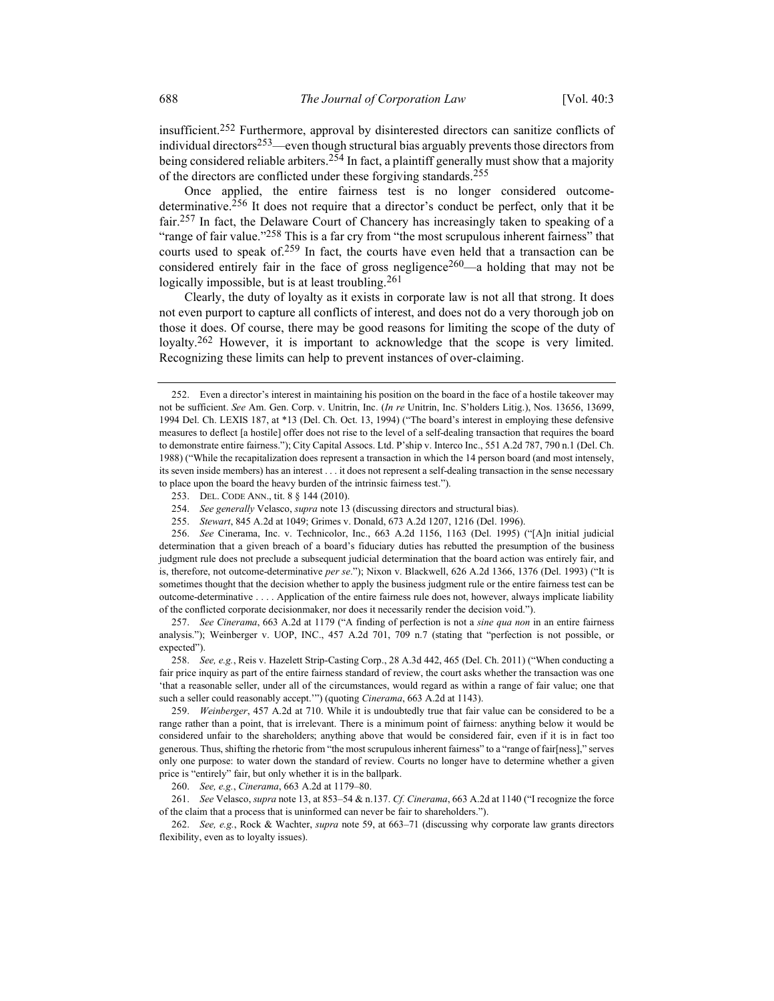insufficient.252 Furthermore, approval by disinterested directors can sanitize conflicts of individual directors<sup>253</sup>—even though structural bias arguably prevents those directors from being considered reliable arbiters.<sup>254</sup> In fact, a plaintiff generally must show that a majority of the directors are conflicted under these forgiving standards.255

Once applied, the entire fairness test is no longer considered outcomedeterminative.256 It does not require that a director's conduct be perfect, only that it be fair.<sup>257</sup> In fact, the Delaware Court of Chancery has increasingly taken to speaking of a "range of fair value."<sup>258</sup> This is a far cry from "the most scrupulous inherent fairness" that courts used to speak of.<sup>259</sup> In fact, the courts have even held that a transaction can be considered entirely fair in the face of gross negligence<sup>260</sup>—a holding that may not be logically impossible, but is at least troubling.  $261$ 

Clearly, the duty of loyalty as it exists in corporate law is not all that strong. It does not even purport to capture all conflicts of interest, and does not do a very thorough job on those it does. Of course, there may be good reasons for limiting the scope of the duty of loyalty.<sup>262</sup> However, it is important to acknowledge that the scope is very limited. Recognizing these limits can help to prevent instances of over-claiming.

 257. See Cinerama, 663 A.2d at 1179 ("A finding of perfection is not a sine qua non in an entire fairness analysis."); Weinberger v. UOP, INC., 457 A.2d 701, 709 n.7 (stating that "perfection is not possible, or expected").

 258. See, e.g., Reis v. Hazelett Strip-Casting Corp., 28 A.3d 442, 465 (Del. Ch. 2011) ("When conducting a fair price inquiry as part of the entire fairness standard of review, the court asks whether the transaction was one 'that a reasonable seller, under all of the circumstances, would regard as within a range of fair value; one that such a seller could reasonably accept."") (quoting *Cinerama*, 663 A.2d at 1143).

 259. Weinberger, 457 A.2d at 710. While it is undoubtedly true that fair value can be considered to be a range rather than a point, that is irrelevant. There is a minimum point of fairness: anything below it would be considered unfair to the shareholders; anything above that would be considered fair, even if it is in fact too generous. Thus, shifting the rhetoric from "the most scrupulous inherent fairness" to a "range of fair[ness]," serves only one purpose: to water down the standard of review. Courts no longer have to determine whether a given price is "entirely" fair, but only whether it is in the ballpark.

260. See, e.g., Cinerama, 663 A.2d at 1179–80.

261. See Velasco, supra note 13, at 853–54 & n.137. Cf. Cinerama, 663 A.2d at 1140 ("I recognize the force of the claim that a process that is uninformed can never be fair to shareholders.").

 262. See, e.g., Rock & Wachter, supra note 59, at 663–71 (discussing why corporate law grants directors flexibility, even as to loyalty issues).

 <sup>252.</sup> Even a director's interest in maintaining his position on the board in the face of a hostile takeover may not be sufficient. See Am. Gen. Corp. v. Unitrin, Inc. (In re Unitrin, Inc. S'holders Litig.), Nos. 13656, 13699, 1994 Del. Ch. LEXIS 187, at \*13 (Del. Ch. Oct. 13, 1994) ("The board's interest in employing these defensive measures to deflect [a hostile] offer does not rise to the level of a self-dealing transaction that requires the board to demonstrate entire fairness."); City Capital Assocs. Ltd. P'ship v. Interco Inc., 551 A.2d 787, 790 n.1 (Del. Ch. 1988) ("While the recapitalization does represent a transaction in which the 14 person board (and most intensely, its seven inside members) has an interest . . . it does not represent a self-dealing transaction in the sense necessary to place upon the board the heavy burden of the intrinsic fairness test.").

 <sup>253.</sup> DEL. CODE ANN., tit. 8 § 144 (2010).

 <sup>254.</sup> See generally Velasco, supra note 13 (discussing directors and structural bias).

 <sup>255.</sup> Stewart, 845 A.2d at 1049; Grimes v. Donald, 673 A.2d 1207, 1216 (Del. 1996).

 <sup>256.</sup> See Cinerama, Inc. v. Technicolor, Inc., 663 A.2d 1156, 1163 (Del. 1995) ("[A]n initial judicial determination that a given breach of a board's fiduciary duties has rebutted the presumption of the business judgment rule does not preclude a subsequent judicial determination that the board action was entirely fair, and is, therefore, not outcome-determinative per se."); Nixon v. Blackwell, 626 A.2d 1366, 1376 (Del. 1993) ("It is sometimes thought that the decision whether to apply the business judgment rule or the entire fairness test can be outcome-determinative . . . . Application of the entire fairness rule does not, however, always implicate liability of the conflicted corporate decisionmaker, nor does it necessarily render the decision void.").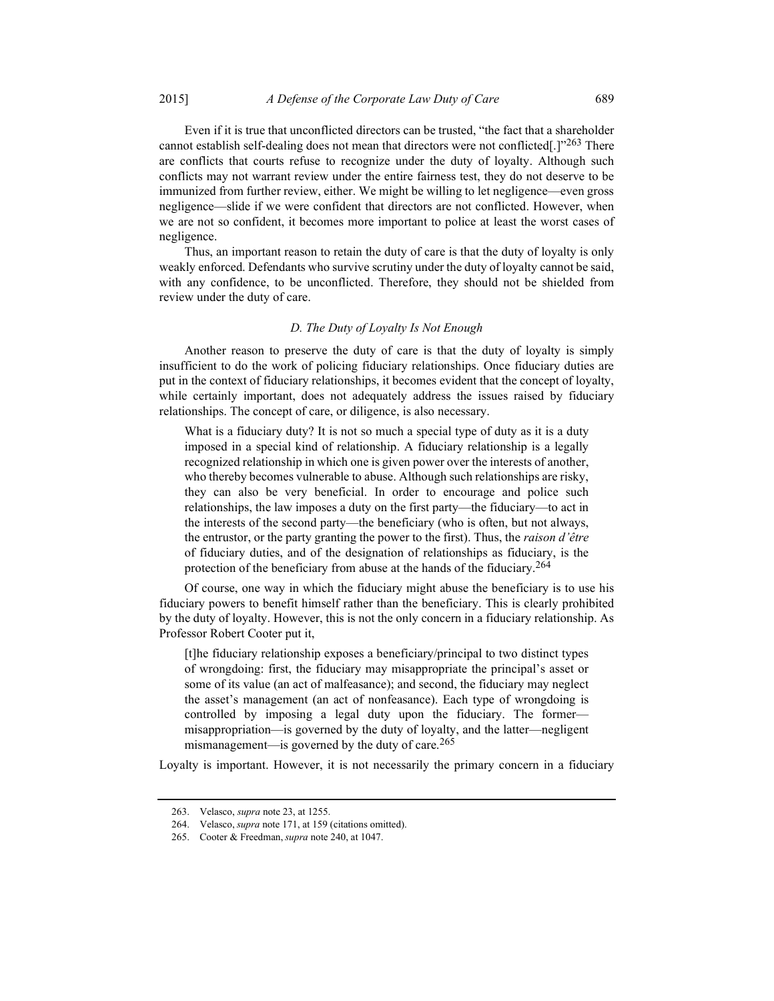Even if it is true that unconflicted directors can be trusted, "the fact that a shareholder cannot establish self-dealing does not mean that directors were not conflicted[.]"263 There are conflicts that courts refuse to recognize under the duty of loyalty. Although such conflicts may not warrant review under the entire fairness test, they do not deserve to be immunized from further review, either. We might be willing to let negligence—even gross negligence—slide if we were confident that directors are not conflicted. However, when we are not so confident, it becomes more important to police at least the worst cases of negligence.

Thus, an important reason to retain the duty of care is that the duty of loyalty is only weakly enforced. Defendants who survive scrutiny under the duty of loyalty cannot be said, with any confidence, to be unconflicted. Therefore, they should not be shielded from review under the duty of care.

# D. The Duty of Loyalty Is Not Enough

Another reason to preserve the duty of care is that the duty of loyalty is simply insufficient to do the work of policing fiduciary relationships. Once fiduciary duties are put in the context of fiduciary relationships, it becomes evident that the concept of loyalty, while certainly important, does not adequately address the issues raised by fiduciary relationships. The concept of care, or diligence, is also necessary.

What is a fiduciary duty? It is not so much a special type of duty as it is a duty imposed in a special kind of relationship. A fiduciary relationship is a legally recognized relationship in which one is given power over the interests of another, who thereby becomes vulnerable to abuse. Although such relationships are risky, they can also be very beneficial. In order to encourage and police such relationships, the law imposes a duty on the first party—the fiduciary—to act in the interests of the second party—the beneficiary (who is often, but not always, the entrustor, or the party granting the power to the first). Thus, the *raison d'être* of fiduciary duties, and of the designation of relationships as fiduciary, is the protection of the beneficiary from abuse at the hands of the fiduciary.<sup>264</sup>

Of course, one way in which the fiduciary might abuse the beneficiary is to use his fiduciary powers to benefit himself rather than the beneficiary. This is clearly prohibited by the duty of loyalty. However, this is not the only concern in a fiduciary relationship. As Professor Robert Cooter put it,

[t]he fiduciary relationship exposes a beneficiary/principal to two distinct types of wrongdoing: first, the fiduciary may misappropriate the principal's asset or some of its value (an act of malfeasance); and second, the fiduciary may neglect the asset's management (an act of nonfeasance). Each type of wrongdoing is controlled by imposing a legal duty upon the fiduciary. The former misappropriation—is governed by the duty of loyalty, and the latter—negligent mismanagement—is governed by the duty of care.<sup>265</sup>

Loyalty is important. However, it is not necessarily the primary concern in a fiduciary

 <sup>263.</sup> Velasco, supra note 23, at 1255.

 <sup>264.</sup> Velasco, supra note 171, at 159 (citations omitted).

 <sup>265.</sup> Cooter & Freedman, supra note 240, at 1047.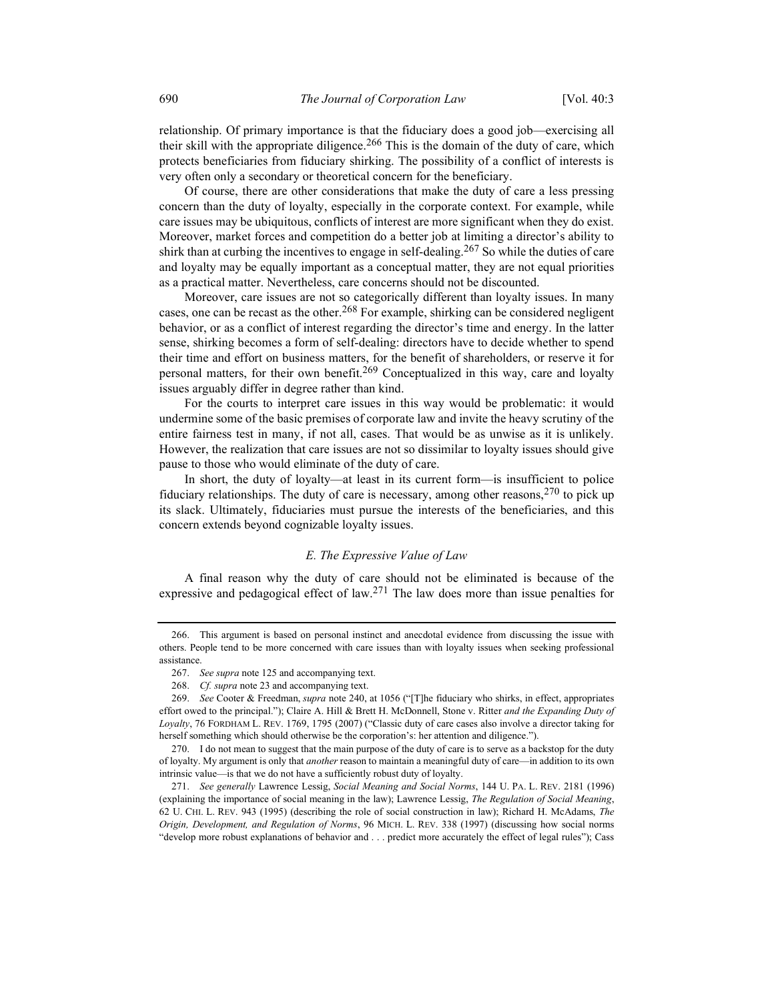relationship. Of primary importance is that the fiduciary does a good job—exercising all their skill with the appropriate diligence.<sup>266</sup> This is the domain of the duty of care, which protects beneficiaries from fiduciary shirking. The possibility of a conflict of interests is very often only a secondary or theoretical concern for the beneficiary.

Of course, there are other considerations that make the duty of care a less pressing concern than the duty of loyalty, especially in the corporate context. For example, while care issues may be ubiquitous, conflicts of interest are more significant when they do exist. Moreover, market forces and competition do a better job at limiting a director's ability to shirk than at curbing the incentives to engage in self-dealing.<sup>267</sup> So while the duties of care and loyalty may be equally important as a conceptual matter, they are not equal priorities as a practical matter. Nevertheless, care concerns should not be discounted.

Moreover, care issues are not so categorically different than loyalty issues. In many cases, one can be recast as the other.<sup>268</sup> For example, shirking can be considered negligent behavior, or as a conflict of interest regarding the director's time and energy. In the latter sense, shirking becomes a form of self-dealing: directors have to decide whether to spend their time and effort on business matters, for the benefit of shareholders, or reserve it for personal matters, for their own benefit.<sup>269</sup> Conceptualized in this way, care and loyalty issues arguably differ in degree rather than kind.

For the courts to interpret care issues in this way would be problematic: it would undermine some of the basic premises of corporate law and invite the heavy scrutiny of the entire fairness test in many, if not all, cases. That would be as unwise as it is unlikely. However, the realization that care issues are not so dissimilar to loyalty issues should give pause to those who would eliminate of the duty of care.

In short, the duty of loyalty—at least in its current form—is insufficient to police fiduciary relationships. The duty of care is necessary, among other reasons,  $270$  to pick up its slack. Ultimately, fiduciaries must pursue the interests of the beneficiaries, and this concern extends beyond cognizable loyalty issues.

## E. The Expressive Value of Law

A final reason why the duty of care should not be eliminated is because of the expressive and pedagogical effect of law.271 The law does more than issue penalties for

 <sup>266.</sup> This argument is based on personal instinct and anecdotal evidence from discussing the issue with others. People tend to be more concerned with care issues than with loyalty issues when seeking professional assistance.

 <sup>267.</sup> See supra note 125 and accompanying text.

 <sup>268.</sup> Cf. supra note 23 and accompanying text.

<sup>269.</sup> See Cooter & Freedman, *supra* note 240, at 1056 ("[T]he fiduciary who shirks, in effect, appropriates effort owed to the principal."); Claire A. Hill & Brett H. McDonnell, Stone v. Ritter and the Expanding Duty of Loyalty, 76 FORDHAM L. REV. 1769, 1795 (2007) ("Classic duty of care cases also involve a director taking for herself something which should otherwise be the corporation's: her attention and diligence.").

 <sup>270.</sup> I do not mean to suggest that the main purpose of the duty of care is to serve as a backstop for the duty of loyalty. My argument is only that another reason to maintain a meaningful duty of care—in addition to its own intrinsic value—is that we do not have a sufficiently robust duty of loyalty.

<sup>271.</sup> See generally Lawrence Lessig, Social Meaning and Social Norms, 144 U. PA. L. REV. 2181 (1996) (explaining the importance of social meaning in the law); Lawrence Lessig, The Regulation of Social Meaning, 62 U. CHI. L. REV. 943 (1995) (describing the role of social construction in law); Richard H. McAdams, The Origin, Development, and Regulation of Norms, 96 MICH. L. REV. 338 (1997) (discussing how social norms "develop more robust explanations of behavior and . . . predict more accurately the effect of legal rules"); Cass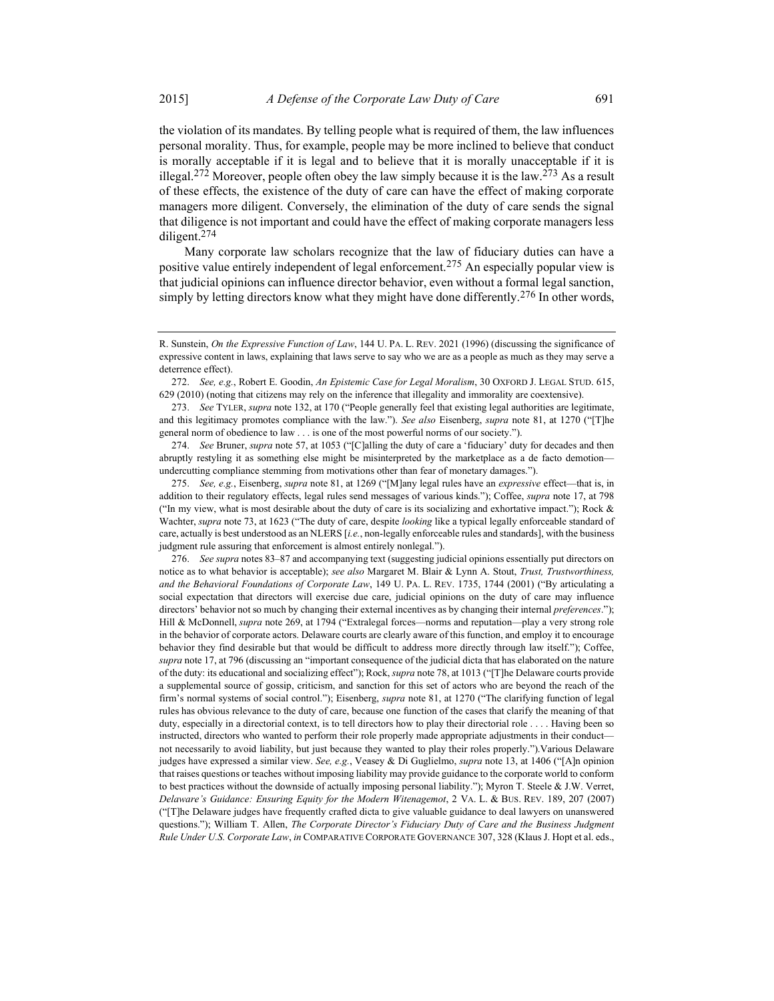the violation of its mandates. By telling people what is required of them, the law influences personal morality. Thus, for example, people may be more inclined to believe that conduct is morally acceptable if it is legal and to believe that it is morally unacceptable if it is illegal.<sup>272</sup> Moreover, people often obey the law simply because it is the law.<sup>273</sup> As a result of these effects, the existence of the duty of care can have the effect of making corporate managers more diligent. Conversely, the elimination of the duty of care sends the signal that diligence is not important and could have the effect of making corporate managers less diligent.274

Many corporate law scholars recognize that the law of fiduciary duties can have a positive value entirely independent of legal enforcement.<sup>275</sup> An especially popular view is that judicial opinions can influence director behavior, even without a formal legal sanction, simply by letting directors know what they might have done differently.<sup>276</sup> In other words,

274. See Bruner, supra note 57, at 1053 ("[C]alling the duty of care a 'fiduciary' duty for decades and then abruptly restyling it as something else might be misinterpreted by the marketplace as a de facto demotion undercutting compliance stemming from motivations other than fear of monetary damages.").

275. See, e.g., Eisenberg, supra note 81, at 1269 ("[M]any legal rules have an expressive effect—that is, in addition to their regulatory effects, legal rules send messages of various kinds."); Coffee, supra note 17, at 798 ("In my view, what is most desirable about the duty of care is its socializing and exhortative impact."); Rock  $\&$ Wachter, supra note 73, at 1623 ("The duty of care, despite looking like a typical legally enforceable standard of care, actually is best understood as an NLERS [i.e., non-legally enforceable rules and standards], with the business judgment rule assuring that enforcement is almost entirely nonlegal.").

 276. See supra notes 83–87 and accompanying text (suggesting judicial opinions essentially put directors on notice as to what behavior is acceptable); see also Margaret M. Blair & Lynn A. Stout, Trust, Trustworthiness, and the Behavioral Foundations of Corporate Law, 149 U. PA. L. REV. 1735, 1744 (2001) ("By articulating a social expectation that directors will exercise due care, judicial opinions on the duty of care may influence directors' behavior not so much by changing their external incentives as by changing their internal preferences."); Hill & McDonnell, *supra* note 269, at 1794 ("Extralegal forces—norms and reputation—play a very strong role in the behavior of corporate actors. Delaware courts are clearly aware of this function, and employ it to encourage behavior they find desirable but that would be difficult to address more directly through law itself."); Coffee, supra note 17, at 796 (discussing an "important consequence of the judicial dicta that has elaborated on the nature of the duty: its educational and socializing effect"); Rock, supra note 78, at 1013 ("[T]he Delaware courts provide a supplemental source of gossip, criticism, and sanction for this set of actors who are beyond the reach of the firm's normal systems of social control."); Eisenberg, supra note 81, at 1270 ("The clarifying function of legal rules has obvious relevance to the duty of care, because one function of the cases that clarify the meaning of that duty, especially in a directorial context, is to tell directors how to play their directorial role . . . . Having been so instructed, directors who wanted to perform their role properly made appropriate adjustments in their conduct not necessarily to avoid liability, but just because they wanted to play their roles properly.").Various Delaware judges have expressed a similar view. See, e.g., Veasey & Di Guglielmo, supra note 13, at 1406 ("[A]n opinion that raises questions or teaches without imposing liability may provide guidance to the corporate world to conform to best practices without the downside of actually imposing personal liability."); Myron T. Steele & J.W. Verret, Delaware's Guidance: Ensuring Equity for the Modern Witenagemot, 2 VA. L. & BUS. REV. 189, 207 (2007) ("[T]he Delaware judges have frequently crafted dicta to give valuable guidance to deal lawyers on unanswered questions."); William T. Allen, The Corporate Director's Fiduciary Duty of Care and the Business Judgment Rule Under U.S. Corporate Law, in COMPARATIVE CORPORATE GOVERNANCE 307, 328 (Klaus J. Hopt et al. eds.,

R. Sunstein, On the Expressive Function of Law, 144 U. PA. L. REV. 2021 (1996) (discussing the significance of expressive content in laws, explaining that laws serve to say who we are as a people as much as they may serve a deterrence effect).

<sup>272.</sup> See, e.g., Robert E. Goodin, An Epistemic Case for Legal Moralism, 30 OXFORD J. LEGAL STUD. 615, 629 (2010) (noting that citizens may rely on the inference that illegality and immorality are coextensive).

<sup>273.</sup> See TYLER, supra note 132, at 170 ("People generally feel that existing legal authorities are legitimate, and this legitimacy promotes compliance with the law."). See also Eisenberg, supra note 81, at 1270 ("[T]he general norm of obedience to law . . . is one of the most powerful norms of our society.").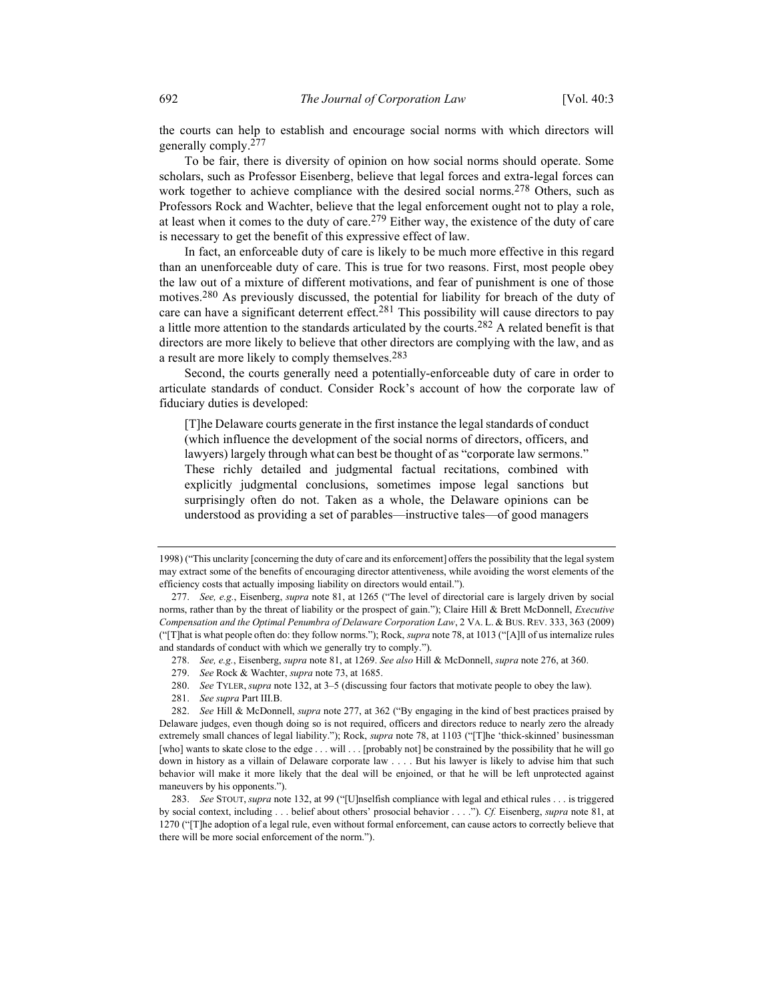the courts can help to establish and encourage social norms with which directors will generally comply.277

To be fair, there is diversity of opinion on how social norms should operate. Some scholars, such as Professor Eisenberg, believe that legal forces and extra-legal forces can work together to achieve compliance with the desired social norms.<sup>278</sup> Others, such as Professors Rock and Wachter, believe that the legal enforcement ought not to play a role, at least when it comes to the duty of care.<sup>279</sup> Either way, the existence of the duty of care is necessary to get the benefit of this expressive effect of law.

In fact, an enforceable duty of care is likely to be much more effective in this regard than an unenforceable duty of care. This is true for two reasons. First, most people obey the law out of a mixture of different motivations, and fear of punishment is one of those motives.<sup>280</sup> As previously discussed, the potential for liability for breach of the duty of care can have a significant deterrent effect.<sup>281</sup> This possibility will cause directors to pay a little more attention to the standards articulated by the courts.<sup>282</sup> A related benefit is that directors are more likely to believe that other directors are complying with the law, and as a result are more likely to comply themselves.<sup>283</sup>

Second, the courts generally need a potentially-enforceable duty of care in order to articulate standards of conduct. Consider Rock's account of how the corporate law of fiduciary duties is developed:

[T]he Delaware courts generate in the first instance the legal standards of conduct (which influence the development of the social norms of directors, officers, and lawyers) largely through what can best be thought of as "corporate law sermons." These richly detailed and judgmental factual recitations, combined with explicitly judgmental conclusions, sometimes impose legal sanctions but surprisingly often do not. Taken as a whole, the Delaware opinions can be understood as providing a set of parables—instructive tales—of good managers

279. See Rock & Wachter, supra note 73, at 1685.

280. See TYLER, supra note 132, at 3–5 (discussing four factors that motivate people to obey the law).

281. See supra Part III.B.

<sup>1998) (&</sup>quot;This unclarity [concerning the duty of care and its enforcement] offers the possibility that the legal system may extract some of the benefits of encouraging director attentiveness, while avoiding the worst elements of the efficiency costs that actually imposing liability on directors would entail.").

 <sup>277.</sup> See, e.g., Eisenberg, supra note 81, at 1265 ("The level of directorial care is largely driven by social norms, rather than by the threat of liability or the prospect of gain."); Claire Hill & Brett McDonnell, Executive Compensation and the Optimal Penumbra of Delaware Corporation Law, 2 VA. L. & BUS. REV. 333, 363 (2009) ("[T]hat is what people often do: they follow norms."); Rock, supra note 78, at 1013 ("[A]ll of us internalize rules and standards of conduct with which we generally try to comply.").

<sup>278.</sup> See, e.g., Eisenberg, supra note 81, at 1269. See also Hill & McDonnell, supra note 276, at 360.

 <sup>282.</sup> See Hill & McDonnell, supra note 277, at 362 ("By engaging in the kind of best practices praised by Delaware judges, even though doing so is not required, officers and directors reduce to nearly zero the already extremely small chances of legal liability."); Rock, *supra* note 78, at 1103 ("[T]he 'thick-skinned' businessman [who] wants to skate close to the edge . . . will . . . [probably not] be constrained by the possibility that he will go down in history as a villain of Delaware corporate law . . . . But his lawyer is likely to advise him that such behavior will make it more likely that the deal will be enjoined, or that he will be left unprotected against maneuvers by his opponents.").

<sup>283.</sup> See STOUT, supra note 132, at 99 ("[U]nselfish compliance with legal and ethical rules . . . is triggered by social context, including . . . belief about others' prosocial behavior . . . ."). Cf. Eisenberg, supra note 81, at 1270 ("[T]he adoption of a legal rule, even without formal enforcement, can cause actors to correctly believe that there will be more social enforcement of the norm.").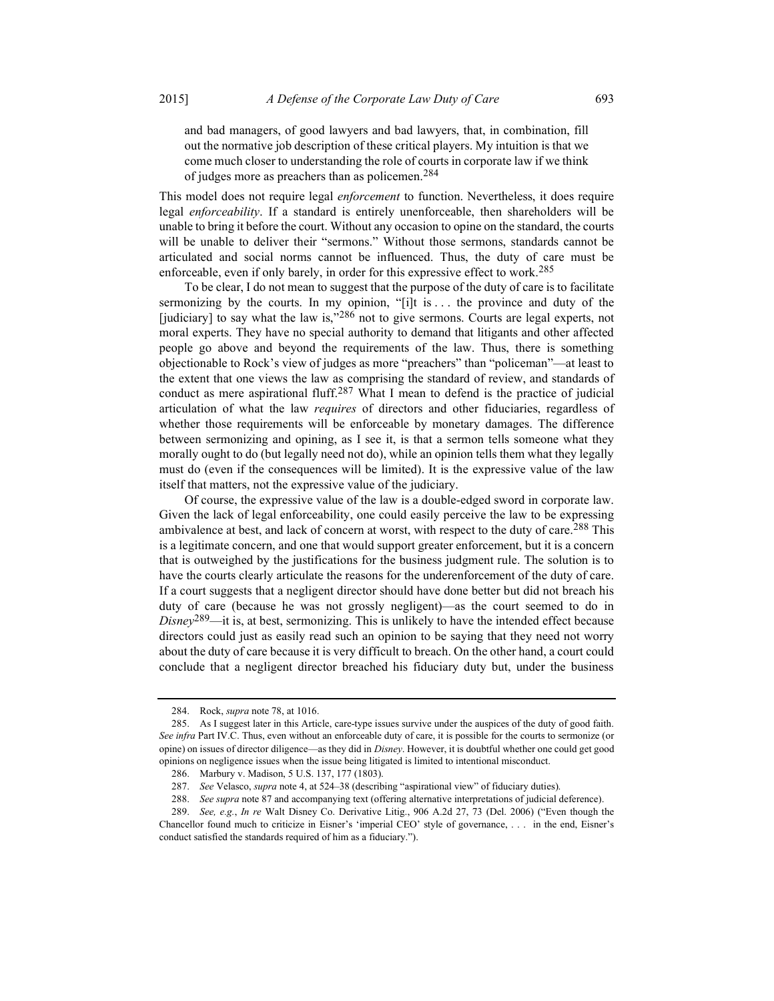and bad managers, of good lawyers and bad lawyers, that, in combination, fill out the normative job description of these critical players. My intuition is that we come much closer to understanding the role of courts in corporate law if we think of judges more as preachers than as policemen.284

This model does not require legal *enforcement* to function. Nevertheless, it does require legal *enforceability*. If a standard is entirely unenforceable, then shareholders will be unable to bring it before the court. Without any occasion to opine on the standard, the courts will be unable to deliver their "sermons." Without those sermons, standards cannot be articulated and social norms cannot be influenced. Thus, the duty of care must be enforceable, even if only barely, in order for this expressive effect to work.<sup>285</sup>

To be clear, I do not mean to suggest that the purpose of the duty of care is to facilitate sermonizing by the courts. In my opinion, "[i]t is . . . the province and duty of the [judiciary] to say what the law is,"286 not to give sermons. Courts are legal experts, not moral experts. They have no special authority to demand that litigants and other affected people go above and beyond the requirements of the law. Thus, there is something objectionable to Rock's view of judges as more "preachers" than "policeman"—at least to the extent that one views the law as comprising the standard of review, and standards of conduct as mere aspirational fluff.<sup>287</sup> What I mean to defend is the practice of judicial articulation of what the law requires of directors and other fiduciaries, regardless of whether those requirements will be enforceable by monetary damages. The difference between sermonizing and opining, as I see it, is that a sermon tells someone what they morally ought to do (but legally need not do), while an opinion tells them what they legally must do (even if the consequences will be limited). It is the expressive value of the law itself that matters, not the expressive value of the judiciary.

Of course, the expressive value of the law is a double-edged sword in corporate law. Given the lack of legal enforceability, one could easily perceive the law to be expressing ambivalence at best, and lack of concern at worst, with respect to the duty of care.<sup>288</sup> This is a legitimate concern, and one that would support greater enforcement, but it is a concern that is outweighed by the justifications for the business judgment rule. The solution is to have the courts clearly articulate the reasons for the underenforcement of the duty of care. If a court suggests that a negligent director should have done better but did not breach his duty of care (because he was not grossly negligent)—as the court seemed to do in  $Disney^{289}$ —it is, at best, sermonizing. This is unlikely to have the intended effect because directors could just as easily read such an opinion to be saying that they need not worry about the duty of care because it is very difficult to breach. On the other hand, a court could conclude that a negligent director breached his fiduciary duty but, under the business

 <sup>284.</sup> Rock, supra note 78, at 1016.

 <sup>285.</sup> As I suggest later in this Article, care-type issues survive under the auspices of the duty of good faith. See infra Part IV.C. Thus, even without an enforceable duty of care, it is possible for the courts to sermonize (or opine) on issues of director diligence—as they did in Disney. However, it is doubtful whether one could get good opinions on negligence issues when the issue being litigated is limited to intentional misconduct.

 <sup>286.</sup> Marbury v. Madison, 5 U.S. 137, 177 (1803).

 <sup>287.</sup> See Velasco, supra note 4, at 524–38 (describing "aspirational view" of fiduciary duties).

<sup>288.</sup> See supra note 87 and accompanying text (offering alternative interpretations of judicial deference).

 <sup>289.</sup> See, e.g., In re Walt Disney Co. Derivative Litig., 906 A.2d 27, 73 (Del. 2006) ("Even though the Chancellor found much to criticize in Eisner's 'imperial CEO' style of governance, . . . in the end, Eisner's conduct satisfied the standards required of him as a fiduciary.").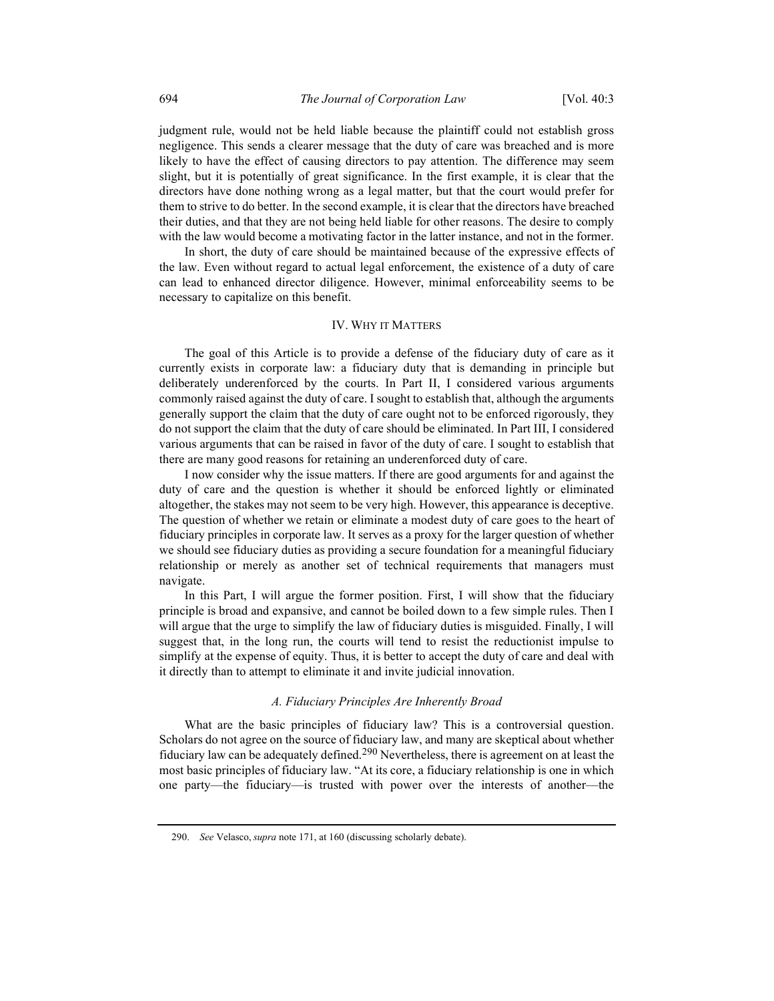judgment rule, would not be held liable because the plaintiff could not establish gross negligence. This sends a clearer message that the duty of care was breached and is more likely to have the effect of causing directors to pay attention. The difference may seem slight, but it is potentially of great significance. In the first example, it is clear that the directors have done nothing wrong as a legal matter, but that the court would prefer for them to strive to do better. In the second example, it is clear that the directors have breached their duties, and that they are not being held liable for other reasons. The desire to comply with the law would become a motivating factor in the latter instance, and not in the former.

In short, the duty of care should be maintained because of the expressive effects of the law. Even without regard to actual legal enforcement, the existence of a duty of care can lead to enhanced director diligence. However, minimal enforceability seems to be necessary to capitalize on this benefit.

## IV. WHY IT MATTERS

The goal of this Article is to provide a defense of the fiduciary duty of care as it currently exists in corporate law: a fiduciary duty that is demanding in principle but deliberately underenforced by the courts. In Part II, I considered various arguments commonly raised against the duty of care. I sought to establish that, although the arguments generally support the claim that the duty of care ought not to be enforced rigorously, they do not support the claim that the duty of care should be eliminated. In Part III, I considered various arguments that can be raised in favor of the duty of care. I sought to establish that there are many good reasons for retaining an underenforced duty of care.

I now consider why the issue matters. If there are good arguments for and against the duty of care and the question is whether it should be enforced lightly or eliminated altogether, the stakes may not seem to be very high. However, this appearance is deceptive. The question of whether we retain or eliminate a modest duty of care goes to the heart of fiduciary principles in corporate law. It serves as a proxy for the larger question of whether we should see fiduciary duties as providing a secure foundation for a meaningful fiduciary relationship or merely as another set of technical requirements that managers must navigate.

In this Part, I will argue the former position. First, I will show that the fiduciary principle is broad and expansive, and cannot be boiled down to a few simple rules. Then I will argue that the urge to simplify the law of fiduciary duties is misguided. Finally, I will suggest that, in the long run, the courts will tend to resist the reductionist impulse to simplify at the expense of equity. Thus, it is better to accept the duty of care and deal with it directly than to attempt to eliminate it and invite judicial innovation.

## A. Fiduciary Principles Are Inherently Broad

What are the basic principles of fiduciary law? This is a controversial question. Scholars do not agree on the source of fiduciary law, and many are skeptical about whether fiduciary law can be adequately defined.<sup>290</sup> Nevertheless, there is agreement on at least the most basic principles of fiduciary law. "At its core, a fiduciary relationship is one in which one party—the fiduciary—is trusted with power over the interests of another—the

 <sup>290.</sup> See Velasco, supra note 171, at 160 (discussing scholarly debate).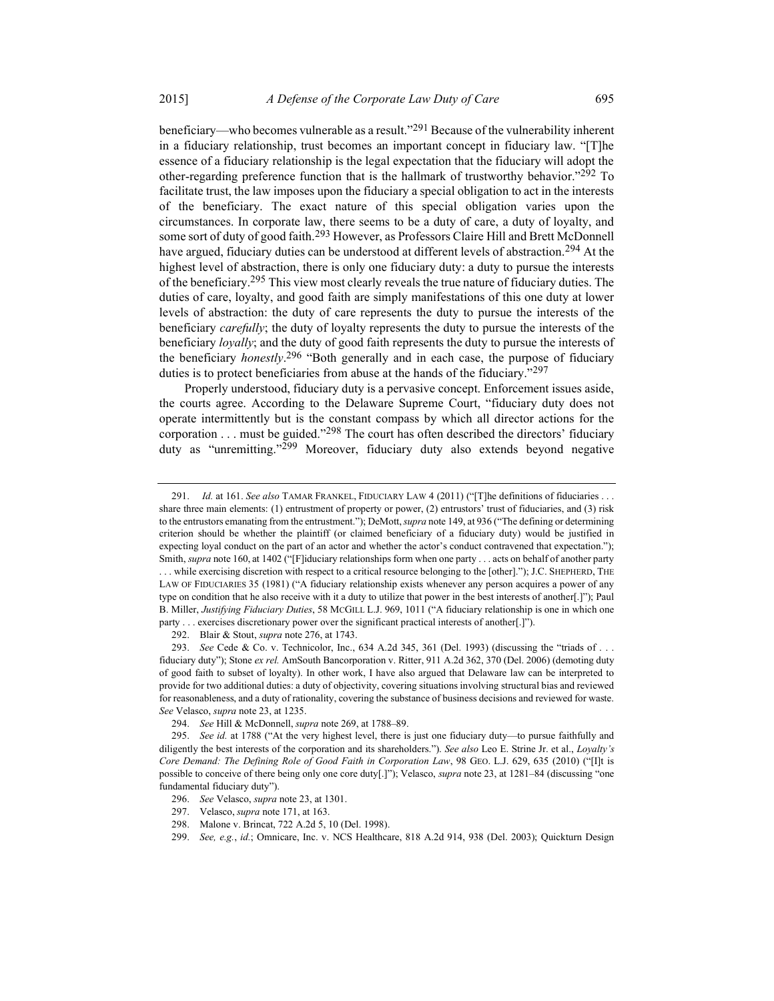beneficiary—who becomes vulnerable as a result."<sup>291</sup> Because of the vulnerability inherent in a fiduciary relationship, trust becomes an important concept in fiduciary law. "[T]he essence of a fiduciary relationship is the legal expectation that the fiduciary will adopt the other-regarding preference function that is the hallmark of trustworthy behavior."292 To facilitate trust, the law imposes upon the fiduciary a special obligation to act in the interests of the beneficiary. The exact nature of this special obligation varies upon the circumstances. In corporate law, there seems to be a duty of care, a duty of loyalty, and some sort of duty of good faith.<sup>293</sup> However, as Professors Claire Hill and Brett McDonnell have argued, fiduciary duties can be understood at different levels of abstraction.<sup>294</sup> At the highest level of abstraction, there is only one fiduciary duty: a duty to pursue the interests of the beneficiary.<sup>295</sup> This view most clearly reveals the true nature of fiduciary duties. The duties of care, loyalty, and good faith are simply manifestations of this one duty at lower levels of abstraction: the duty of care represents the duty to pursue the interests of the beneficiary *carefully*; the duty of loyalty represents the duty to pursue the interests of the beneficiary loyally; and the duty of good faith represents the duty to pursue the interests of the beneficiary *honestly*.<sup>296</sup> "Both generally and in each case, the purpose of fiduciary duties is to protect beneficiaries from abuse at the hands of the fiduciary."<sup>297</sup>

Properly understood, fiduciary duty is a pervasive concept. Enforcement issues aside, the courts agree. According to the Delaware Supreme Court, "fiduciary duty does not operate intermittently but is the constant compass by which all director actions for the corporation  $\dots$  must be guided."<sup>298</sup> The court has often described the directors' fiduciary duty as "unremitting."299 Moreover, fiduciary duty also extends beyond negative

<sup>291.</sup> Id. at 161. See also TAMAR FRANKEL, FIDUCIARY LAW 4 (2011) ("[T]he definitions of fiduciaries ... share three main elements: (1) entrustment of property or power, (2) entrustors' trust of fiduciaries, and (3) risk to the entrustors emanating from the entrustment."); DeMott, supra note 149, at 936 ("The defining or determining criterion should be whether the plaintiff (or claimed beneficiary of a fiduciary duty) would be justified in expecting loyal conduct on the part of an actor and whether the actor's conduct contravened that expectation."); Smith, *supra* note 160, at 1402 ("[F]iduciary relationships form when one party . . . acts on behalf of another party . . . while exercising discretion with respect to a critical resource belonging to the [other]."); J.C. SHEPHERD, THE LAW OF FIDUCIARIES 35 (1981) ("A fiduciary relationship exists whenever any person acquires a power of any type on condition that he also receive with it a duty to utilize that power in the best interests of another[.]"); Paul

B. Miller, Justifying Fiduciary Duties, 58 MCGILL L.J. 969, 1011 ("A fiduciary relationship is one in which one party . . . exercises discretionary power over the significant practical interests of another[.]").

<sup>292.</sup> Blair & Stout, *supra* note 276, at 1743.

 <sup>293.</sup> See Cede & Co. v. Technicolor, Inc., 634 A.2d 345, 361 (Del. 1993) (discussing the "triads of . . . fiduciary duty"); Stone ex rel. AmSouth Bancorporation v. Ritter, 911 A.2d 362, 370 (Del. 2006) (demoting duty of good faith to subset of loyalty). In other work, I have also argued that Delaware law can be interpreted to provide for two additional duties: a duty of objectivity, covering situations involving structural bias and reviewed for reasonableness, and a duty of rationality, covering the substance of business decisions and reviewed for waste. See Velasco, supra note 23, at 1235.

 <sup>294.</sup> See Hill & McDonnell, supra note 269, at 1788–89.

<sup>295.</sup> See id. at 1788 ("At the very highest level, there is just one fiduciary duty—to pursue faithfully and diligently the best interests of the corporation and its shareholders."). See also Leo E. Strine Jr. et al., Loyalty's Core Demand: The Defining Role of Good Faith in Corporation Law, 98 GEO. L.J. 629, 635 (2010) ("[I]t is possible to conceive of there being only one core duty[.]"); Velasco, *supra* note 23, at 1281–84 (discussing "one fundamental fiduciary duty").

 <sup>296.</sup> See Velasco, supra note 23, at 1301.

 <sup>297.</sup> Velasco, supra note 171, at 163.

 <sup>298.</sup> Malone v. Brincat, 722 A.2d 5, 10 (Del. 1998).

 <sup>299.</sup> See, e.g., id.; Omnicare, Inc. v. NCS Healthcare, 818 A.2d 914, 938 (Del. 2003); Quickturn Design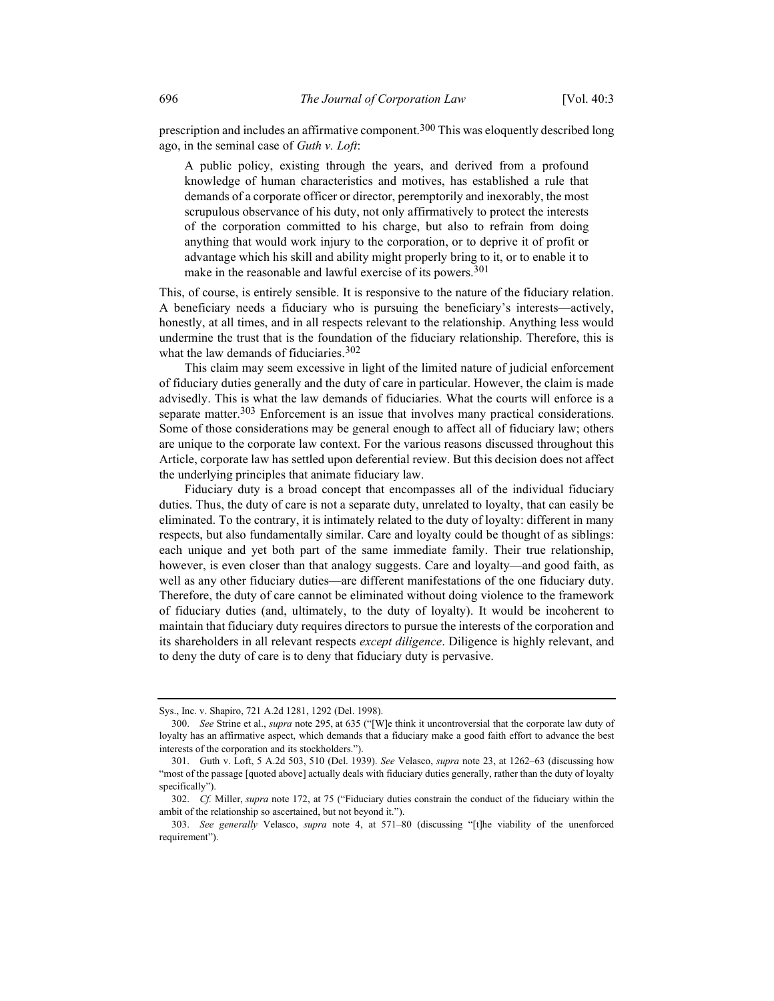prescription and includes an affirmative component.300 This was eloquently described long ago, in the seminal case of Guth v. Loft:

A public policy, existing through the years, and derived from a profound knowledge of human characteristics and motives, has established a rule that demands of a corporate officer or director, peremptorily and inexorably, the most scrupulous observance of his duty, not only affirmatively to protect the interests of the corporation committed to his charge, but also to refrain from doing anything that would work injury to the corporation, or to deprive it of profit or advantage which his skill and ability might properly bring to it, or to enable it to make in the reasonable and lawful exercise of its powers.<sup>301</sup>

This, of course, is entirely sensible. It is responsive to the nature of the fiduciary relation. A beneficiary needs a fiduciary who is pursuing the beneficiary's interests—actively, honestly, at all times, and in all respects relevant to the relationship. Anything less would undermine the trust that is the foundation of the fiduciary relationship. Therefore, this is what the law demands of fiduciaries.<sup>302</sup>

This claim may seem excessive in light of the limited nature of judicial enforcement of fiduciary duties generally and the duty of care in particular. However, the claim is made advisedly. This is what the law demands of fiduciaries. What the courts will enforce is a separate matter.<sup>303</sup> Enforcement is an issue that involves many practical considerations. Some of those considerations may be general enough to affect all of fiduciary law; others are unique to the corporate law context. For the various reasons discussed throughout this Article, corporate law has settled upon deferential review. But this decision does not affect the underlying principles that animate fiduciary law.

Fiduciary duty is a broad concept that encompasses all of the individual fiduciary duties. Thus, the duty of care is not a separate duty, unrelated to loyalty, that can easily be eliminated. To the contrary, it is intimately related to the duty of loyalty: different in many respects, but also fundamentally similar. Care and loyalty could be thought of as siblings: each unique and yet both part of the same immediate family. Their true relationship, however, is even closer than that analogy suggests. Care and loyalty—and good faith, as well as any other fiduciary duties—are different manifestations of the one fiduciary duty. Therefore, the duty of care cannot be eliminated without doing violence to the framework of fiduciary duties (and, ultimately, to the duty of loyalty). It would be incoherent to maintain that fiduciary duty requires directors to pursue the interests of the corporation and its shareholders in all relevant respects *except diligence*. Diligence is highly relevant, and to deny the duty of care is to deny that fiduciary duty is pervasive.

Sys., Inc. v. Shapiro, 721 A.2d 1281, 1292 (Del. 1998).

 <sup>300.</sup> See Strine et al., supra note 295, at 635 ("[W]e think it uncontroversial that the corporate law duty of loyalty has an affirmative aspect, which demands that a fiduciary make a good faith effort to advance the best interests of the corporation and its stockholders.").

 <sup>301.</sup> Guth v. Loft, 5 A.2d 503, 510 (Del. 1939). See Velasco, supra note 23, at 1262–63 (discussing how "most of the passage [quoted above] actually deals with fiduciary duties generally, rather than the duty of loyalty specifically").

 <sup>302.</sup> Cf. Miller, supra note 172, at 75 ("Fiduciary duties constrain the conduct of the fiduciary within the ambit of the relationship so ascertained, but not beyond it.").

 <sup>303.</sup> See generally Velasco, supra note 4, at 571–80 (discussing "[t]he viability of the unenforced requirement").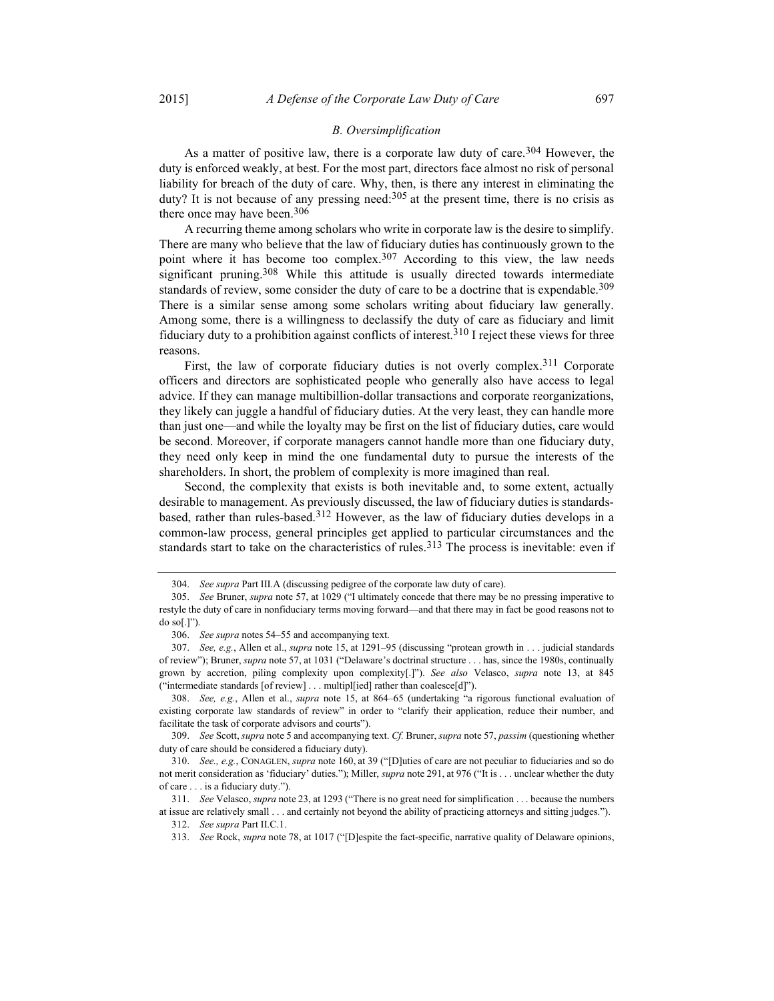#### B. Oversimplification

As a matter of positive law, there is a corporate law duty of care.<sup>304</sup> However, the duty is enforced weakly, at best. For the most part, directors face almost no risk of personal liability for breach of the duty of care. Why, then, is there any interest in eliminating the duty? It is not because of any pressing need: $305$  at the present time, there is no crisis as there once may have been.<sup>306</sup>

A recurring theme among scholars who write in corporate law is the desire to simplify. There are many who believe that the law of fiduciary duties has continuously grown to the point where it has become too complex.<sup>307</sup> According to this view, the law needs significant pruning.<sup>308</sup> While this attitude is usually directed towards intermediate standards of review, some consider the duty of care to be a doctrine that is expendable.<sup>309</sup> There is a similar sense among some scholars writing about fiduciary law generally. Among some, there is a willingness to declassify the duty of care as fiduciary and limit fiduciary duty to a prohibition against conflicts of interest.<sup>310</sup> I reject these views for three reasons.

First, the law of corporate fiduciary duties is not overly complex.<sup>311</sup> Corporate officers and directors are sophisticated people who generally also have access to legal advice. If they can manage multibillion-dollar transactions and corporate reorganizations, they likely can juggle a handful of fiduciary duties. At the very least, they can handle more than just one—and while the loyalty may be first on the list of fiduciary duties, care would be second. Moreover, if corporate managers cannot handle more than one fiduciary duty, they need only keep in mind the one fundamental duty to pursue the interests of the shareholders. In short, the problem of complexity is more imagined than real.

Second, the complexity that exists is both inevitable and, to some extent, actually desirable to management. As previously discussed, the law of fiduciary duties is standardsbased, rather than rules-based.<sup>312</sup> However, as the law of fiduciary duties develops in a common-law process, general principles get applied to particular circumstances and the standards start to take on the characteristics of rules.<sup>313</sup> The process is inevitable: even if

 <sup>304.</sup> See supra Part III.A (discussing pedigree of the corporate law duty of care).

<sup>305.</sup> See Bruner, supra note 57, at 1029 ("I ultimately concede that there may be no pressing imperative to restyle the duty of care in nonfiduciary terms moving forward—and that there may in fact be good reasons not to do so[.]").

 <sup>306.</sup> See supra notes 54–55 and accompanying text.

 <sup>307.</sup> See, e.g., Allen et al., supra note 15, at 1291–95 (discussing "protean growth in . . . judicial standards of review"); Bruner, *supra* note 57, at 1031 ("Delaware's doctrinal structure . . . has, since the 1980s, continually grown by accretion, piling complexity upon complexity[.]"). See also Velasco, supra note 13, at 845 ("intermediate standards [of review] . . . multipl[ied] rather than coalesce[d]").

 <sup>308.</sup> See, e.g., Allen et al., supra note 15, at 864–65 (undertaking "a rigorous functional evaluation of existing corporate law standards of review" in order to "clarify their application, reduce their number, and facilitate the task of corporate advisors and courts").

 <sup>309.</sup> See Scott, supra note 5 and accompanying text. Cf. Bruner, supra note 57, passim (questioning whether duty of care should be considered a fiduciary duty).

 <sup>310.</sup> See., e.g., CONAGLEN, supra note 160, at 39 ("[D]uties of care are not peculiar to fiduciaries and so do not merit consideration as 'fiduciary' duties."); Miller, *supra* note 291, at 976 ("It is . . . unclear whether the duty of care . . . is a fiduciary duty.").

 <sup>311.</sup> See Velasco, supra note 23, at 1293 ("There is no great need for simplification . . . because the numbers at issue are relatively small . . . and certainly not beyond the ability of practicing attorneys and sitting judges.").

 <sup>312.</sup> See supra Part II.C.1.

 <sup>313.</sup> See Rock, supra note 78, at 1017 ("[D]espite the fact-specific, narrative quality of Delaware opinions,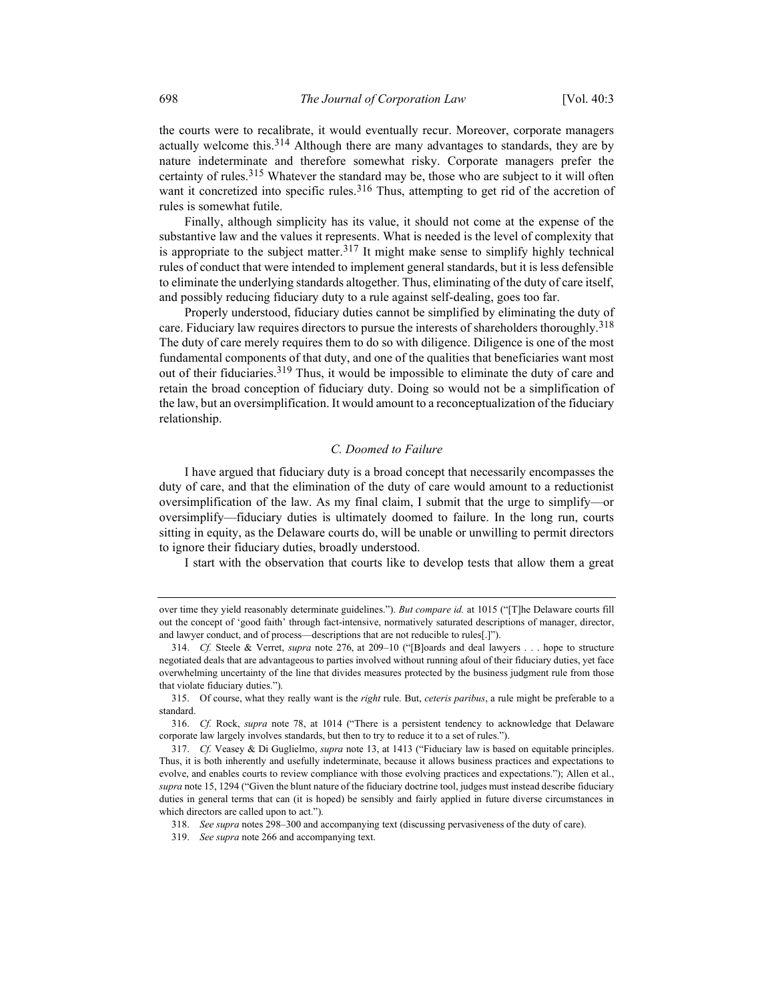the courts were to recalibrate, it would eventually recur. Moreover, corporate managers actually welcome this.<sup>314</sup> Although there are many advantages to standards, they are by nature indeterminate and therefore somewhat risky. Corporate managers prefer the certainty of rules.<sup>315</sup> Whatever the standard may be, those who are subject to it will often want it concretized into specific rules.<sup>316</sup> Thus, attempting to get rid of the accretion of rules is somewhat futile.

Finally, although simplicity has its value, it should not come at the expense of the substantive law and the values it represents. What is needed is the level of complexity that is appropriate to the subject matter.<sup>317</sup> It might make sense to simplify highly technical rules of conduct that were intended to implement general standards, but it is less defensible to eliminate the underlying standards altogether. Thus, eliminating of the duty of care itself, and possibly reducing fiduciary duty to a rule against self-dealing, goes too far.

Properly understood, fiduciary duties cannot be simplified by eliminating the duty of care. Fiduciary law requires directors to pursue the interests of shareholders thoroughly.<sup>318</sup> The duty of care merely requires them to do so with diligence. Diligence is one of the most fundamental components of that duty, and one of the qualities that beneficiaries want most out of their fiduciaries.319 Thus, it would be impossible to eliminate the duty of care and retain the broad conception of fiduciary duty. Doing so would not be a simplification of the law, but an oversimplification. It would amount to a reconceptualization of the fiduciary relationship.

#### C. Doomed to Failure

I have argued that fiduciary duty is a broad concept that necessarily encompasses the duty of care, and that the elimination of the duty of care would amount to a reductionist oversimplification of the law. As my final claim, I submit that the urge to simplify—or oversimplify—fiduciary duties is ultimately doomed to failure. In the long run, courts sitting in equity, as the Delaware courts do, will be unable or unwilling to permit directors to ignore their fiduciary duties, broadly understood.

I start with the observation that courts like to develop tests that allow them a great

318. See supra notes 298–300 and accompanying text (discussing pervasiveness of the duty of care).

over time they yield reasonably determinate guidelines."). But compare id. at 1015 ("[T]he Delaware courts fill out the concept of 'good faith' through fact-intensive, normatively saturated descriptions of manager, director, and lawyer conduct, and of process—descriptions that are not reducible to rules[.]").

 <sup>314.</sup> Cf. Steele & Verret, supra note 276, at 209–10 ("[B]oards and deal lawyers . . . hope to structure negotiated deals that are advantageous to parties involved without running afoul of their fiduciary duties, yet face overwhelming uncertainty of the line that divides measures protected by the business judgment rule from those that violate fiduciary duties.").

<sup>315.</sup> Of course, what they really want is the *right* rule. But, *ceteris paribus*, a rule might be preferable to a standard.

 <sup>316.</sup> Cf. Rock, supra note 78, at 1014 ("There is a persistent tendency to acknowledge that Delaware corporate law largely involves standards, but then to try to reduce it to a set of rules.").

 <sup>317.</sup> Cf. Veasey & Di Guglielmo, supra note 13, at 1413 ("Fiduciary law is based on equitable principles. Thus, it is both inherently and usefully indeterminate, because it allows business practices and expectations to evolve, and enables courts to review compliance with those evolving practices and expectations."); Allen et al., supra note 15, 1294 ("Given the blunt nature of the fiduciary doctrine tool, judges must instead describe fiduciary duties in general terms that can (it is hoped) be sensibly and fairly applied in future diverse circumstances in which directors are called upon to act.").

 <sup>319.</sup> See supra note 266 and accompanying text.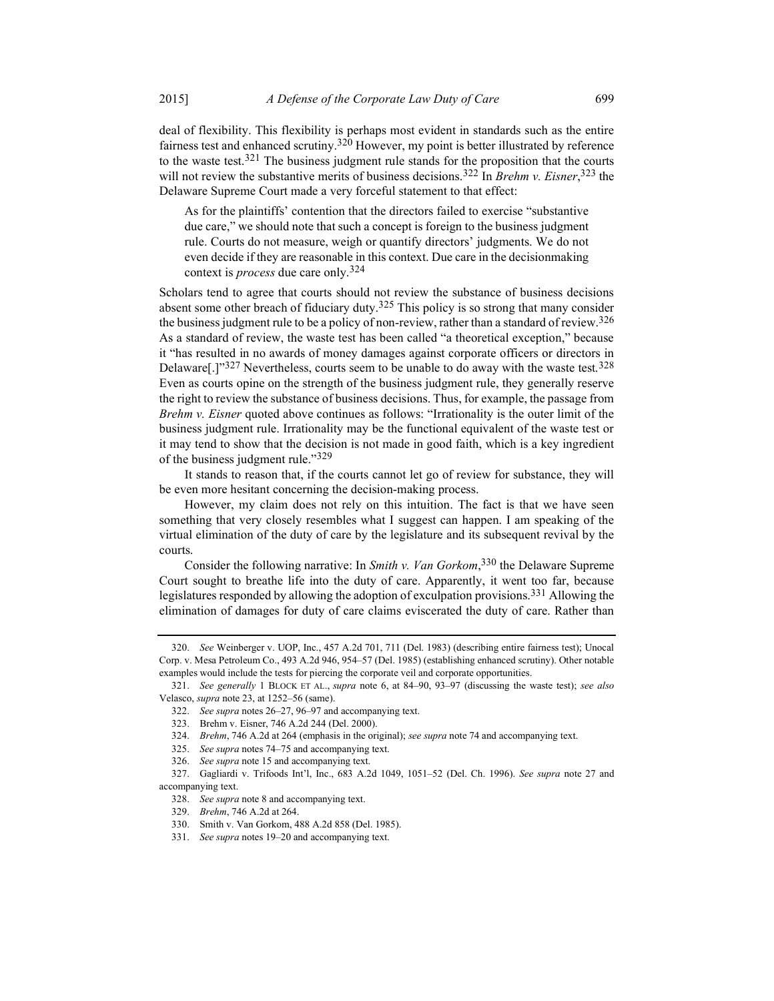deal of flexibility. This flexibility is perhaps most evident in standards such as the entire fairness test and enhanced scrutiny.<sup>320</sup> However, my point is better illustrated by reference to the waste test.<sup>321</sup> The business judgment rule stands for the proposition that the courts will not review the substantive merits of business decisions.<sup>322</sup> In *Brehm v. Eisner*,<sup>323</sup> the Delaware Supreme Court made a very forceful statement to that effect:

As for the plaintiffs' contention that the directors failed to exercise "substantive due care," we should note that such a concept is foreign to the business judgment rule. Courts do not measure, weigh or quantify directors' judgments. We do not even decide if they are reasonable in this context. Due care in the decisionmaking context is *process* due care only.<sup>324</sup>

Scholars tend to agree that courts should not review the substance of business decisions absent some other breach of fiduciary duty.<sup>325</sup> This policy is so strong that many consider the business judgment rule to be a policy of non-review, rather than a standard of review.<sup>326</sup> As a standard of review, the waste test has been called "a theoretical exception," because it "has resulted in no awards of money damages against corporate officers or directors in Delaware[.]" $327$  Nevertheless, courts seem to be unable to do away with the waste test.<sup>328</sup> Even as courts opine on the strength of the business judgment rule, they generally reserve the right to review the substance of business decisions. Thus, for example, the passage from Brehm v. Eisner quoted above continues as follows: "Irrationality is the outer limit of the business judgment rule. Irrationality may be the functional equivalent of the waste test or it may tend to show that the decision is not made in good faith, which is a key ingredient of the business judgment rule."329

It stands to reason that, if the courts cannot let go of review for substance, they will be even more hesitant concerning the decision-making process.

However, my claim does not rely on this intuition. The fact is that we have seen something that very closely resembles what I suggest can happen. I am speaking of the virtual elimination of the duty of care by the legislature and its subsequent revival by the courts.

Consider the following narrative: In Smith v. Van Gorkom,  $330$  the Delaware Supreme Court sought to breathe life into the duty of care. Apparently, it went too far, because legislatures responded by allowing the adoption of exculpation provisions.331 Allowing the elimination of damages for duty of care claims eviscerated the duty of care. Rather than

326. See supra note 15 and accompanying text.

 <sup>320.</sup> See Weinberger v. UOP, Inc., 457 A.2d 701, 711 (Del. 1983) (describing entire fairness test); Unocal Corp. v. Mesa Petroleum Co., 493 A.2d 946, 954–57 (Del. 1985) (establishing enhanced scrutiny). Other notable examples would include the tests for piercing the corporate veil and corporate opportunities.

 <sup>321.</sup> See generally 1 BLOCK ET AL., supra note 6, at 84–90, 93–97 (discussing the waste test); see also Velasco, supra note 23, at 1252–56 (same).

 <sup>322.</sup> See supra notes 26–27, 96–97 and accompanying text.

 <sup>323.</sup> Brehm v. Eisner, 746 A.2d 244 (Del. 2000).

 <sup>324.</sup> Brehm, 746 A.2d at 264 (emphasis in the original); see supra note 74 and accompanying text.

 <sup>325.</sup> See supra notes 74–75 and accompanying text.

 <sup>327.</sup> Gagliardi v. Trifoods Int'l, Inc., 683 A.2d 1049, 1051–52 (Del. Ch. 1996). See supra note 27 and accompanying text.

 <sup>328.</sup> See supra note 8 and accompanying text.

 <sup>329.</sup> Brehm, 746 A.2d at 264.

 <sup>330.</sup> Smith v. Van Gorkom, 488 A.2d 858 (Del. 1985).

<sup>331.</sup> See supra notes 19–20 and accompanying text.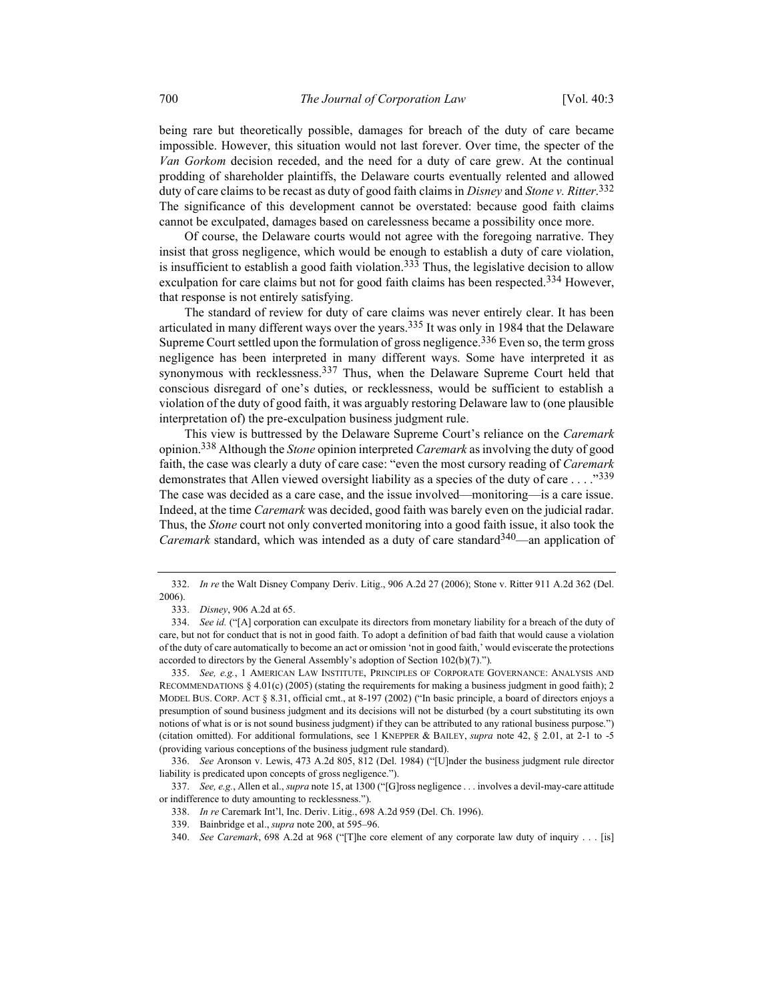being rare but theoretically possible, damages for breach of the duty of care became impossible. However, this situation would not last forever. Over time, the specter of the Van Gorkom decision receded, and the need for a duty of care grew. At the continual prodding of shareholder plaintiffs, the Delaware courts eventually relented and allowed duty of care claims to be recast as duty of good faith claims in Disney and Stone v. Ritter.<sup>332</sup> The significance of this development cannot be overstated: because good faith claims cannot be exculpated, damages based on carelessness became a possibility once more.

Of course, the Delaware courts would not agree with the foregoing narrative. They insist that gross negligence, which would be enough to establish a duty of care violation, is insufficient to establish a good faith violation.<sup>333</sup> Thus, the legislative decision to allow exculpation for care claims but not for good faith claims has been respected.<sup>334</sup> However, that response is not entirely satisfying.

The standard of review for duty of care claims was never entirely clear. It has been articulated in many different ways over the years.<sup>335</sup> It was only in 1984 that the Delaware Supreme Court settled upon the formulation of gross negligence.<sup>336</sup> Even so, the term gross negligence has been interpreted in many different ways. Some have interpreted it as synonymous with recklessness.<sup>337</sup> Thus, when the Delaware Supreme Court held that conscious disregard of one's duties, or recklessness, would be sufficient to establish a violation of the duty of good faith, it was arguably restoring Delaware law to (one plausible interpretation of) the pre-exculpation business judgment rule.

This view is buttressed by the Delaware Supreme Court's reliance on the Caremark opinion.<sup>338</sup> Although the *Stone* opinion interpreted *Caremark* as involving the duty of good faith, the case was clearly a duty of care case: "even the most cursory reading of Caremark demonstrates that Allen viewed oversight liability as a species of the duty of care  $\dots$ ."339 The case was decided as a care case, and the issue involved—monitoring—is a care issue. Indeed, at the time Caremark was decided, good faith was barely even on the judicial radar. Thus, the Stone court not only converted monitoring into a good faith issue, it also took the *Caremark* standard, which was intended as a duty of care standard  $340$ —an application of

 <sup>332.</sup> In re the Walt Disney Company Deriv. Litig., 906 A.2d 27 (2006); Stone v. Ritter 911 A.2d 362 (Del. 2006).

 <sup>333.</sup> Disney, 906 A.2d at 65.

<sup>334.</sup> See id. ("[A] corporation can exculpate its directors from monetary liability for a breach of the duty of care, but not for conduct that is not in good faith. To adopt a definition of bad faith that would cause a violation of the duty of care automatically to become an act or omission 'not in good faith,' would eviscerate the protections accorded to directors by the General Assembly's adoption of Section 102(b)(7).").

 <sup>335.</sup> See, e.g., 1 AMERICAN LAW INSTITUTE, PRINCIPLES OF CORPORATE GOVERNANCE: ANALYSIS AND RECOMMENDATIONS § 4.01(c) (2005) (stating the requirements for making a business judgment in good faith); 2 MODEL BUS. CORP. ACT § 8.31, official cmt., at 8-197 (2002) ("In basic principle, a board of directors enjoys a presumption of sound business judgment and its decisions will not be disturbed (by a court substituting its own notions of what is or is not sound business judgment) if they can be attributed to any rational business purpose.") (citation omitted). For additional formulations, see 1 KNEPPER & BAILEY, supra note 42, § 2.01, at 2-1 to -5 (providing various conceptions of the business judgment rule standard).

 <sup>336.</sup> See Aronson v. Lewis, 473 A.2d 805, 812 (Del. 1984) ("[U]nder the business judgment rule director liability is predicated upon concepts of gross negligence.").

<sup>337.</sup> See, e.g., Allen et al., *supra* note 15, at 1300 ("[G]ross negligence . . . involves a devil-may-care attitude or indifference to duty amounting to recklessness.").

 <sup>338.</sup> In re Caremark Int'l, Inc. Deriv. Litig., 698 A.2d 959 (Del. Ch. 1996).

 <sup>339.</sup> Bainbridge et al., supra note 200, at 595–96.

 <sup>340.</sup> See Caremark, 698 A.2d at 968 ("[T]he core element of any corporate law duty of inquiry . . . [is]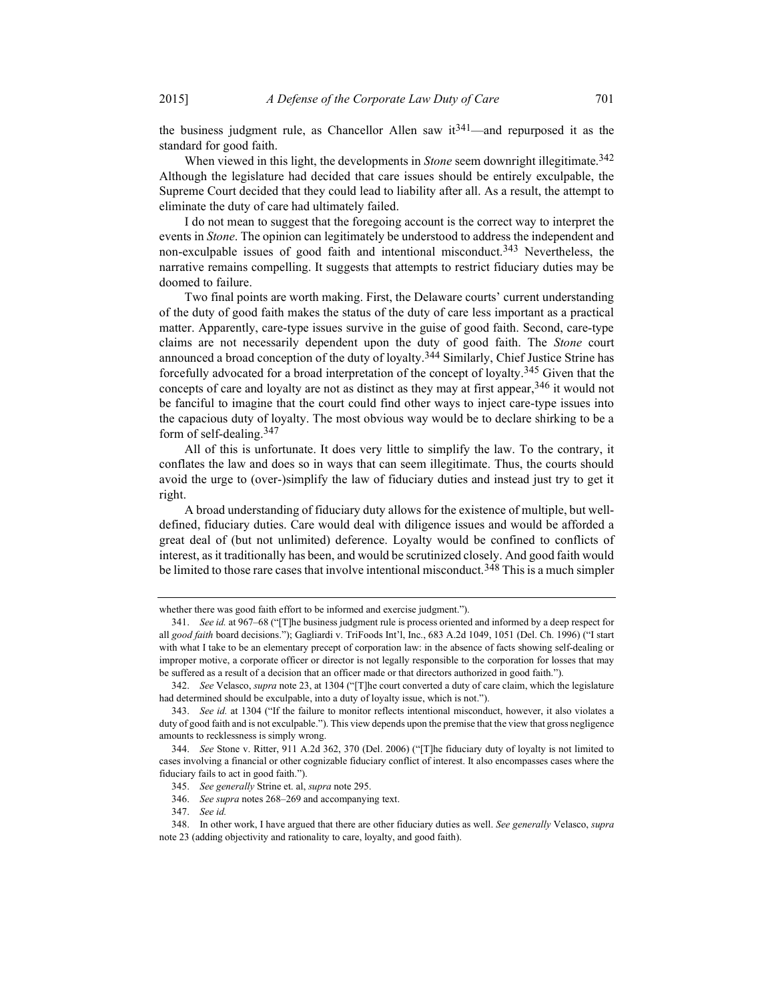the business judgment rule, as Chancellor Allen saw  $it^{341}$ —and repurposed it as the standard for good faith.

When viewed in this light, the developments in *Stone* seem downright illegitimate.<sup>342</sup> Although the legislature had decided that care issues should be entirely exculpable, the Supreme Court decided that they could lead to liability after all. As a result, the attempt to eliminate the duty of care had ultimately failed.

I do not mean to suggest that the foregoing account is the correct way to interpret the events in Stone. The opinion can legitimately be understood to address the independent and non-exculpable issues of good faith and intentional misconduct.<sup>343</sup> Nevertheless, the narrative remains compelling. It suggests that attempts to restrict fiduciary duties may be doomed to failure.

Two final points are worth making. First, the Delaware courts' current understanding of the duty of good faith makes the status of the duty of care less important as a practical matter. Apparently, care-type issues survive in the guise of good faith. Second, care-type claims are not necessarily dependent upon the duty of good faith. The Stone court announced a broad conception of the duty of loyalty.<sup>344</sup> Similarly, Chief Justice Strine has forcefully advocated for a broad interpretation of the concept of loyalty.345 Given that the concepts of care and loyalty are not as distinct as they may at first appear,  $346$  it would not be fanciful to imagine that the court could find other ways to inject care-type issues into the capacious duty of loyalty. The most obvious way would be to declare shirking to be a form of self-dealing.347

All of this is unfortunate. It does very little to simplify the law. To the contrary, it conflates the law and does so in ways that can seem illegitimate. Thus, the courts should avoid the urge to (over-)simplify the law of fiduciary duties and instead just try to get it right.

A broad understanding of fiduciary duty allows for the existence of multiple, but welldefined, fiduciary duties. Care would deal with diligence issues and would be afforded a great deal of (but not unlimited) deference. Loyalty would be confined to conflicts of interest, as it traditionally has been, and would be scrutinized closely. And good faith would be limited to those rare cases that involve intentional misconduct.<sup>348</sup> This is a much simpler

whether there was good faith effort to be informed and exercise judgment.").

 <sup>341.</sup> See id. at 967–68 ("[T]he business judgment rule is process oriented and informed by a deep respect for all good faith board decisions."); Gagliardi v. TriFoods Int'l, Inc., 683 A.2d 1049, 1051 (Del. Ch. 1996) ("I start with what I take to be an elementary precept of corporation law: in the absence of facts showing self-dealing or improper motive, a corporate officer or director is not legally responsible to the corporation for losses that may be suffered as a result of a decision that an officer made or that directors authorized in good faith.").

<sup>342.</sup> See Velasco, supra note 23, at 1304 ("[T]he court converted a duty of care claim, which the legislature had determined should be exculpable, into a duty of loyalty issue, which is not.").

<sup>343.</sup> See id. at 1304 ("If the failure to monitor reflects intentional misconduct, however, it also violates a duty of good faith and is not exculpable."). This view depends upon the premise that the view that gross negligence amounts to recklessness is simply wrong.

 <sup>344.</sup> See Stone v. Ritter, 911 A.2d 362, 370 (Del. 2006) ("[T]he fiduciary duty of loyalty is not limited to cases involving a financial or other cognizable fiduciary conflict of interest. It also encompasses cases where the fiduciary fails to act in good faith.").

 <sup>345.</sup> See generally Strine et. al, supra note 295.

 <sup>346.</sup> See supra notes 268–269 and accompanying text.

 <sup>347.</sup> See id.

<sup>348.</sup> In other work, I have argued that there are other fiduciary duties as well. See generally Velasco, supra note 23 (adding objectivity and rationality to care, loyalty, and good faith).